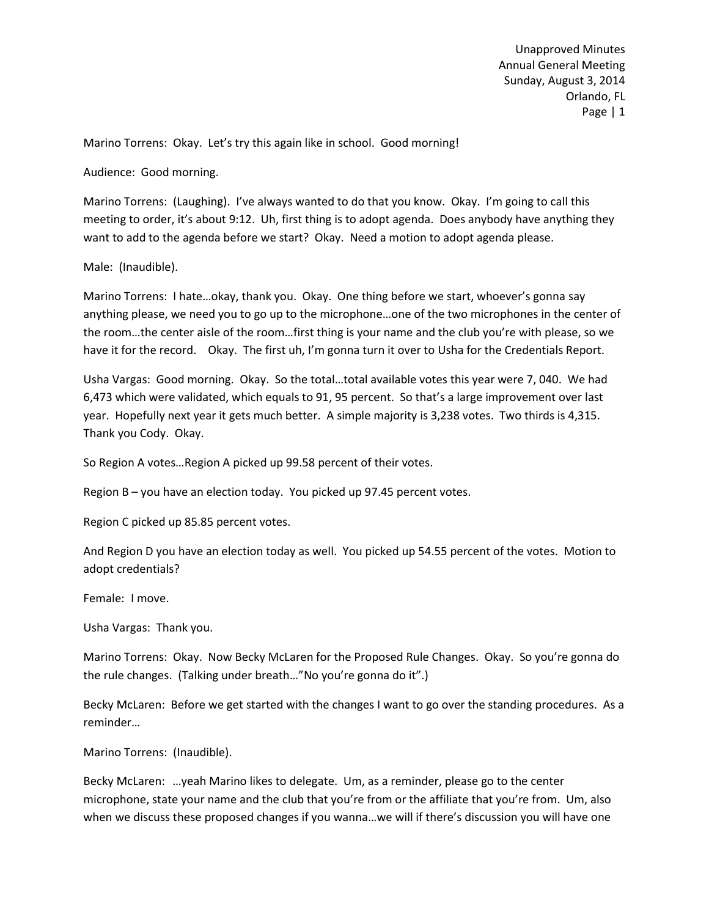Marino Torrens: Okay. Let's try this again like in school. Good morning!

Audience: Good morning.

Marino Torrens: (Laughing). I've always wanted to do that you know. Okay. I'm going to call this meeting to order, it's about 9:12. Uh, first thing is to adopt agenda. Does anybody have anything they want to add to the agenda before we start? Okay. Need a motion to adopt agenda please.

Male: (Inaudible).

Marino Torrens: I hate…okay, thank you. Okay. One thing before we start, whoever's gonna say anything please, we need you to go up to the microphone…one of the two microphones in the center of the room…the center aisle of the room…first thing is your name and the club you're with please, so we have it for the record. Okay. The first uh, I'm gonna turn it over to Usha for the Credentials Report.

Usha Vargas: Good morning. Okay. So the total…total available votes this year were 7, 040. We had 6,473 which were validated, which equals to 91, 95 percent. So that's a large improvement over last year. Hopefully next year it gets much better. A simple majority is 3,238 votes. Two thirds is 4,315. Thank you Cody. Okay.

So Region A votes…Region A picked up 99.58 percent of their votes.

Region B – you have an election today. You picked up 97.45 percent votes.

Region C picked up 85.85 percent votes.

And Region D you have an election today as well. You picked up 54.55 percent of the votes. Motion to adopt credentials?

Female: I move.

Usha Vargas: Thank you.

Marino Torrens: Okay. Now Becky McLaren for the Proposed Rule Changes. Okay. So you're gonna do the rule changes. (Talking under breath…"No you're gonna do it".)

Becky McLaren: Before we get started with the changes I want to go over the standing procedures. As a reminder…

Marino Torrens: (Inaudible).

Becky McLaren: …yeah Marino likes to delegate. Um, as a reminder, please go to the center microphone, state your name and the club that you're from or the affiliate that you're from. Um, also when we discuss these proposed changes if you wanna…we will if there's discussion you will have one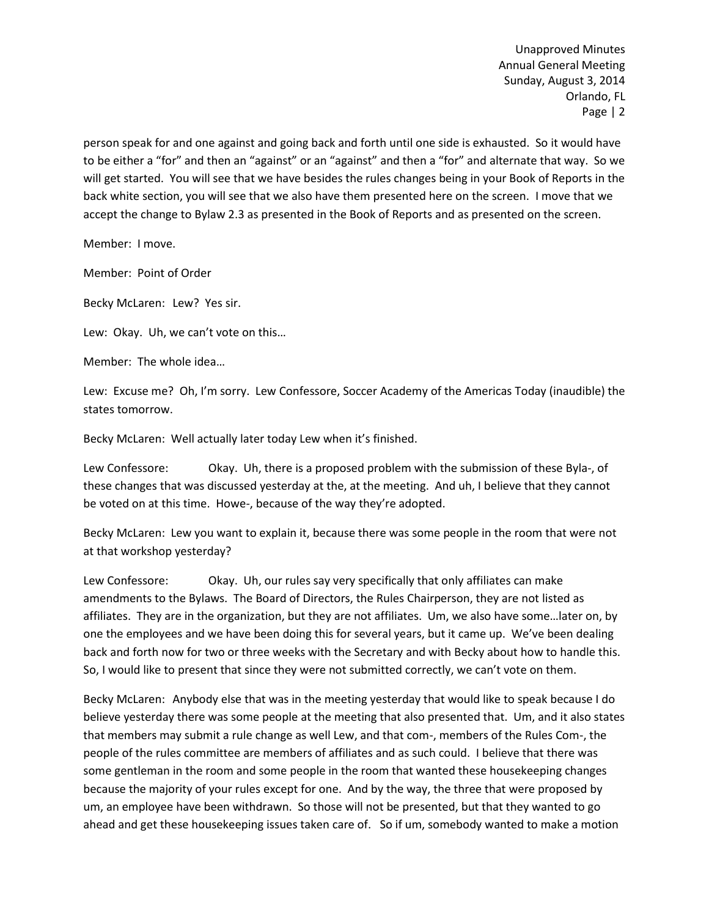person speak for and one against and going back and forth until one side is exhausted. So it would have to be either a "for" and then an "against" or an "against" and then a "for" and alternate that way. So we will get started. You will see that we have besides the rules changes being in your Book of Reports in the back white section, you will see that we also have them presented here on the screen. I move that we accept the change to Bylaw 2.3 as presented in the Book of Reports and as presented on the screen.

Member: I move.

Member: Point of Order

Becky McLaren: Lew? Yes sir.

Lew: Okay. Uh, we can't vote on this…

Member: The whole idea…

Lew: Excuse me? Oh, I'm sorry. Lew Confessore, Soccer Academy of the Americas Today (inaudible) the states tomorrow.

Becky McLaren: Well actually later today Lew when it's finished.

Lew Confessore: Okay. Uh, there is a proposed problem with the submission of these Byla-, of these changes that was discussed yesterday at the, at the meeting. And uh, I believe that they cannot be voted on at this time. Howe-, because of the way they're adopted.

Becky McLaren: Lew you want to explain it, because there was some people in the room that were not at that workshop yesterday?

Lew Confessore: Okay. Uh, our rules say very specifically that only affiliates can make amendments to the Bylaws. The Board of Directors, the Rules Chairperson, they are not listed as affiliates. They are in the organization, but they are not affiliates. Um, we also have some…later on, by one the employees and we have been doing this for several years, but it came up. We've been dealing back and forth now for two or three weeks with the Secretary and with Becky about how to handle this. So, I would like to present that since they were not submitted correctly, we can't vote on them.

Becky McLaren: Anybody else that was in the meeting yesterday that would like to speak because I do believe yesterday there was some people at the meeting that also presented that. Um, and it also states that members may submit a rule change as well Lew, and that com-, members of the Rules Com-, the people of the rules committee are members of affiliates and as such could. I believe that there was some gentleman in the room and some people in the room that wanted these housekeeping changes because the majority of your rules except for one. And by the way, the three that were proposed by um, an employee have been withdrawn. So those will not be presented, but that they wanted to go ahead and get these housekeeping issues taken care of. So if um, somebody wanted to make a motion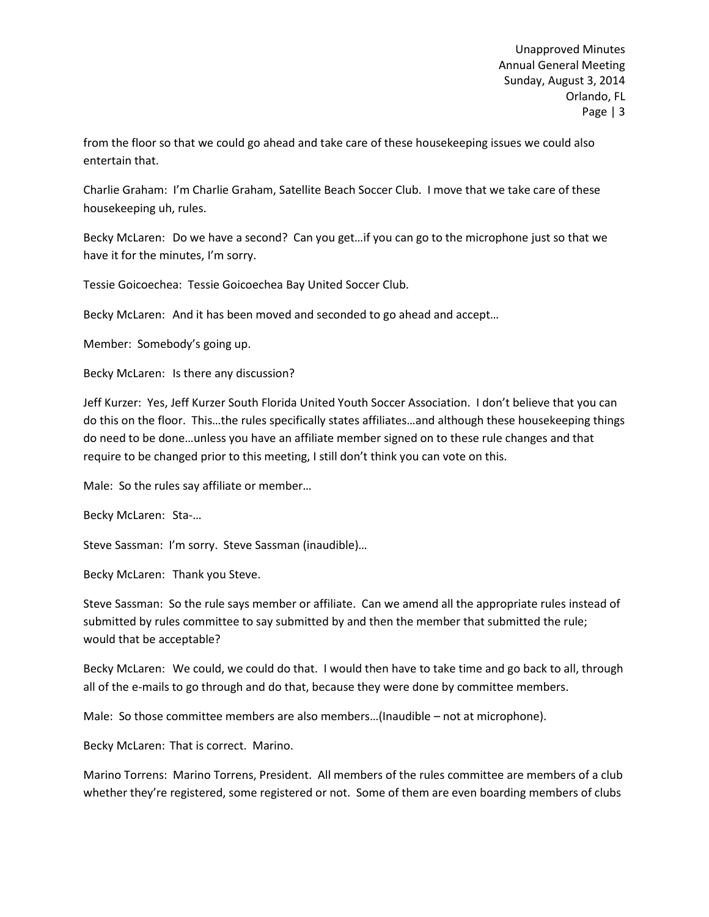from the floor so that we could go ahead and take care of these housekeeping issues we could also entertain that.

Charlie Graham: I'm Charlie Graham, Satellite Beach Soccer Club. I move that we take care of these housekeeping uh, rules.

Becky McLaren: Do we have a second? Can you get…if you can go to the microphone just so that we have it for the minutes, I'm sorry.

Tessie Goicoechea: Tessie Goicoechea Bay United Soccer Club.

Becky McLaren: And it has been moved and seconded to go ahead and accept…

Member: Somebody's going up.

Becky McLaren: Is there any discussion?

Jeff Kurzer: Yes, Jeff Kurzer South Florida United Youth Soccer Association. I don't believe that you can do this on the floor. This…the rules specifically states affiliates…and although these housekeeping things do need to be done…unless you have an affiliate member signed on to these rule changes and that require to be changed prior to this meeting, I still don't think you can vote on this.

Male: So the rules say affiliate or member…

Becky McLaren: Sta-…

Steve Sassman: I'm sorry. Steve Sassman (inaudible)…

Becky McLaren: Thank you Steve.

Steve Sassman: So the rule says member or affiliate. Can we amend all the appropriate rules instead of submitted by rules committee to say submitted by and then the member that submitted the rule; would that be acceptable?

Becky McLaren: We could, we could do that. I would then have to take time and go back to all, through all of the e-mails to go through and do that, because they were done by committee members.

Male: So those committee members are also members…(Inaudible – not at microphone).

Becky McLaren: That is correct. Marino.

Marino Torrens: Marino Torrens, President. All members of the rules committee are members of a club whether they're registered, some registered or not. Some of them are even boarding members of clubs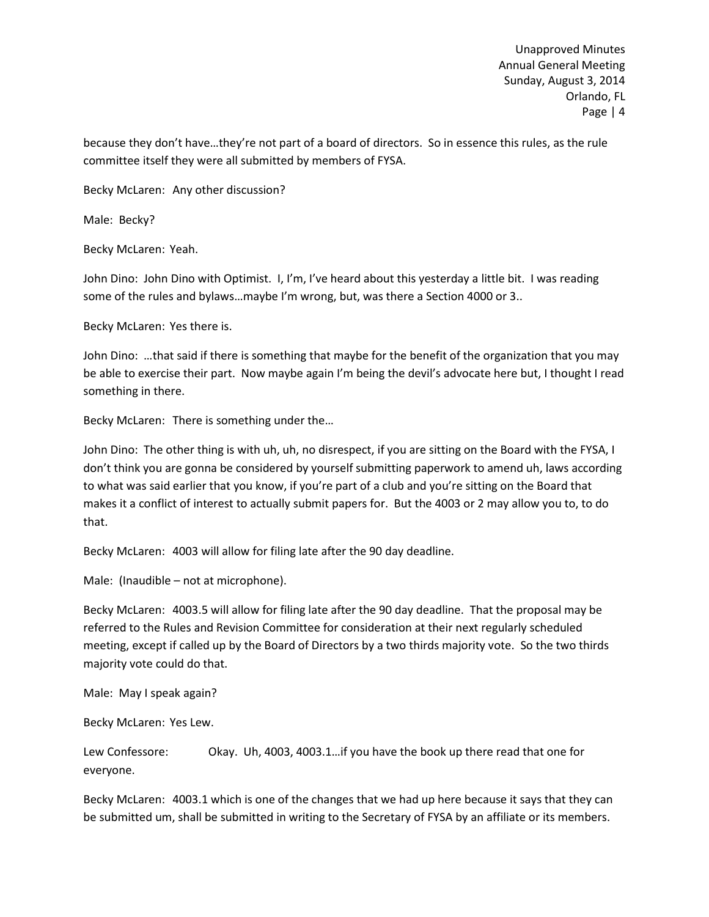because they don't have…they're not part of a board of directors. So in essence this rules, as the rule committee itself they were all submitted by members of FYSA.

Becky McLaren: Any other discussion?

Male: Becky?

Becky McLaren: Yeah.

John Dino: John Dino with Optimist. I, I'm, I've heard about this yesterday a little bit. I was reading some of the rules and bylaws…maybe I'm wrong, but, was there a Section 4000 or 3..

Becky McLaren: Yes there is.

John Dino: …that said if there is something that maybe for the benefit of the organization that you may be able to exercise their part. Now maybe again I'm being the devil's advocate here but, I thought I read something in there.

Becky McLaren: There is something under the…

John Dino: The other thing is with uh, uh, no disrespect, if you are sitting on the Board with the FYSA, I don't think you are gonna be considered by yourself submitting paperwork to amend uh, laws according to what was said earlier that you know, if you're part of a club and you're sitting on the Board that makes it a conflict of interest to actually submit papers for. But the 4003 or 2 may allow you to, to do that.

Becky McLaren: 4003 will allow for filing late after the 90 day deadline.

Male: (Inaudible – not at microphone).

Becky McLaren: 4003.5 will allow for filing late after the 90 day deadline. That the proposal may be referred to the Rules and Revision Committee for consideration at their next regularly scheduled meeting, except if called up by the Board of Directors by a two thirds majority vote. So the two thirds majority vote could do that.

Male: May I speak again?

Becky McLaren: Yes Lew.

Lew Confessore: Okay. Uh, 4003, 4003.1…if you have the book up there read that one for everyone.

Becky McLaren: 4003.1 which is one of the changes that we had up here because it says that they can be submitted um, shall be submitted in writing to the Secretary of FYSA by an affiliate or its members.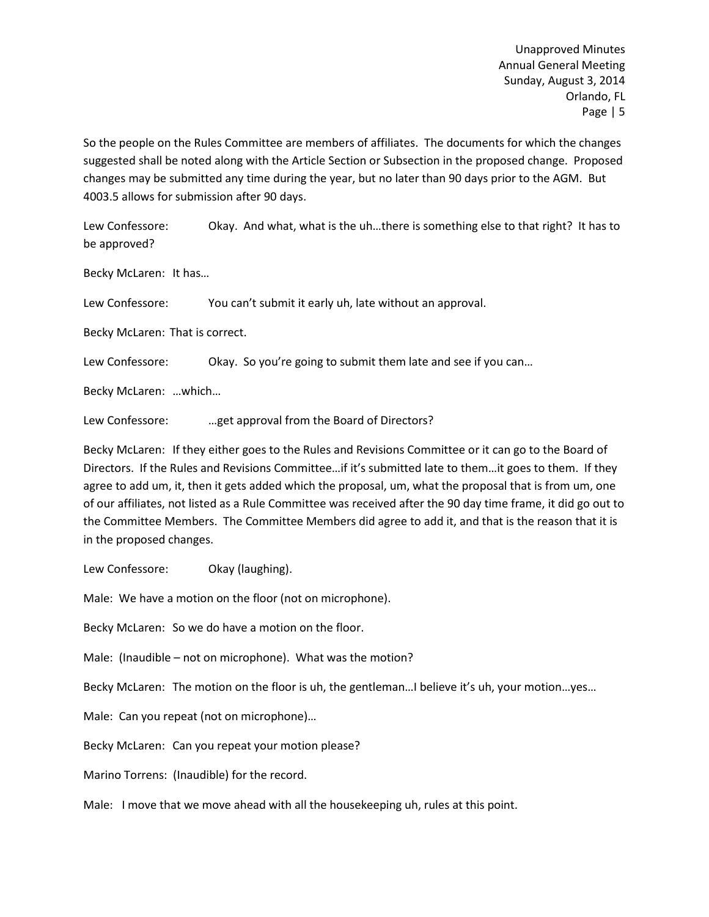So the people on the Rules Committee are members of affiliates. The documents for which the changes suggested shall be noted along with the Article Section or Subsection in the proposed change. Proposed changes may be submitted any time during the year, but no later than 90 days prior to the AGM. But 4003.5 allows for submission after 90 days.

Lew Confessore: Okay. And what, what is the uh...there is something else to that right? It has to be approved?

Becky McLaren: It has…

Lew Confessore: You can't submit it early uh, late without an approval.

Becky McLaren: That is correct.

Lew Confessore: Okay. So you're going to submit them late and see if you can...

Becky McLaren: …which…

Lew Confessore: …get approval from the Board of Directors?

Becky McLaren: If they either goes to the Rules and Revisions Committee or it can go to the Board of Directors. If the Rules and Revisions Committee…if it's submitted late to them…it goes to them. If they agree to add um, it, then it gets added which the proposal, um, what the proposal that is from um, one of our affiliates, not listed as a Rule Committee was received after the 90 day time frame, it did go out to the Committee Members. The Committee Members did agree to add it, and that is the reason that it is in the proposed changes.

Lew Confessore: Okay (laughing).

Male: We have a motion on the floor (not on microphone).

Becky McLaren: So we do have a motion on the floor.

Male: (Inaudible – not on microphone). What was the motion?

Becky McLaren: The motion on the floor is uh, the gentleman…I believe it's uh, your motion…yes…

Male: Can you repeat (not on microphone)…

Becky McLaren: Can you repeat your motion please?

Marino Torrens: (Inaudible) for the record.

Male: I move that we move ahead with all the housekeeping uh, rules at this point.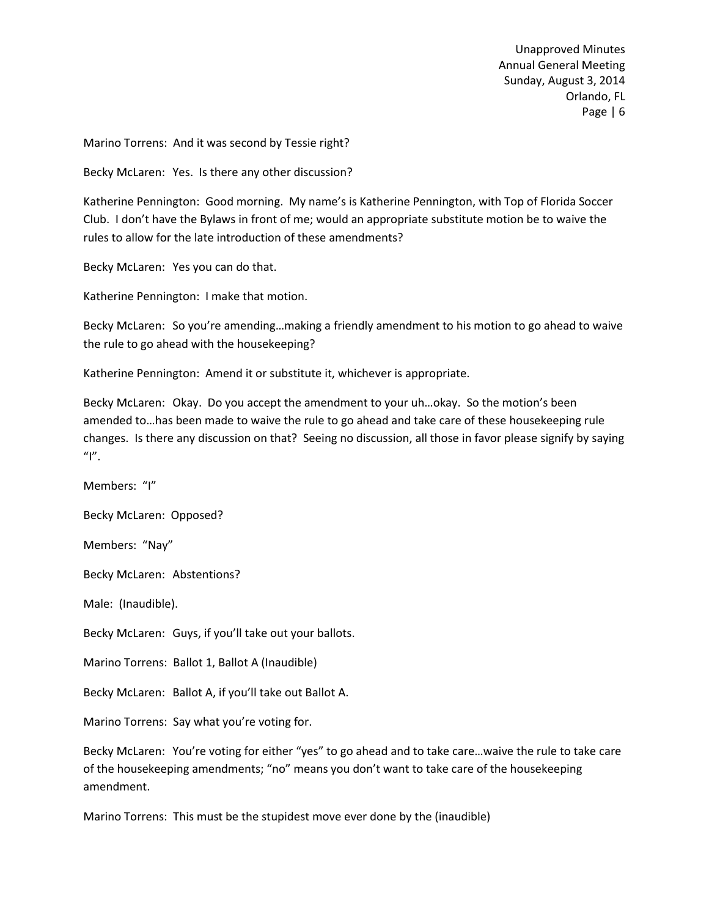Marino Torrens: And it was second by Tessie right?

Becky McLaren: Yes. Is there any other discussion?

Katherine Pennington: Good morning. My name's is Katherine Pennington, with Top of Florida Soccer Club. I don't have the Bylaws in front of me; would an appropriate substitute motion be to waive the rules to allow for the late introduction of these amendments?

Becky McLaren: Yes you can do that.

Katherine Pennington: I make that motion.

Becky McLaren: So you're amending…making a friendly amendment to his motion to go ahead to waive the rule to go ahead with the housekeeping?

Katherine Pennington: Amend it or substitute it, whichever is appropriate.

Becky McLaren: Okay. Do you accept the amendment to your uh…okay. So the motion's been amended to…has been made to waive the rule to go ahead and take care of these housekeeping rule changes. Is there any discussion on that? Seeing no discussion, all those in favor please signify by saying  $"I"$ .

Members: "I"

Becky McLaren: Opposed?

Members: "Nay"

Becky McLaren: Abstentions?

Male: (Inaudible).

Becky McLaren: Guys, if you'll take out your ballots.

Marino Torrens: Ballot 1, Ballot A (Inaudible)

Becky McLaren: Ballot A, if you'll take out Ballot A.

Marino Torrens: Say what you're voting for.

Becky McLaren: You're voting for either "yes" to go ahead and to take care…waive the rule to take care of the housekeeping amendments; "no" means you don't want to take care of the housekeeping amendment.

Marino Torrens: This must be the stupidest move ever done by the (inaudible)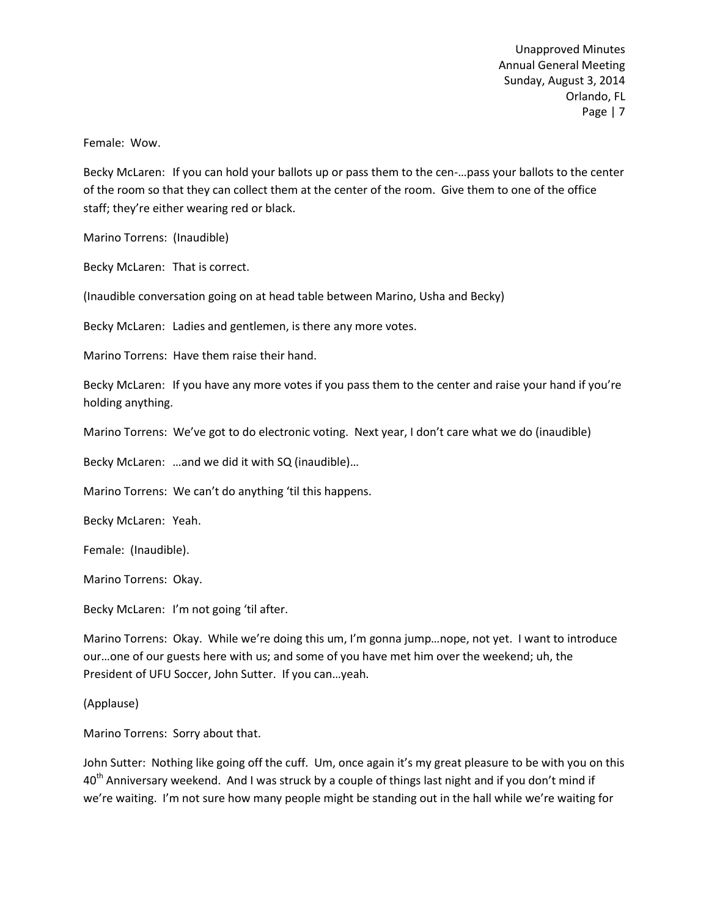Female: Wow.

Becky McLaren: If you can hold your ballots up or pass them to the cen-…pass your ballots to the center of the room so that they can collect them at the center of the room. Give them to one of the office staff; they're either wearing red or black.

Marino Torrens: (Inaudible)

Becky McLaren: That is correct.

(Inaudible conversation going on at head table between Marino, Usha and Becky)

Becky McLaren: Ladies and gentlemen, is there any more votes.

Marino Torrens: Have them raise their hand.

Becky McLaren: If you have any more votes if you pass them to the center and raise your hand if you're holding anything.

Marino Torrens: We've got to do electronic voting. Next year, I don't care what we do (inaudible)

Becky McLaren: …and we did it with SQ (inaudible)…

Marino Torrens: We can't do anything 'til this happens.

Becky McLaren: Yeah.

Female: (Inaudible).

Marino Torrens: Okay.

Becky McLaren: I'm not going 'til after.

Marino Torrens: Okay. While we're doing this um, I'm gonna jump…nope, not yet. I want to introduce our…one of our guests here with us; and some of you have met him over the weekend; uh, the President of UFU Soccer, John Sutter. If you can…yeah.

(Applause)

Marino Torrens: Sorry about that.

John Sutter: Nothing like going off the cuff. Um, once again it's my great pleasure to be with you on this  $40<sup>th</sup>$  Anniversary weekend. And I was struck by a couple of things last night and if you don't mind if we're waiting. I'm not sure how many people might be standing out in the hall while we're waiting for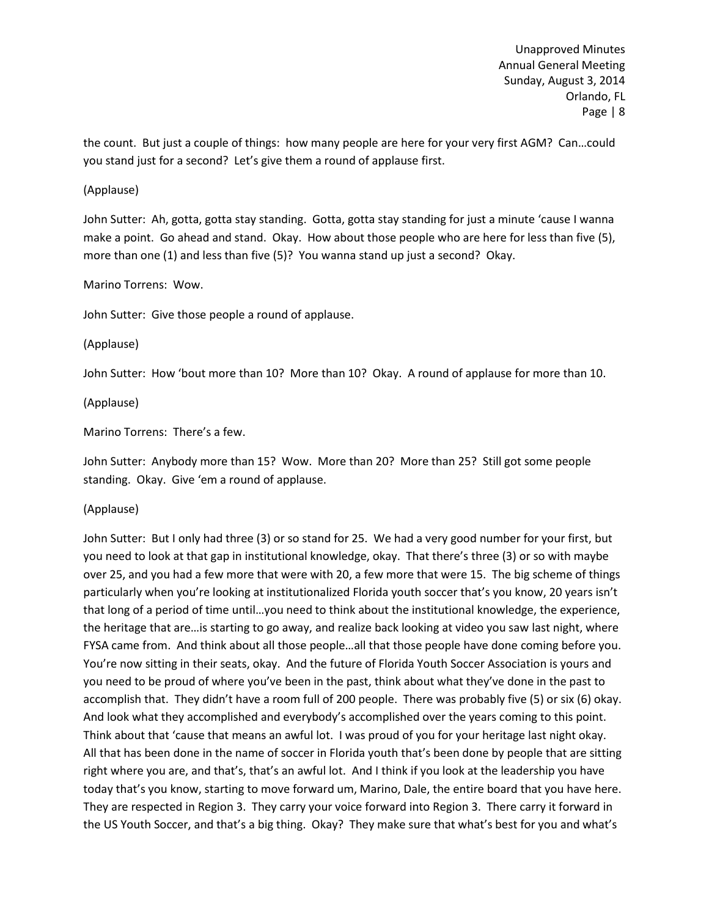the count. But just a couple of things: how many people are here for your very first AGM? Can…could you stand just for a second? Let's give them a round of applause first.

## (Applause)

John Sutter: Ah, gotta, gotta stay standing. Gotta, gotta stay standing for just a minute 'cause I wanna make a point. Go ahead and stand. Okay. How about those people who are here for less than five (5), more than one (1) and less than five (5)? You wanna stand up just a second? Okay.

## Marino Torrens: Wow.

John Sutter: Give those people a round of applause.

(Applause)

John Sutter: How 'bout more than 10? More than 10? Okay. A round of applause for more than 10.

(Applause)

Marino Torrens: There's a few.

John Sutter: Anybody more than 15? Wow. More than 20? More than 25? Still got some people standing. Okay. Give 'em a round of applause.

### (Applause)

John Sutter: But I only had three (3) or so stand for 25. We had a very good number for your first, but you need to look at that gap in institutional knowledge, okay. That there's three (3) or so with maybe over 25, and you had a few more that were with 20, a few more that were 15. The big scheme of things particularly when you're looking at institutionalized Florida youth soccer that's you know, 20 years isn't that long of a period of time until…you need to think about the institutional knowledge, the experience, the heritage that are…is starting to go away, and realize back looking at video you saw last night, where FYSA came from. And think about all those people…all that those people have done coming before you. You're now sitting in their seats, okay. And the future of Florida Youth Soccer Association is yours and you need to be proud of where you've been in the past, think about what they've done in the past to accomplish that. They didn't have a room full of 200 people. There was probably five (5) or six (6) okay. And look what they accomplished and everybody's accomplished over the years coming to this point. Think about that 'cause that means an awful lot. I was proud of you for your heritage last night okay. All that has been done in the name of soccer in Florida youth that's been done by people that are sitting right where you are, and that's, that's an awful lot. And I think if you look at the leadership you have today that's you know, starting to move forward um, Marino, Dale, the entire board that you have here. They are respected in Region 3. They carry your voice forward into Region 3. There carry it forward in the US Youth Soccer, and that's a big thing. Okay? They make sure that what's best for you and what's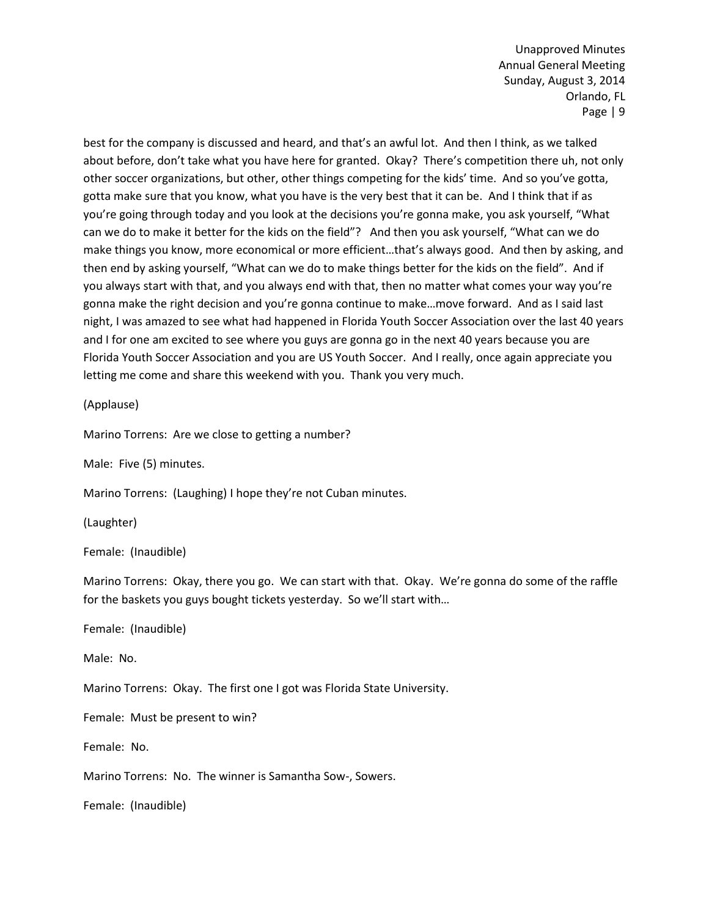best for the company is discussed and heard, and that's an awful lot. And then I think, as we talked about before, don't take what you have here for granted. Okay? There's competition there uh, not only other soccer organizations, but other, other things competing for the kids' time. And so you've gotta, gotta make sure that you know, what you have is the very best that it can be. And I think that if as you're going through today and you look at the decisions you're gonna make, you ask yourself, "What can we do to make it better for the kids on the field"? And then you ask yourself, "What can we do make things you know, more economical or more efficient…that's always good. And then by asking, and then end by asking yourself, "What can we do to make things better for the kids on the field". And if you always start with that, and you always end with that, then no matter what comes your way you're gonna make the right decision and you're gonna continue to make…move forward. And as I said last night, I was amazed to see what had happened in Florida Youth Soccer Association over the last 40 years and I for one am excited to see where you guys are gonna go in the next 40 years because you are Florida Youth Soccer Association and you are US Youth Soccer. And I really, once again appreciate you letting me come and share this weekend with you. Thank you very much.

(Applause)

Marino Torrens: Are we close to getting a number?

Male: Five (5) minutes.

Marino Torrens: (Laughing) I hope they're not Cuban minutes.

(Laughter)

Female: (Inaudible)

Marino Torrens: Okay, there you go. We can start with that. Okay. We're gonna do some of the raffle for the baskets you guys bought tickets yesterday. So we'll start with…

Female: (Inaudible)

Male: No.

Marino Torrens: Okay. The first one I got was Florida State University.

Female: Must be present to win?

Female: No.

Marino Torrens: No. The winner is Samantha Sow-, Sowers.

Female: (Inaudible)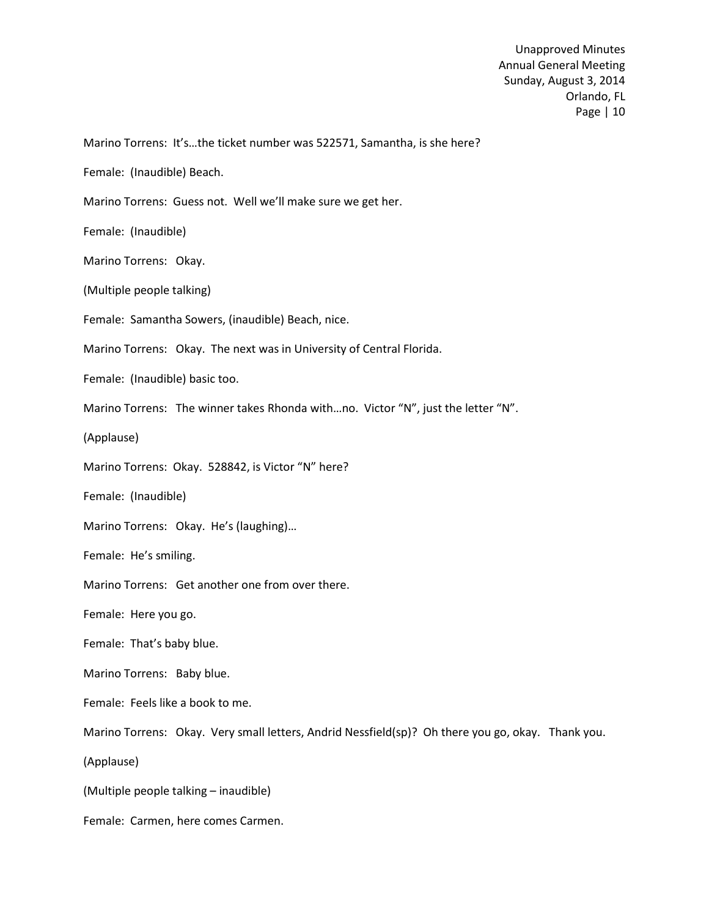Marino Torrens: It's…the ticket number was 522571, Samantha, is she here?

Female: (Inaudible) Beach.

Marino Torrens: Guess not. Well we'll make sure we get her.

Female: (Inaudible)

Marino Torrens: Okay.

(Multiple people talking)

Female: Samantha Sowers, (inaudible) Beach, nice.

Marino Torrens: Okay. The next was in University of Central Florida.

Female: (Inaudible) basic too.

Marino Torrens: The winner takes Rhonda with...no. Victor "N", just the letter "N".

(Applause)

Marino Torrens: Okay. 528842, is Victor "N" here?

Female: (Inaudible)

Marino Torrens: Okay. He's (laughing)…

Female: He's smiling.

Marino Torrens: Get another one from over there.

Female: Here you go.

Female: That's baby blue.

Marino Torrens: Baby blue.

Female: Feels like a book to me.

Marino Torrens: Okay. Very small letters, Andrid Nessfield(sp)? Oh there you go, okay. Thank you.

(Applause)

(Multiple people talking – inaudible)

Female: Carmen, here comes Carmen.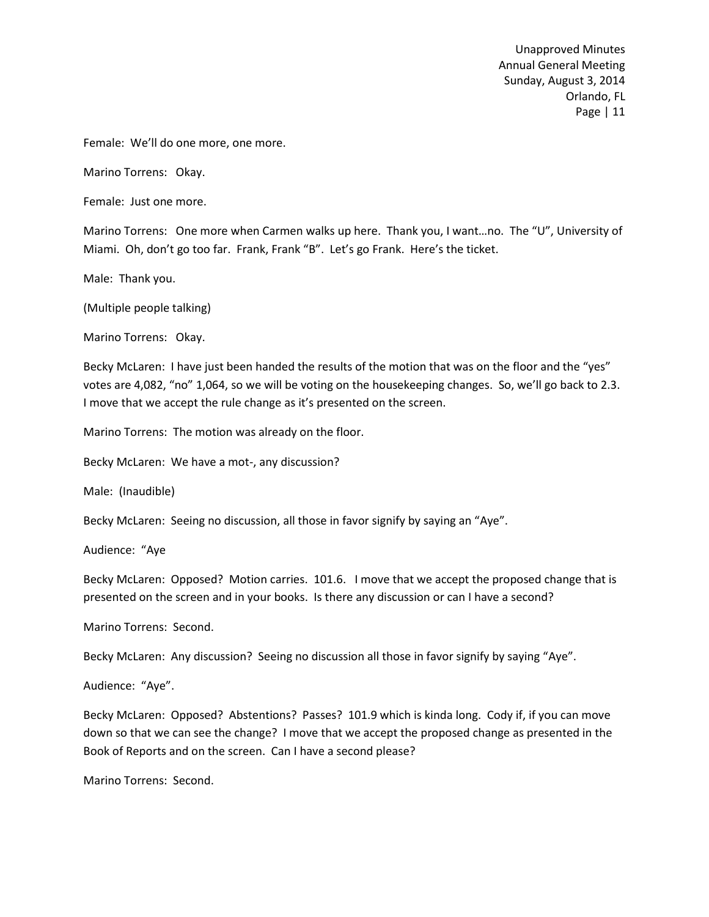Female: We'll do one more, one more.

Marino Torrens: Okay.

Female: Just one more.

Marino Torrens: One more when Carmen walks up here. Thank you, I want…no. The "U", University of Miami. Oh, don't go too far. Frank, Frank "B". Let's go Frank. Here's the ticket.

Male: Thank you.

(Multiple people talking)

Marino Torrens: Okay.

Becky McLaren: I have just been handed the results of the motion that was on the floor and the "yes" votes are 4,082, "no" 1,064, so we will be voting on the housekeeping changes. So, we'll go back to 2.3. I move that we accept the rule change as it's presented on the screen.

Marino Torrens: The motion was already on the floor.

Becky McLaren: We have a mot-, any discussion?

Male: (Inaudible)

Becky McLaren: Seeing no discussion, all those in favor signify by saying an "Aye".

Audience: "Aye

Becky McLaren: Opposed? Motion carries. 101.6. I move that we accept the proposed change that is presented on the screen and in your books. Is there any discussion or can I have a second?

Marino Torrens: Second.

Becky McLaren: Any discussion? Seeing no discussion all those in favor signify by saying "Aye".

Audience: "Aye".

Becky McLaren: Opposed? Abstentions? Passes? 101.9 which is kinda long. Cody if, if you can move down so that we can see the change? I move that we accept the proposed change as presented in the Book of Reports and on the screen. Can I have a second please?

Marino Torrens: Second.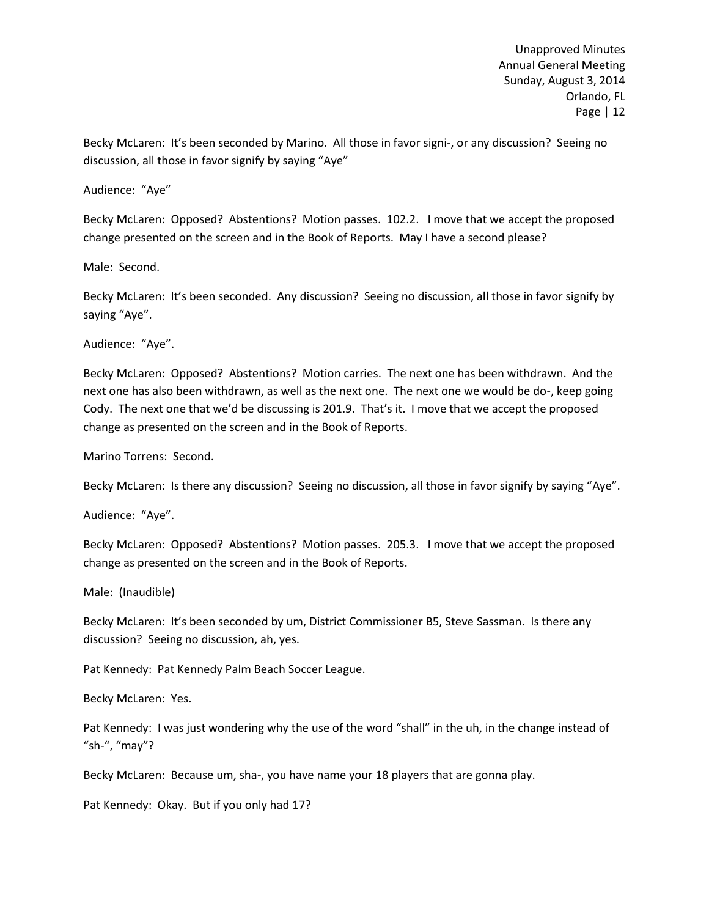Becky McLaren: It's been seconded by Marino. All those in favor signi-, or any discussion? Seeing no discussion, all those in favor signify by saying "Aye"

Audience: "Aye"

Becky McLaren: Opposed? Abstentions? Motion passes. 102.2. I move that we accept the proposed change presented on the screen and in the Book of Reports. May I have a second please?

Male: Second.

Becky McLaren: It's been seconded. Any discussion? Seeing no discussion, all those in favor signify by saying "Aye".

Audience: "Aye".

Becky McLaren: Opposed? Abstentions? Motion carries. The next one has been withdrawn. And the next one has also been withdrawn, as well as the next one. The next one we would be do-, keep going Cody. The next one that we'd be discussing is 201.9. That's it. I move that we accept the proposed change as presented on the screen and in the Book of Reports.

Marino Torrens: Second.

Becky McLaren: Is there any discussion? Seeing no discussion, all those in favor signify by saying "Aye".

Audience: "Aye".

Becky McLaren: Opposed? Abstentions? Motion passes. 205.3. I move that we accept the proposed change as presented on the screen and in the Book of Reports.

Male: (Inaudible)

Becky McLaren: It's been seconded by um, District Commissioner B5, Steve Sassman. Is there any discussion? Seeing no discussion, ah, yes.

Pat Kennedy: Pat Kennedy Palm Beach Soccer League.

Becky McLaren: Yes.

Pat Kennedy: I was just wondering why the use of the word "shall" in the uh, in the change instead of "sh-", "may"?

Becky McLaren: Because um, sha-, you have name your 18 players that are gonna play.

Pat Kennedy: Okay. But if you only had 17?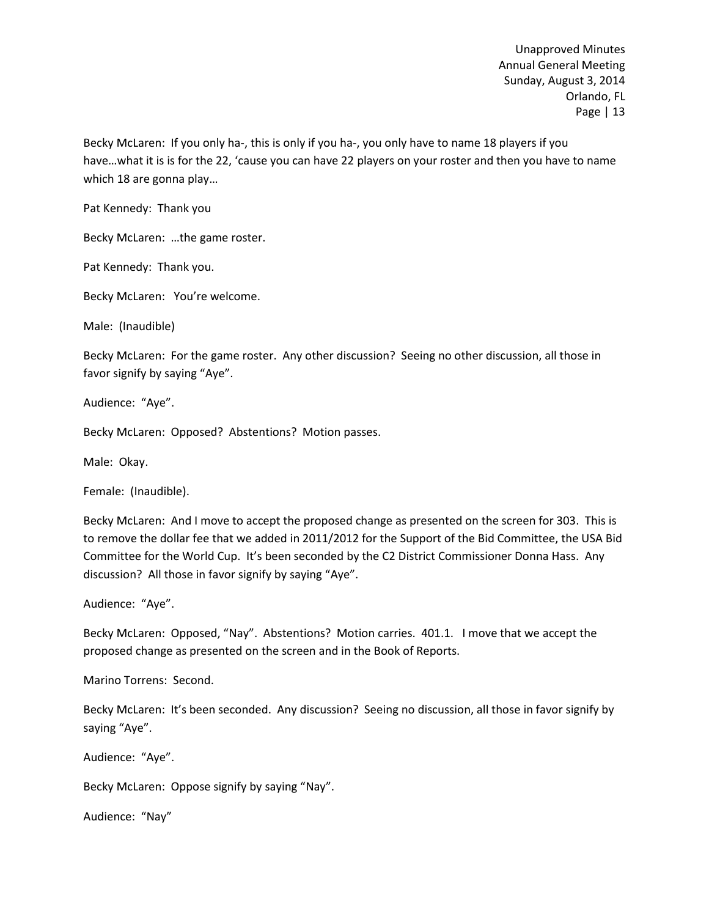Becky McLaren: If you only ha-, this is only if you ha-, you only have to name 18 players if you have…what it is is for the 22, 'cause you can have 22 players on your roster and then you have to name which 18 are gonna play…

Pat Kennedy: Thank you

Becky McLaren: …the game roster.

Pat Kennedy: Thank you.

Becky McLaren: You're welcome.

Male: (Inaudible)

Becky McLaren: For the game roster. Any other discussion? Seeing no other discussion, all those in favor signify by saying "Aye".

Audience: "Aye".

Becky McLaren: Opposed? Abstentions? Motion passes.

Male: Okay.

Female: (Inaudible).

Becky McLaren: And I move to accept the proposed change as presented on the screen for 303. This is to remove the dollar fee that we added in 2011/2012 for the Support of the Bid Committee, the USA Bid Committee for the World Cup. It's been seconded by the C2 District Commissioner Donna Hass. Any discussion? All those in favor signify by saying "Aye".

Audience: "Aye".

Becky McLaren: Opposed, "Nay". Abstentions? Motion carries. 401.1. I move that we accept the proposed change as presented on the screen and in the Book of Reports.

Marino Torrens: Second.

Becky McLaren: It's been seconded. Any discussion? Seeing no discussion, all those in favor signify by saying "Aye".

Audience: "Aye".

Becky McLaren: Oppose signify by saying "Nay".

Audience: "Nay"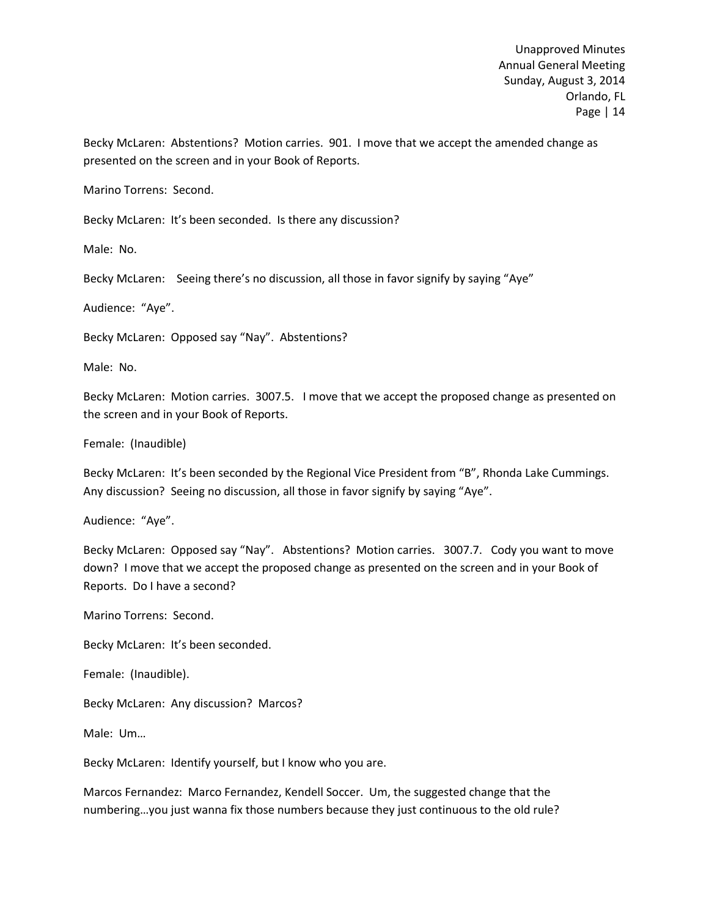Becky McLaren: Abstentions? Motion carries. 901. I move that we accept the amended change as presented on the screen and in your Book of Reports.

Marino Torrens: Second.

Becky McLaren: It's been seconded. Is there any discussion?

Male: No.

Becky McLaren: Seeing there's no discussion, all those in favor signify by saying "Aye"

Audience: "Aye".

Becky McLaren: Opposed say "Nay". Abstentions?

Male: No.

Becky McLaren: Motion carries. 3007.5. I move that we accept the proposed change as presented on the screen and in your Book of Reports.

Female: (Inaudible)

Becky McLaren: It's been seconded by the Regional Vice President from "B", Rhonda Lake Cummings. Any discussion? Seeing no discussion, all those in favor signify by saying "Aye".

Audience: "Aye".

Becky McLaren: Opposed say "Nay". Abstentions? Motion carries. 3007.7. Cody you want to move down? I move that we accept the proposed change as presented on the screen and in your Book of Reports. Do I have a second?

Marino Torrens: Second.

Becky McLaren: It's been seconded.

Female: (Inaudible).

Becky McLaren: Any discussion? Marcos?

Male: Um…

Becky McLaren: Identify yourself, but I know who you are.

Marcos Fernandez: Marco Fernandez, Kendell Soccer. Um, the suggested change that the numbering…you just wanna fix those numbers because they just continuous to the old rule?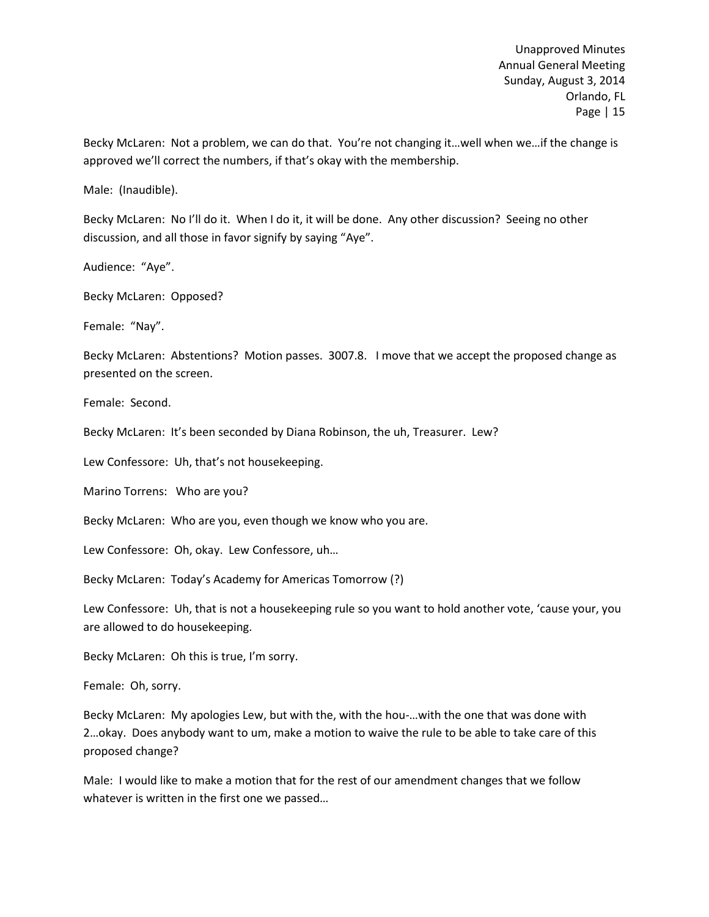Becky McLaren: Not a problem, we can do that. You're not changing it…well when we…if the change is approved we'll correct the numbers, if that's okay with the membership.

Male: (Inaudible).

Becky McLaren: No I'll do it. When I do it, it will be done. Any other discussion? Seeing no other discussion, and all those in favor signify by saying "Aye".

Audience: "Aye".

Becky McLaren: Opposed?

Female: "Nay".

Becky McLaren: Abstentions? Motion passes. 3007.8. I move that we accept the proposed change as presented on the screen.

Female: Second.

Becky McLaren: It's been seconded by Diana Robinson, the uh, Treasurer. Lew?

Lew Confessore: Uh, that's not housekeeping.

Marino Torrens: Who are you?

Becky McLaren: Who are you, even though we know who you are.

Lew Confessore: Oh, okay. Lew Confessore, uh…

Becky McLaren: Today's Academy for Americas Tomorrow (?)

Lew Confessore: Uh, that is not a housekeeping rule so you want to hold another vote, 'cause your, you are allowed to do housekeeping.

Becky McLaren: Oh this is true, I'm sorry.

Female: Oh, sorry.

Becky McLaren: My apologies Lew, but with the, with the hou-…with the one that was done with 2…okay. Does anybody want to um, make a motion to waive the rule to be able to take care of this proposed change?

Male: I would like to make a motion that for the rest of our amendment changes that we follow whatever is written in the first one we passed…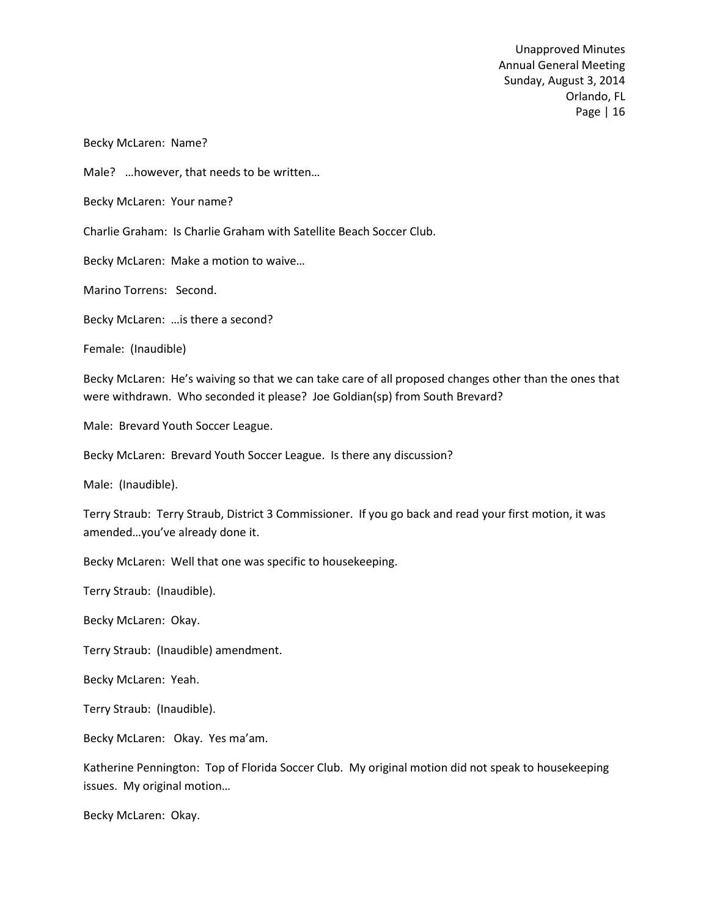Becky McLaren: Name?

Male? …however, that needs to be written…

Becky McLaren: Your name?

Charlie Graham: Is Charlie Graham with Satellite Beach Soccer Club.

Becky McLaren: Make a motion to waive…

Marino Torrens: Second.

Becky McLaren: …is there a second?

Female: (Inaudible)

Becky McLaren: He's waiving so that we can take care of all proposed changes other than the ones that were withdrawn. Who seconded it please? Joe Goldian(sp) from South Brevard?

Male: Brevard Youth Soccer League.

Becky McLaren: Brevard Youth Soccer League. Is there any discussion?

Male: (Inaudible).

Terry Straub: Terry Straub, District 3 Commissioner. If you go back and read your first motion, it was amended…you've already done it.

Becky McLaren: Well that one was specific to housekeeping.

Terry Straub: (Inaudible).

Becky McLaren: Okay.

Terry Straub: (Inaudible) amendment.

Becky McLaren: Yeah.

Terry Straub: (Inaudible).

Becky McLaren: Okay. Yes ma'am.

Katherine Pennington: Top of Florida Soccer Club. My original motion did not speak to housekeeping issues. My original motion…

Becky McLaren: Okay.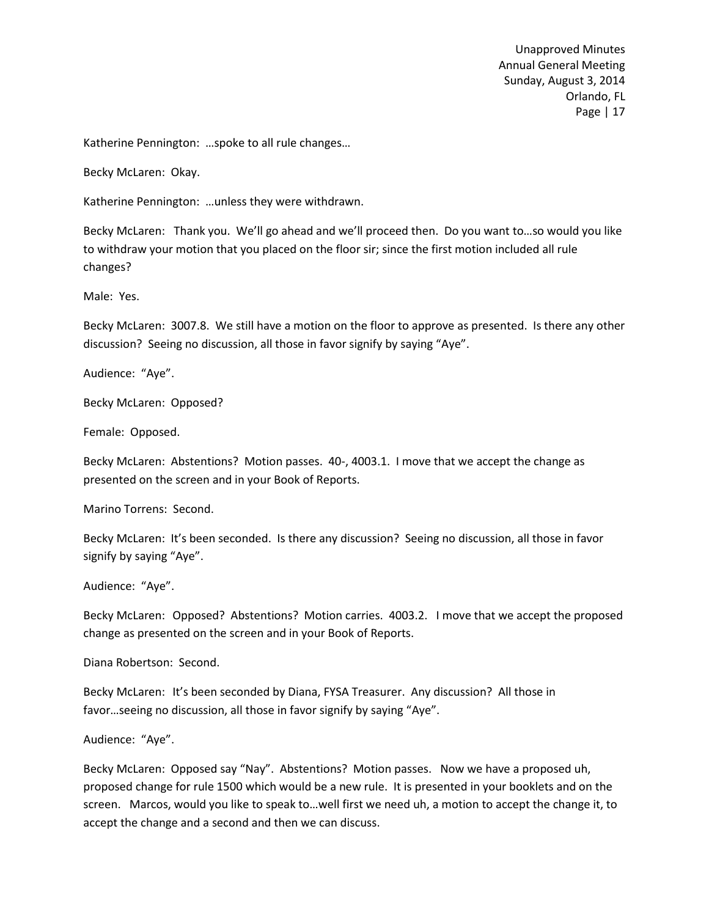Katherine Pennington: …spoke to all rule changes…

Becky McLaren: Okay.

Katherine Pennington: …unless they were withdrawn.

Becky McLaren: Thank you. We'll go ahead and we'll proceed then. Do you want to…so would you like to withdraw your motion that you placed on the floor sir; since the first motion included all rule changes?

Male: Yes.

Becky McLaren: 3007.8. We still have a motion on the floor to approve as presented. Is there any other discussion? Seeing no discussion, all those in favor signify by saying "Aye".

Audience: "Aye".

Becky McLaren: Opposed?

Female: Opposed.

Becky McLaren: Abstentions? Motion passes. 40-, 4003.1. I move that we accept the change as presented on the screen and in your Book of Reports.

Marino Torrens: Second.

Becky McLaren: It's been seconded. Is there any discussion? Seeing no discussion, all those in favor signify by saying "Aye".

Audience: "Aye".

Becky McLaren: Opposed? Abstentions? Motion carries. 4003.2. I move that we accept the proposed change as presented on the screen and in your Book of Reports.

Diana Robertson: Second.

Becky McLaren: It's been seconded by Diana, FYSA Treasurer. Any discussion? All those in favor…seeing no discussion, all those in favor signify by saying "Aye".

Audience: "Aye".

Becky McLaren: Opposed say "Nay". Abstentions? Motion passes. Now we have a proposed uh, proposed change for rule 1500 which would be a new rule. It is presented in your booklets and on the screen. Marcos, would you like to speak to…well first we need uh, a motion to accept the change it, to accept the change and a second and then we can discuss.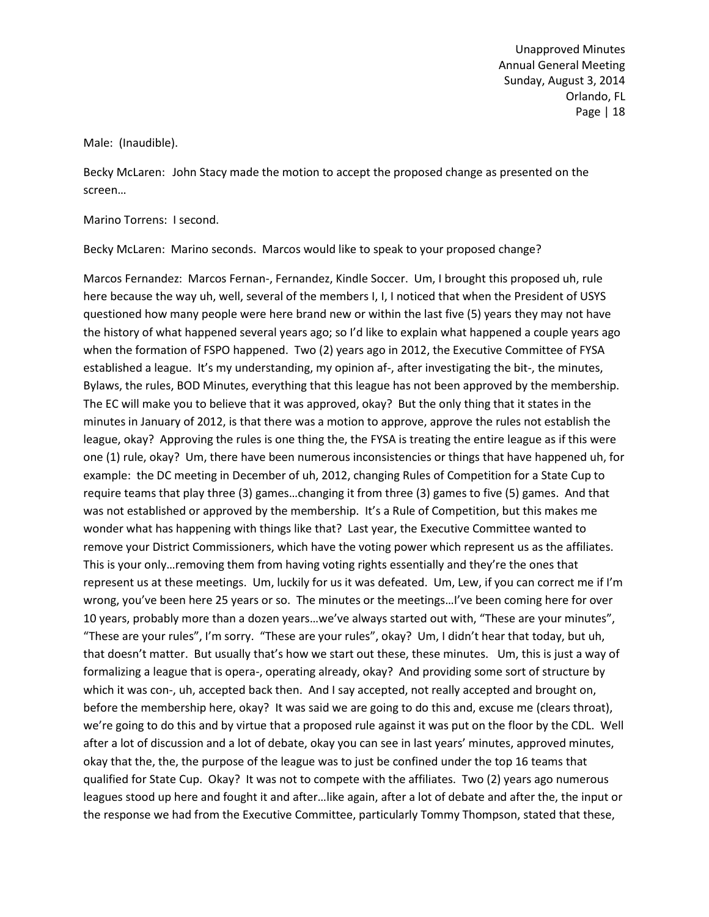Male: (Inaudible).

Becky McLaren: John Stacy made the motion to accept the proposed change as presented on the screen…

Marino Torrens: I second.

Becky McLaren: Marino seconds. Marcos would like to speak to your proposed change?

Marcos Fernandez: Marcos Fernan-, Fernandez, Kindle Soccer. Um, I brought this proposed uh, rule here because the way uh, well, several of the members I, I, I noticed that when the President of USYS questioned how many people were here brand new or within the last five (5) years they may not have the history of what happened several years ago; so I'd like to explain what happened a couple years ago when the formation of FSPO happened. Two (2) years ago in 2012, the Executive Committee of FYSA established a league. It's my understanding, my opinion af-, after investigating the bit-, the minutes, Bylaws, the rules, BOD Minutes, everything that this league has not been approved by the membership. The EC will make you to believe that it was approved, okay? But the only thing that it states in the minutes in January of 2012, is that there was a motion to approve, approve the rules not establish the league, okay? Approving the rules is one thing the, the FYSA is treating the entire league as if this were one (1) rule, okay? Um, there have been numerous inconsistencies or things that have happened uh, for example: the DC meeting in December of uh, 2012, changing Rules of Competition for a State Cup to require teams that play three (3) games…changing it from three (3) games to five (5) games. And that was not established or approved by the membership. It's a Rule of Competition, but this makes me wonder what has happening with things like that? Last year, the Executive Committee wanted to remove your District Commissioners, which have the voting power which represent us as the affiliates. This is your only…removing them from having voting rights essentially and they're the ones that represent us at these meetings. Um, luckily for us it was defeated. Um, Lew, if you can correct me if I'm wrong, you've been here 25 years or so. The minutes or the meetings…I've been coming here for over 10 years, probably more than a dozen years…we've always started out with, "These are your minutes", "These are your rules", I'm sorry. "These are your rules", okay? Um, I didn't hear that today, but uh, that doesn't matter. But usually that's how we start out these, these minutes. Um, this is just a way of formalizing a league that is opera-, operating already, okay? And providing some sort of structure by which it was con-, uh, accepted back then. And I say accepted, not really accepted and brought on, before the membership here, okay? It was said we are going to do this and, excuse me (clears throat), we're going to do this and by virtue that a proposed rule against it was put on the floor by the CDL. Well after a lot of discussion and a lot of debate, okay you can see in last years' minutes, approved minutes, okay that the, the, the purpose of the league was to just be confined under the top 16 teams that qualified for State Cup. Okay? It was not to compete with the affiliates. Two (2) years ago numerous leagues stood up here and fought it and after…like again, after a lot of debate and after the, the input or the response we had from the Executive Committee, particularly Tommy Thompson, stated that these,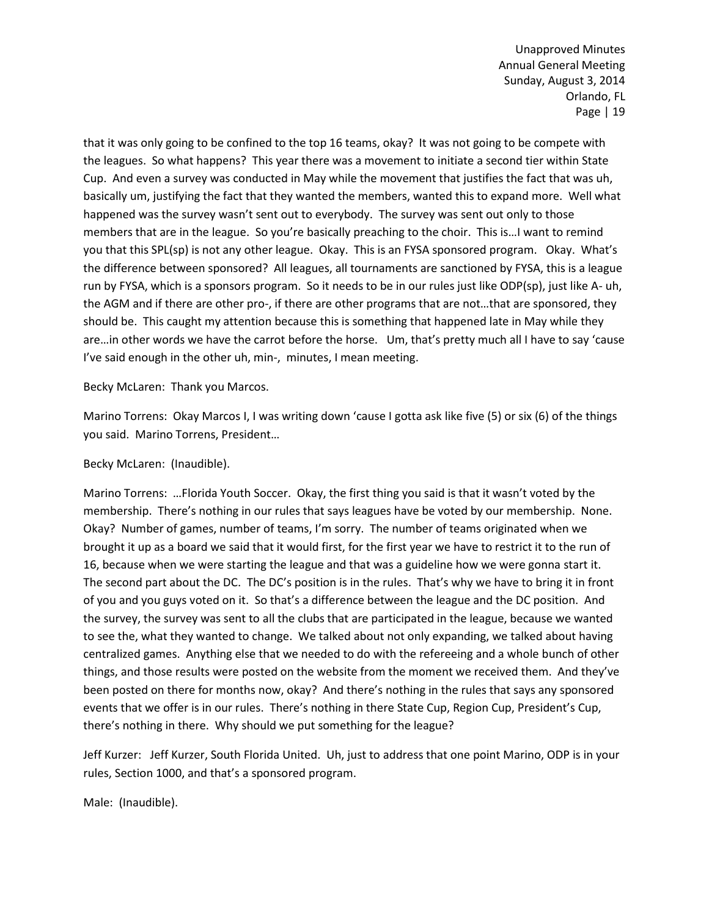that it was only going to be confined to the top 16 teams, okay? It was not going to be compete with the leagues. So what happens? This year there was a movement to initiate a second tier within State Cup. And even a survey was conducted in May while the movement that justifies the fact that was uh, basically um, justifying the fact that they wanted the members, wanted this to expand more. Well what happened was the survey wasn't sent out to everybody. The survey was sent out only to those members that are in the league. So you're basically preaching to the choir. This is…I want to remind you that this SPL(sp) is not any other league. Okay. This is an FYSA sponsored program. Okay. What's the difference between sponsored? All leagues, all tournaments are sanctioned by FYSA, this is a league run by FYSA, which is a sponsors program. So it needs to be in our rules just like ODP(sp), just like A- uh, the AGM and if there are other pro-, if there are other programs that are not...that are sponsored, they should be. This caught my attention because this is something that happened late in May while they are…in other words we have the carrot before the horse. Um, that's pretty much all I have to say 'cause I've said enough in the other uh, min-, minutes, I mean meeting.

Becky McLaren: Thank you Marcos.

Marino Torrens: Okay Marcos I, I was writing down 'cause I gotta ask like five (5) or six (6) of the things you said. Marino Torrens, President…

Becky McLaren: (Inaudible).

Marino Torrens: …Florida Youth Soccer. Okay, the first thing you said is that it wasn't voted by the membership. There's nothing in our rules that says leagues have be voted by our membership. None. Okay? Number of games, number of teams, I'm sorry. The number of teams originated when we brought it up as a board we said that it would first, for the first year we have to restrict it to the run of 16, because when we were starting the league and that was a guideline how we were gonna start it. The second part about the DC. The DC's position is in the rules. That's why we have to bring it in front of you and you guys voted on it. So that's a difference between the league and the DC position. And the survey, the survey was sent to all the clubs that are participated in the league, because we wanted to see the, what they wanted to change. We talked about not only expanding, we talked about having centralized games. Anything else that we needed to do with the refereeing and a whole bunch of other things, and those results were posted on the website from the moment we received them. And they've been posted on there for months now, okay? And there's nothing in the rules that says any sponsored events that we offer is in our rules. There's nothing in there State Cup, Region Cup, President's Cup, there's nothing in there. Why should we put something for the league?

Jeff Kurzer: Jeff Kurzer, South Florida United. Uh, just to address that one point Marino, ODP is in your rules, Section 1000, and that's a sponsored program.

Male: (Inaudible).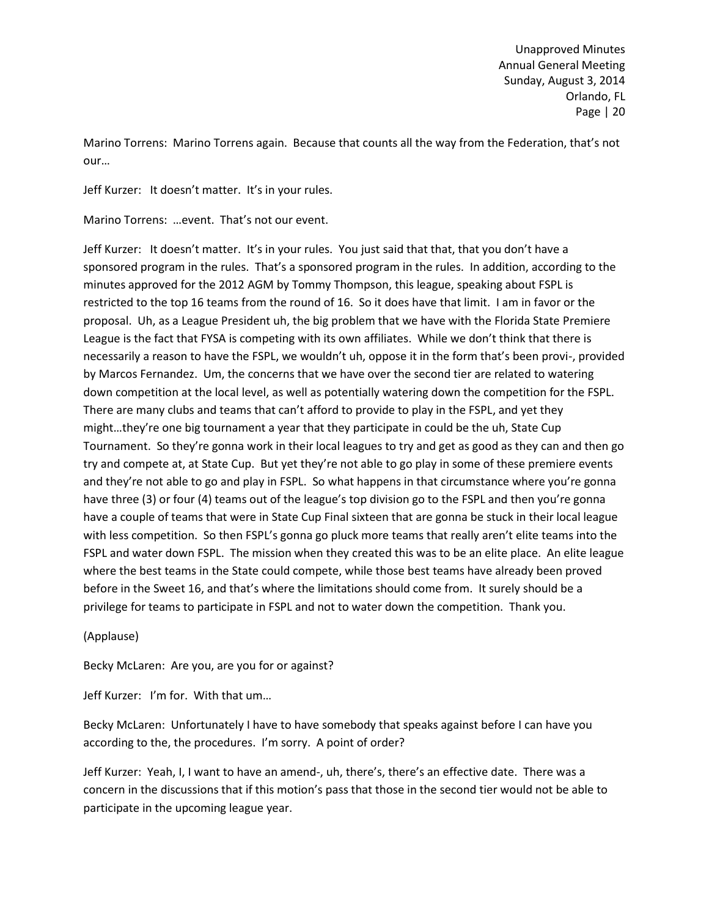Marino Torrens: Marino Torrens again. Because that counts all the way from the Federation, that's not our…

Jeff Kurzer: It doesn't matter. It's in your rules.

Marino Torrens: …event. That's not our event.

Jeff Kurzer: It doesn't matter. It's in your rules. You just said that that, that you don't have a sponsored program in the rules. That's a sponsored program in the rules. In addition, according to the minutes approved for the 2012 AGM by Tommy Thompson, this league, speaking about FSPL is restricted to the top 16 teams from the round of 16. So it does have that limit. I am in favor or the proposal. Uh, as a League President uh, the big problem that we have with the Florida State Premiere League is the fact that FYSA is competing with its own affiliates. While we don't think that there is necessarily a reason to have the FSPL, we wouldn't uh, oppose it in the form that's been provi-, provided by Marcos Fernandez. Um, the concerns that we have over the second tier are related to watering down competition at the local level, as well as potentially watering down the competition for the FSPL. There are many clubs and teams that can't afford to provide to play in the FSPL, and yet they might…they're one big tournament a year that they participate in could be the uh, State Cup Tournament. So they're gonna work in their local leagues to try and get as good as they can and then go try and compete at, at State Cup. But yet they're not able to go play in some of these premiere events and they're not able to go and play in FSPL. So what happens in that circumstance where you're gonna have three (3) or four (4) teams out of the league's top division go to the FSPL and then you're gonna have a couple of teams that were in State Cup Final sixteen that are gonna be stuck in their local league with less competition. So then FSPL's gonna go pluck more teams that really aren't elite teams into the FSPL and water down FSPL. The mission when they created this was to be an elite place. An elite league where the best teams in the State could compete, while those best teams have already been proved before in the Sweet 16, and that's where the limitations should come from. It surely should be a privilege for teams to participate in FSPL and not to water down the competition. Thank you.

(Applause)

Becky McLaren: Are you, are you for or against?

Jeff Kurzer: I'm for. With that um…

Becky McLaren: Unfortunately I have to have somebody that speaks against before I can have you according to the, the procedures. I'm sorry. A point of order?

Jeff Kurzer: Yeah, I, I want to have an amend-, uh, there's, there's an effective date. There was a concern in the discussions that if this motion's pass that those in the second tier would not be able to participate in the upcoming league year.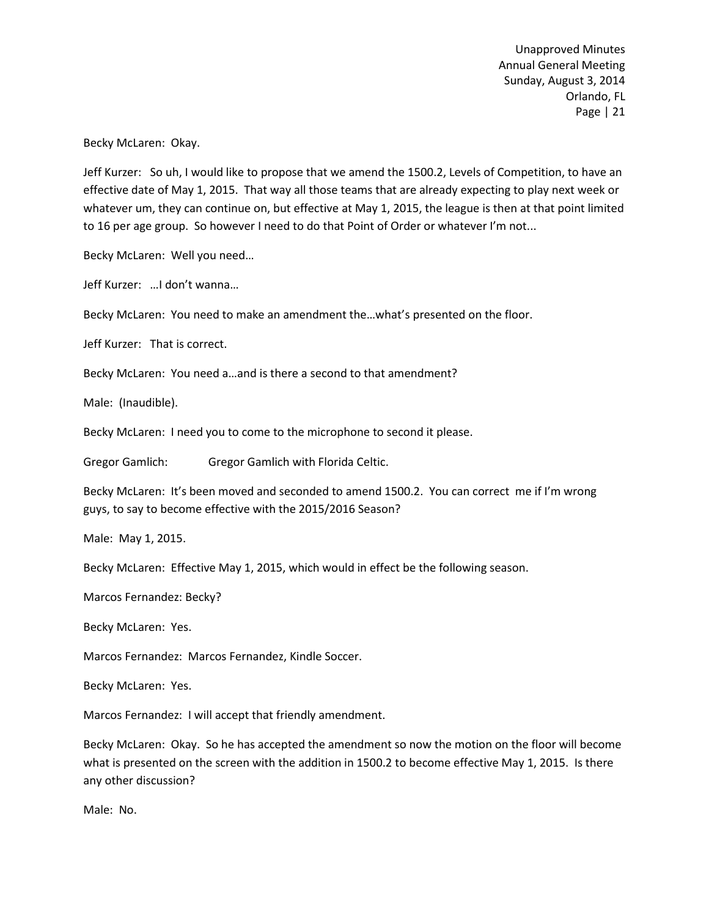Becky McLaren: Okay.

Jeff Kurzer: So uh, I would like to propose that we amend the 1500.2, Levels of Competition, to have an effective date of May 1, 2015. That way all those teams that are already expecting to play next week or whatever um, they can continue on, but effective at May 1, 2015, the league is then at that point limited to 16 per age group. So however I need to do that Point of Order or whatever I'm not...

Becky McLaren: Well you need…

Jeff Kurzer: …I don't wanna…

Becky McLaren: You need to make an amendment the…what's presented on the floor.

Jeff Kurzer: That is correct.

Becky McLaren: You need a…and is there a second to that amendment?

Male: (Inaudible).

Becky McLaren: I need you to come to the microphone to second it please.

Gregor Gamlich: Gregor Gamlich with Florida Celtic.

Becky McLaren: It's been moved and seconded to amend 1500.2. You can correct me if I'm wrong guys, to say to become effective with the 2015/2016 Season?

Male: May 1, 2015.

Becky McLaren: Effective May 1, 2015, which would in effect be the following season.

Marcos Fernandez: Becky?

Becky McLaren: Yes.

Marcos Fernandez: Marcos Fernandez, Kindle Soccer.

Becky McLaren: Yes.

Marcos Fernandez: I will accept that friendly amendment.

Becky McLaren: Okay. So he has accepted the amendment so now the motion on the floor will become what is presented on the screen with the addition in 1500.2 to become effective May 1, 2015. Is there any other discussion?

Male: No.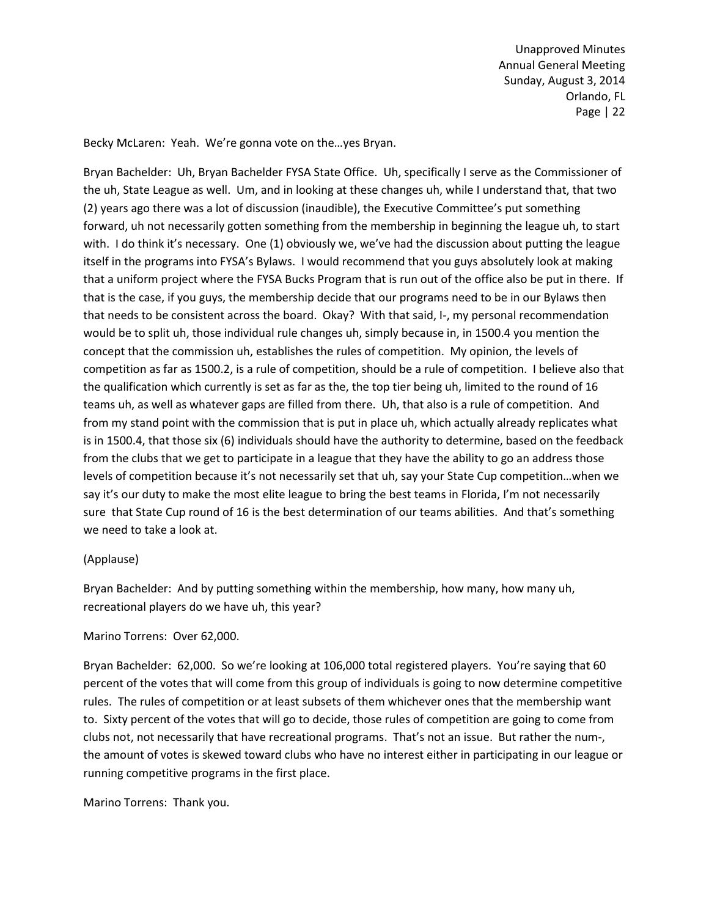Becky McLaren: Yeah. We're gonna vote on the…yes Bryan.

Bryan Bachelder: Uh, Bryan Bachelder FYSA State Office. Uh, specifically I serve as the Commissioner of the uh, State League as well. Um, and in looking at these changes uh, while I understand that, that two (2) years ago there was a lot of discussion (inaudible), the Executive Committee's put something forward, uh not necessarily gotten something from the membership in beginning the league uh, to start with. I do think it's necessary. One (1) obviously we, we've had the discussion about putting the league itself in the programs into FYSA's Bylaws. I would recommend that you guys absolutely look at making that a uniform project where the FYSA Bucks Program that is run out of the office also be put in there. If that is the case, if you guys, the membership decide that our programs need to be in our Bylaws then that needs to be consistent across the board. Okay? With that said, I-, my personal recommendation would be to split uh, those individual rule changes uh, simply because in, in 1500.4 you mention the concept that the commission uh, establishes the rules of competition. My opinion, the levels of competition as far as 1500.2, is a rule of competition, should be a rule of competition. I believe also that the qualification which currently is set as far as the, the top tier being uh, limited to the round of 16 teams uh, as well as whatever gaps are filled from there. Uh, that also is a rule of competition. And from my stand point with the commission that is put in place uh, which actually already replicates what is in 1500.4, that those six (6) individuals should have the authority to determine, based on the feedback from the clubs that we get to participate in a league that they have the ability to go an address those levels of competition because it's not necessarily set that uh, say your State Cup competition…when we say it's our duty to make the most elite league to bring the best teams in Florida, I'm not necessarily sure that State Cup round of 16 is the best determination of our teams abilities. And that's something we need to take a look at.

# (Applause)

Bryan Bachelder: And by putting something within the membership, how many, how many uh, recreational players do we have uh, this year?

# Marino Torrens: Over 62,000.

Bryan Bachelder: 62,000. So we're looking at 106,000 total registered players. You're saying that 60 percent of the votes that will come from this group of individuals is going to now determine competitive rules. The rules of competition or at least subsets of them whichever ones that the membership want to. Sixty percent of the votes that will go to decide, those rules of competition are going to come from clubs not, not necessarily that have recreational programs. That's not an issue. But rather the num-, the amount of votes is skewed toward clubs who have no interest either in participating in our league or running competitive programs in the first place.

Marino Torrens: Thank you.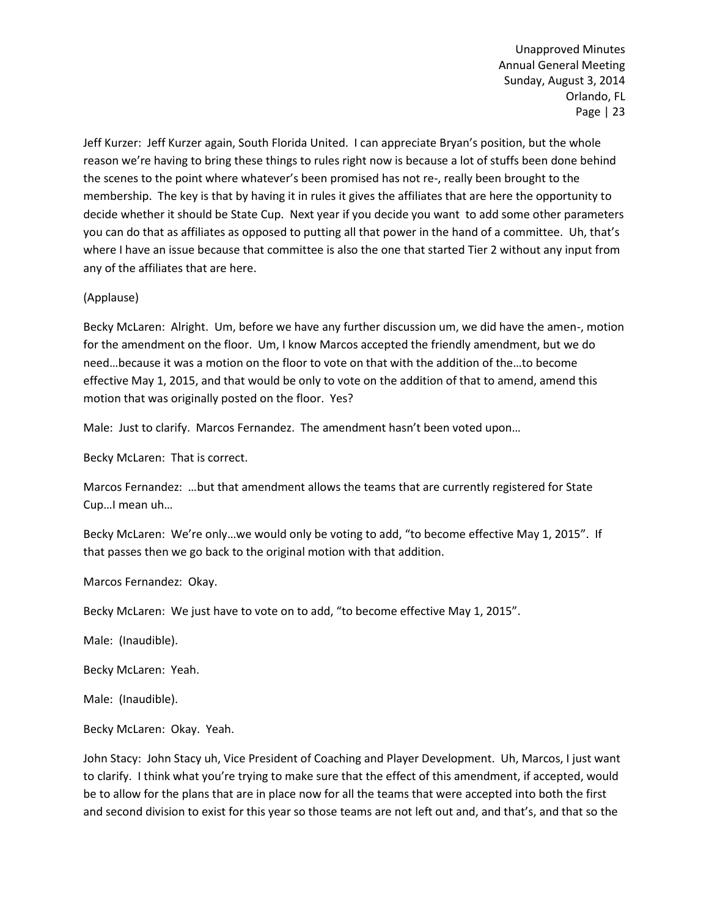Jeff Kurzer: Jeff Kurzer again, South Florida United. I can appreciate Bryan's position, but the whole reason we're having to bring these things to rules right now is because a lot of stuffs been done behind the scenes to the point where whatever's been promised has not re-, really been brought to the membership. The key is that by having it in rules it gives the affiliates that are here the opportunity to decide whether it should be State Cup. Next year if you decide you want to add some other parameters you can do that as affiliates as opposed to putting all that power in the hand of a committee. Uh, that's where I have an issue because that committee is also the one that started Tier 2 without any input from any of the affiliates that are here.

# (Applause)

Becky McLaren: Alright. Um, before we have any further discussion um, we did have the amen-, motion for the amendment on the floor. Um, I know Marcos accepted the friendly amendment, but we do need…because it was a motion on the floor to vote on that with the addition of the…to become effective May 1, 2015, and that would be only to vote on the addition of that to amend, amend this motion that was originally posted on the floor. Yes?

Male: Just to clarify. Marcos Fernandez. The amendment hasn't been voted upon…

Becky McLaren: That is correct.

Marcos Fernandez: …but that amendment allows the teams that are currently registered for State Cup…I mean uh…

Becky McLaren: We're only…we would only be voting to add, "to become effective May 1, 2015". If that passes then we go back to the original motion with that addition.

Marcos Fernandez: Okay.

Becky McLaren: We just have to vote on to add, "to become effective May 1, 2015".

Male: (Inaudible).

Becky McLaren: Yeah.

Male: (Inaudible).

Becky McLaren: Okay. Yeah.

John Stacy: John Stacy uh, Vice President of Coaching and Player Development. Uh, Marcos, I just want to clarify. I think what you're trying to make sure that the effect of this amendment, if accepted, would be to allow for the plans that are in place now for all the teams that were accepted into both the first and second division to exist for this year so those teams are not left out and, and that's, and that so the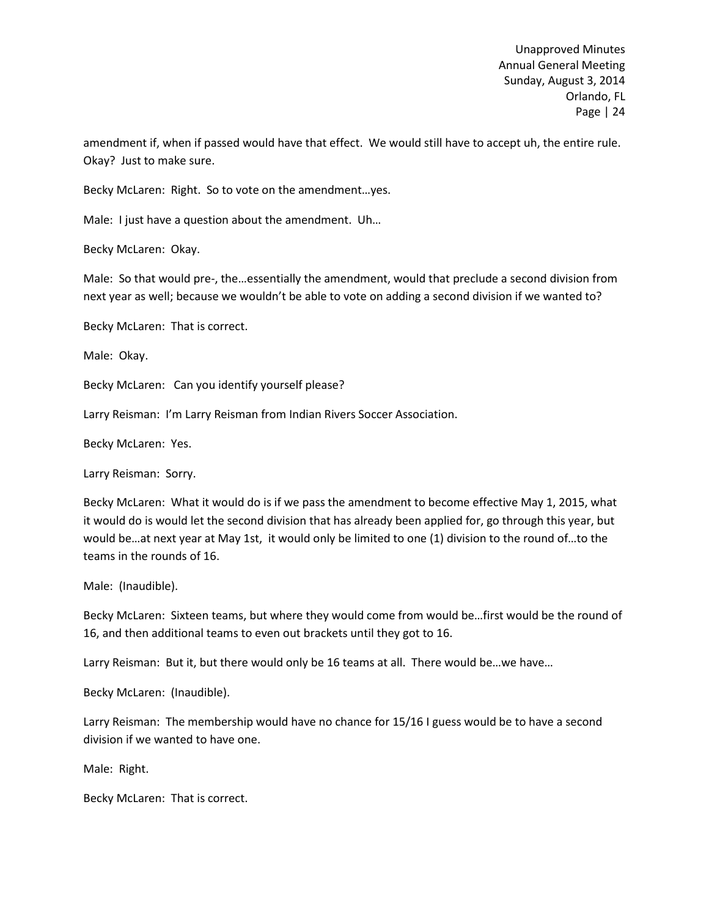amendment if, when if passed would have that effect. We would still have to accept uh, the entire rule. Okay? Just to make sure.

Becky McLaren: Right. So to vote on the amendment…yes.

Male: I just have a question about the amendment. Uh…

Becky McLaren: Okay.

Male: So that would pre-, the…essentially the amendment, would that preclude a second division from next year as well; because we wouldn't be able to vote on adding a second division if we wanted to?

Becky McLaren: That is correct.

Male: Okay.

Becky McLaren: Can you identify yourself please?

Larry Reisman: I'm Larry Reisman from Indian Rivers Soccer Association.

Becky McLaren: Yes.

Larry Reisman: Sorry.

Becky McLaren: What it would do is if we pass the amendment to become effective May 1, 2015, what it would do is would let the second division that has already been applied for, go through this year, but would be…at next year at May 1st, it would only be limited to one (1) division to the round of…to the teams in the rounds of 16.

Male: (Inaudible).

Becky McLaren: Sixteen teams, but where they would come from would be…first would be the round of 16, and then additional teams to even out brackets until they got to 16.

Larry Reisman: But it, but there would only be 16 teams at all. There would be…we have…

Becky McLaren: (Inaudible).

Larry Reisman: The membership would have no chance for 15/16 I guess would be to have a second division if we wanted to have one.

Male: Right.

Becky McLaren: That is correct.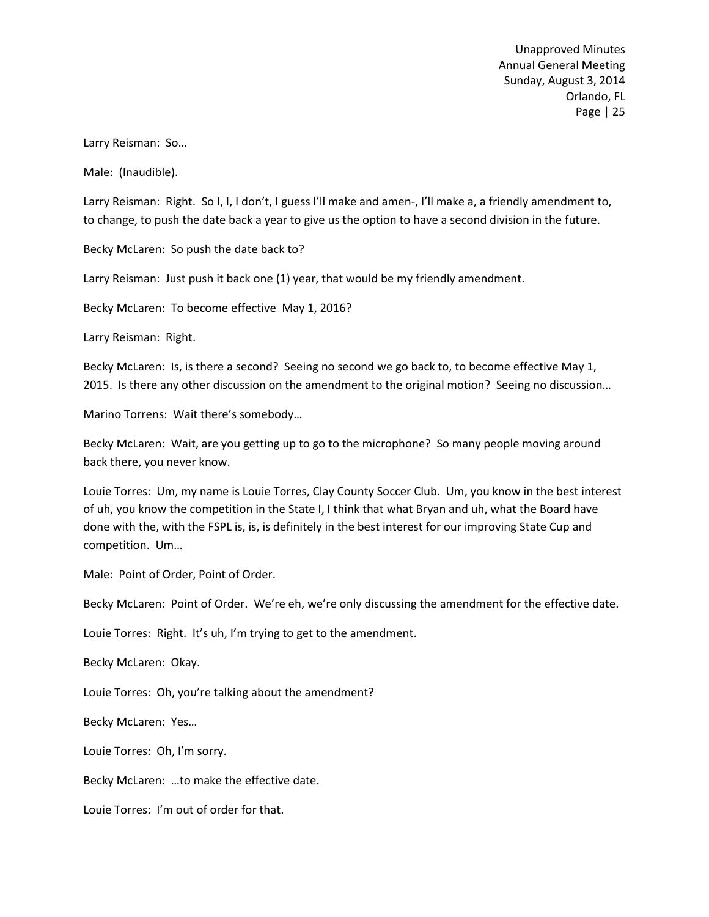Larry Reisman: So…

Male: (Inaudible).

Larry Reisman: Right. So I, I, I don't, I guess I'll make and amen-, I'll make a, a friendly amendment to, to change, to push the date back a year to give us the option to have a second division in the future.

Becky McLaren: So push the date back to?

Larry Reisman: Just push it back one (1) year, that would be my friendly amendment.

Becky McLaren: To become effective May 1, 2016?

Larry Reisman: Right.

Becky McLaren: Is, is there a second? Seeing no second we go back to, to become effective May 1, 2015. Is there any other discussion on the amendment to the original motion? Seeing no discussion…

Marino Torrens: Wait there's somebody…

Becky McLaren: Wait, are you getting up to go to the microphone? So many people moving around back there, you never know.

Louie Torres: Um, my name is Louie Torres, Clay County Soccer Club. Um, you know in the best interest of uh, you know the competition in the State I, I think that what Bryan and uh, what the Board have done with the, with the FSPL is, is, is definitely in the best interest for our improving State Cup and competition. Um…

Male: Point of Order, Point of Order.

Becky McLaren: Point of Order. We're eh, we're only discussing the amendment for the effective date.

Louie Torres: Right. It's uh, I'm trying to get to the amendment.

Becky McLaren: Okay.

Louie Torres: Oh, you're talking about the amendment?

Becky McLaren: Yes…

Louie Torres: Oh, I'm sorry.

Becky McLaren: …to make the effective date.

Louie Torres: I'm out of order for that.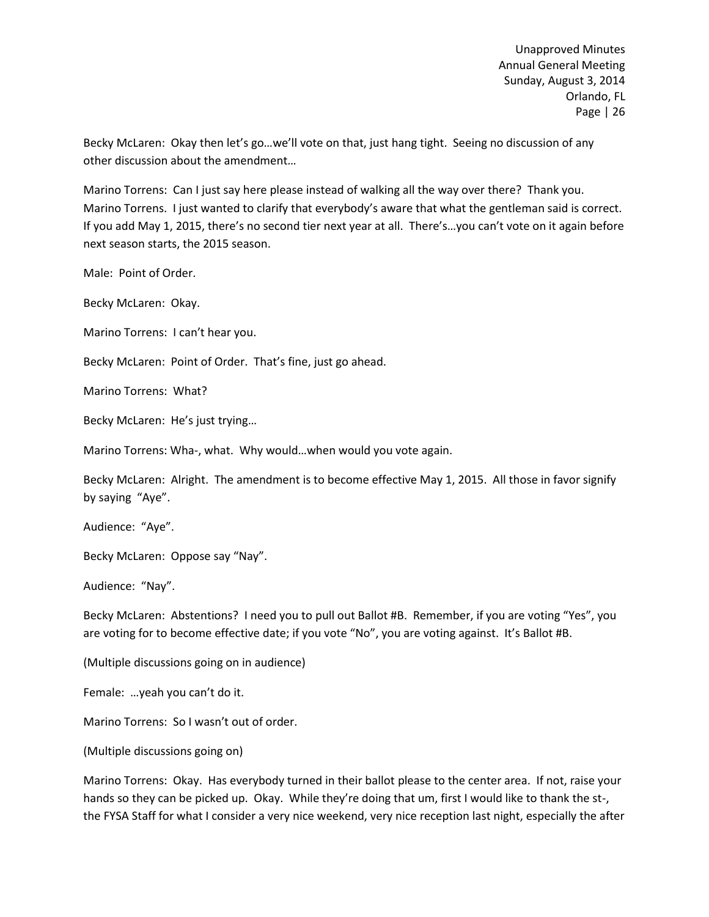Becky McLaren: Okay then let's go…we'll vote on that, just hang tight. Seeing no discussion of any other discussion about the amendment…

Marino Torrens: Can I just say here please instead of walking all the way over there? Thank you. Marino Torrens. I just wanted to clarify that everybody's aware that what the gentleman said is correct. If you add May 1, 2015, there's no second tier next year at all. There's…you can't vote on it again before next season starts, the 2015 season.

Male: Point of Order.

Becky McLaren: Okay.

Marino Torrens: I can't hear you.

Becky McLaren: Point of Order. That's fine, just go ahead.

Marino Torrens: What?

Becky McLaren: He's just trying…

Marino Torrens: Wha-, what. Why would…when would you vote again.

Becky McLaren: Alright. The amendment is to become effective May 1, 2015. All those in favor signify by saying "Aye".

Audience: "Aye".

Becky McLaren: Oppose say "Nay".

Audience: "Nay".

Becky McLaren: Abstentions? I need you to pull out Ballot #B. Remember, if you are voting "Yes", you are voting for to become effective date; if you vote "No", you are voting against. It's Ballot #B.

(Multiple discussions going on in audience)

Female: …yeah you can't do it.

Marino Torrens: So I wasn't out of order.

(Multiple discussions going on)

Marino Torrens: Okay. Has everybody turned in their ballot please to the center area. If not, raise your hands so they can be picked up. Okay. While they're doing that um, first I would like to thank the st-, the FYSA Staff for what I consider a very nice weekend, very nice reception last night, especially the after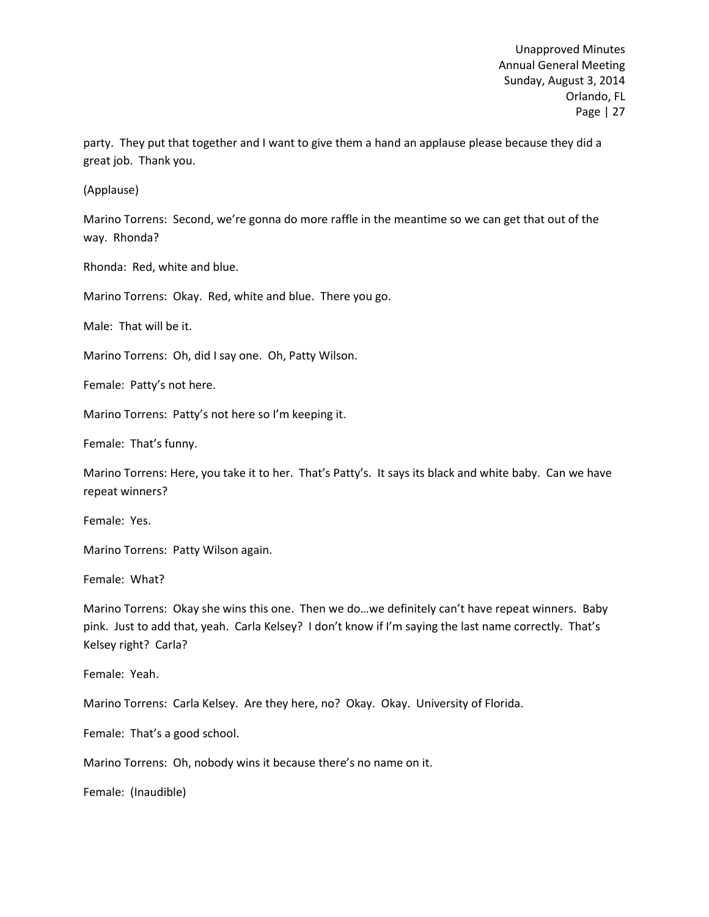party. They put that together and I want to give them a hand an applause please because they did a great job. Thank you.

(Applause)

Marino Torrens: Second, we're gonna do more raffle in the meantime so we can get that out of the way. Rhonda?

Rhonda: Red, white and blue.

Marino Torrens: Okay. Red, white and blue. There you go.

Male: That will be it.

Marino Torrens: Oh, did I say one. Oh, Patty Wilson.

Female: Patty's not here.

Marino Torrens: Patty's not here so I'm keeping it.

Female: That's funny.

Marino Torrens: Here, you take it to her. That's Patty's. It says its black and white baby. Can we have repeat winners?

Female: Yes.

Marino Torrens: Patty Wilson again.

Female: What?

Marino Torrens: Okay she wins this one. Then we do…we definitely can't have repeat winners. Baby pink. Just to add that, yeah. Carla Kelsey? I don't know if I'm saying the last name correctly. That's Kelsey right? Carla?

Female: Yeah.

Marino Torrens: Carla Kelsey. Are they here, no? Okay. Okay. University of Florida.

Female: That's a good school.

Marino Torrens: Oh, nobody wins it because there's no name on it.

Female: (Inaudible)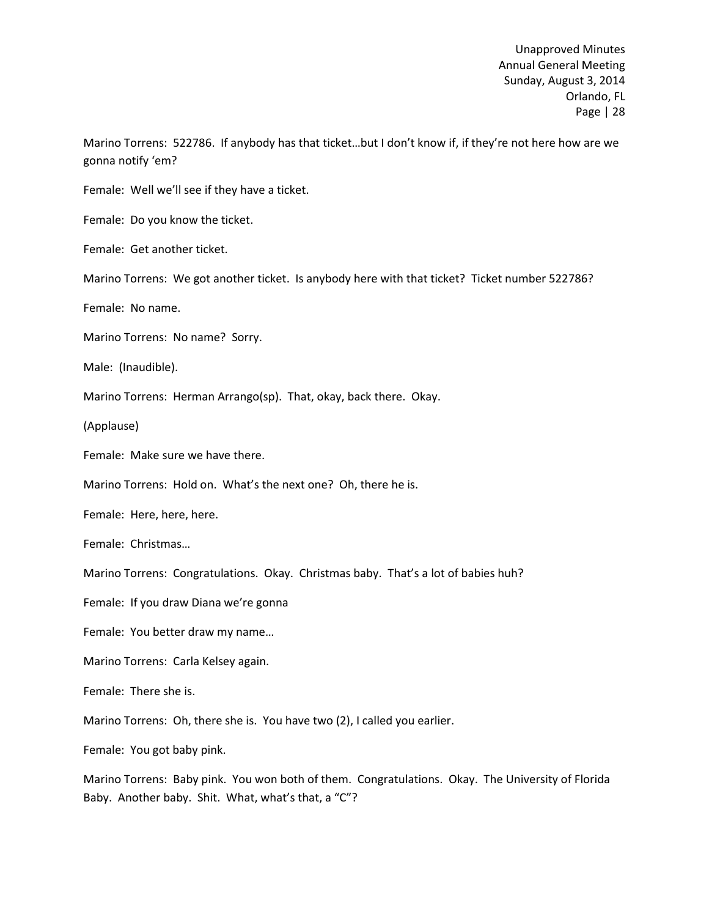Marino Torrens: 522786. If anybody has that ticket…but I don't know if, if they're not here how are we gonna notify 'em?

Female: Well we'll see if they have a ticket.

Female: Do you know the ticket.

Female: Get another ticket.

Marino Torrens: We got another ticket. Is anybody here with that ticket? Ticket number 522786?

Female: No name.

Marino Torrens: No name? Sorry.

Male: (Inaudible).

Marino Torrens: Herman Arrango(sp). That, okay, back there. Okay.

(Applause)

Female: Make sure we have there.

Marino Torrens: Hold on. What's the next one? Oh, there he is.

Female: Here, here, here.

Female: Christmas…

Marino Torrens: Congratulations. Okay. Christmas baby. That's a lot of babies huh?

Female: If you draw Diana we're gonna

Female: You better draw my name…

Marino Torrens: Carla Kelsey again.

Female: There she is.

Marino Torrens: Oh, there she is. You have two (2), I called you earlier.

Female: You got baby pink.

Marino Torrens: Baby pink. You won both of them. Congratulations. Okay. The University of Florida Baby. Another baby. Shit. What, what's that, a "C"?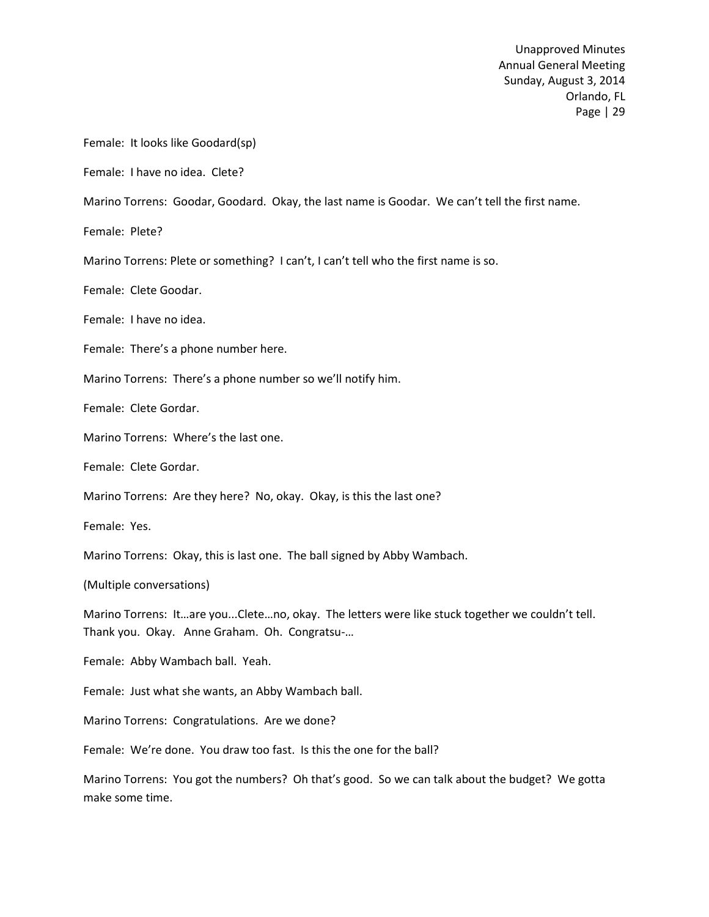Female: It looks like Goodard(sp)

Female: I have no idea. Clete?

Marino Torrens: Goodar, Goodard. Okay, the last name is Goodar. We can't tell the first name.

Female: Plete?

Marino Torrens: Plete or something? I can't, I can't tell who the first name is so.

Female: Clete Goodar.

Female: I have no idea.

Female: There's a phone number here.

Marino Torrens: There's a phone number so we'll notify him.

Female: Clete Gordar.

Marino Torrens: Where's the last one.

Female: Clete Gordar.

Marino Torrens: Are they here? No, okay. Okay, is this the last one?

Female: Yes.

Marino Torrens: Okay, this is last one. The ball signed by Abby Wambach.

(Multiple conversations)

Marino Torrens: It…are you...Clete…no, okay. The letters were like stuck together we couldn't tell. Thank you. Okay. Anne Graham. Oh. Congratsu-…

Female: Abby Wambach ball. Yeah.

Female: Just what she wants, an Abby Wambach ball.

Marino Torrens: Congratulations. Are we done?

Female: We're done. You draw too fast. Is this the one for the ball?

Marino Torrens: You got the numbers? Oh that's good. So we can talk about the budget? We gotta make some time.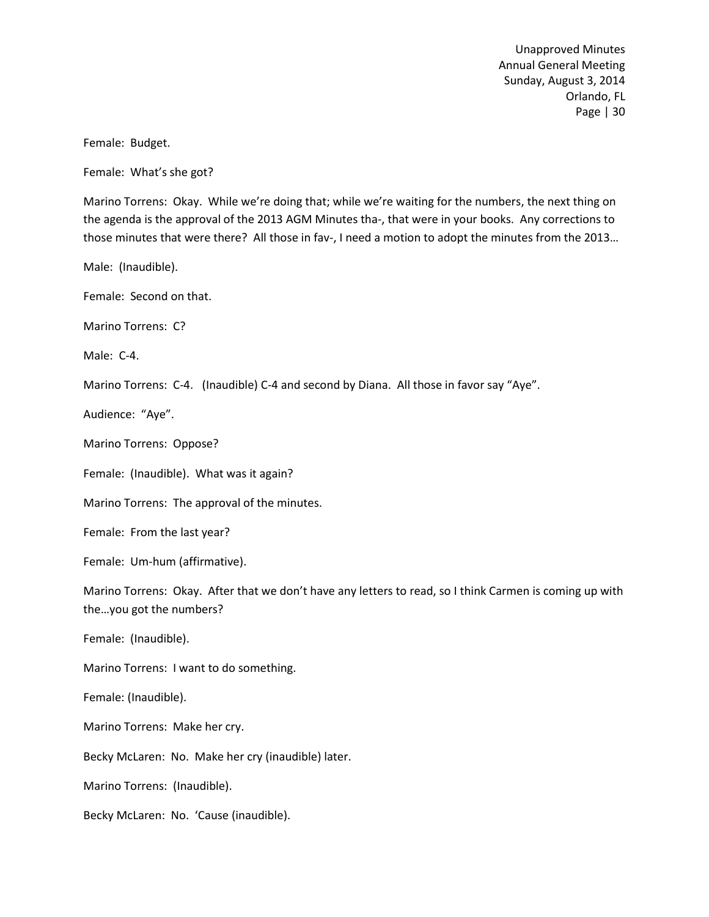Female: Budget.

Female: What's she got?

Marino Torrens: Okay. While we're doing that; while we're waiting for the numbers, the next thing on the agenda is the approval of the 2013 AGM Minutes tha-, that were in your books. Any corrections to those minutes that were there? All those in fav-, I need a motion to adopt the minutes from the 2013…

Male: (Inaudible).

Female: Second on that.

Marino Torrens: C?

Male: C-4.

Marino Torrens: C-4. (Inaudible) C-4 and second by Diana. All those in favor say "Aye".

Audience: "Aye".

Marino Torrens: Oppose?

Female: (Inaudible). What was it again?

Marino Torrens: The approval of the minutes.

Female: From the last year?

Female: Um-hum (affirmative).

Marino Torrens: Okay. After that we don't have any letters to read, so I think Carmen is coming up with the…you got the numbers?

Female: (Inaudible).

Marino Torrens: I want to do something.

Female: (Inaudible).

Marino Torrens: Make her cry.

Becky McLaren: No. Make her cry (inaudible) later.

Marino Torrens: (Inaudible).

Becky McLaren: No. 'Cause (inaudible).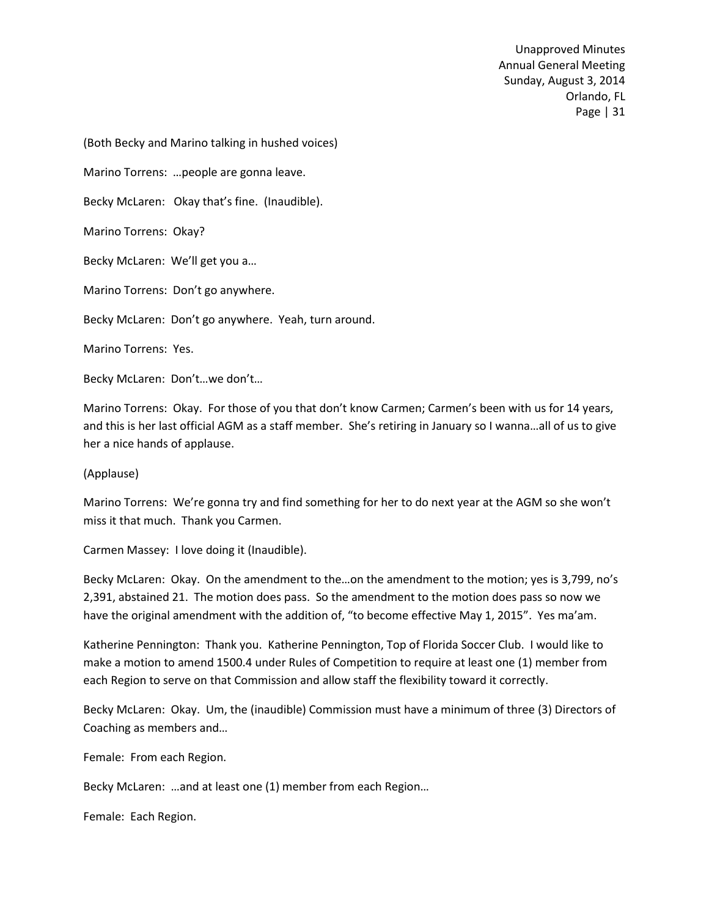(Both Becky and Marino talking in hushed voices)

Marino Torrens: …people are gonna leave.

Becky McLaren: Okay that's fine. (Inaudible).

Marino Torrens: Okay?

Becky McLaren: We'll get you a…

Marino Torrens: Don't go anywhere.

Becky McLaren: Don't go anywhere. Yeah, turn around.

Marino Torrens: Yes.

Becky McLaren: Don't…we don't…

Marino Torrens: Okay. For those of you that don't know Carmen; Carmen's been with us for 14 years, and this is her last official AGM as a staff member. She's retiring in January so I wanna…all of us to give her a nice hands of applause.

### (Applause)

Marino Torrens: We're gonna try and find something for her to do next year at the AGM so she won't miss it that much. Thank you Carmen.

Carmen Massey: I love doing it (Inaudible).

Becky McLaren: Okay. On the amendment to the…on the amendment to the motion; yes is 3,799, no's 2,391, abstained 21. The motion does pass. So the amendment to the motion does pass so now we have the original amendment with the addition of, "to become effective May 1, 2015". Yes ma'am.

Katherine Pennington: Thank you. Katherine Pennington, Top of Florida Soccer Club. I would like to make a motion to amend 1500.4 under Rules of Competition to require at least one (1) member from each Region to serve on that Commission and allow staff the flexibility toward it correctly.

Becky McLaren: Okay. Um, the (inaudible) Commission must have a minimum of three (3) Directors of Coaching as members and…

Female: From each Region.

Becky McLaren: …and at least one (1) member from each Region…

Female: Each Region.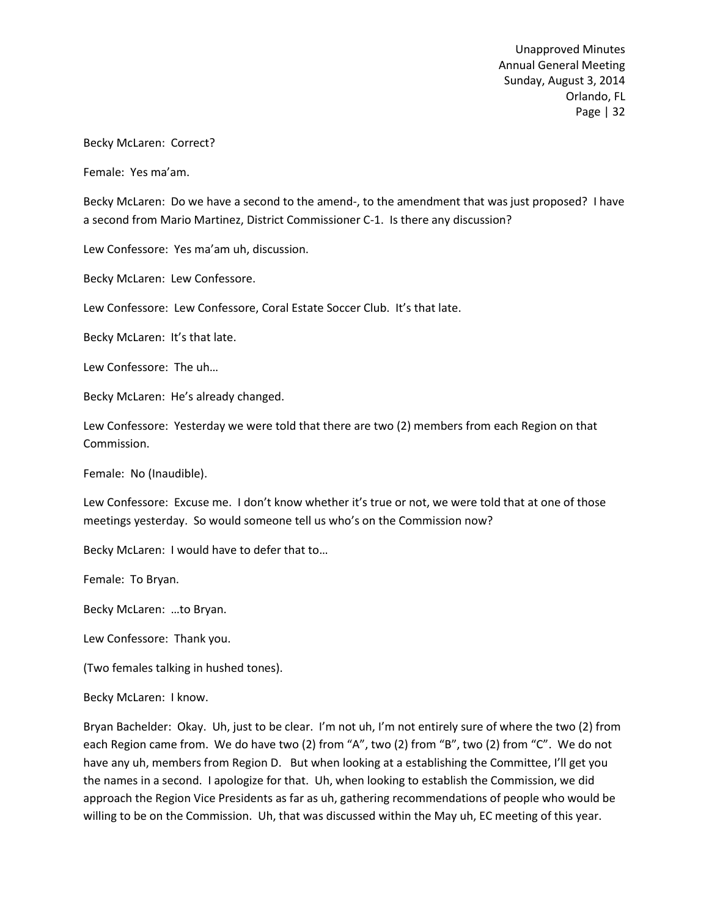### Becky McLaren: Correct?

Female: Yes ma'am.

Becky McLaren: Do we have a second to the amend-, to the amendment that was just proposed? I have a second from Mario Martinez, District Commissioner C-1. Is there any discussion?

Lew Confessore: Yes ma'am uh, discussion.

Becky McLaren: Lew Confessore.

Lew Confessore: Lew Confessore, Coral Estate Soccer Club. It's that late.

Becky McLaren: It's that late.

Lew Confessore: The uh…

Becky McLaren: He's already changed.

Lew Confessore: Yesterday we were told that there are two (2) members from each Region on that Commission.

Female: No (Inaudible).

Lew Confessore: Excuse me. I don't know whether it's true or not, we were told that at one of those meetings yesterday. So would someone tell us who's on the Commission now?

Becky McLaren: I would have to defer that to…

Female: To Bryan.

Becky McLaren: …to Bryan.

Lew Confessore: Thank you.

(Two females talking in hushed tones).

Becky McLaren: I know.

Bryan Bachelder: Okay. Uh, just to be clear. I'm not uh, I'm not entirely sure of where the two (2) from each Region came from. We do have two (2) from "A", two (2) from "B", two (2) from "C". We do not have any uh, members from Region D. But when looking at a establishing the Committee, I'll get you the names in a second. I apologize for that. Uh, when looking to establish the Commission, we did approach the Region Vice Presidents as far as uh, gathering recommendations of people who would be willing to be on the Commission. Uh, that was discussed within the May uh, EC meeting of this year.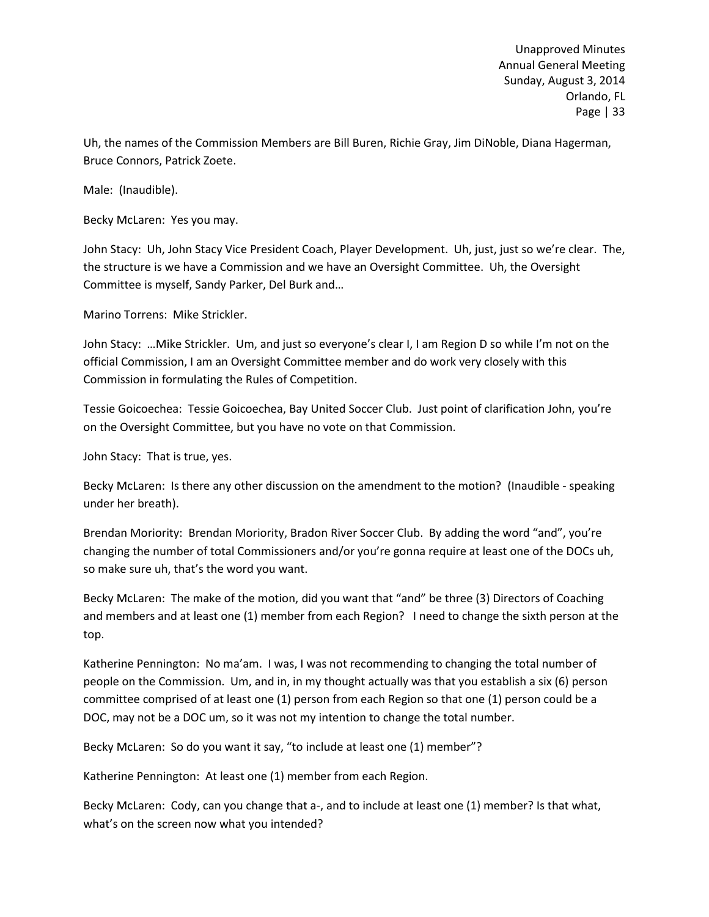Uh, the names of the Commission Members are Bill Buren, Richie Gray, Jim DiNoble, Diana Hagerman, Bruce Connors, Patrick Zoete.

Male: (Inaudible).

Becky McLaren: Yes you may.

John Stacy: Uh, John Stacy Vice President Coach, Player Development. Uh, just, just so we're clear. The, the structure is we have a Commission and we have an Oversight Committee. Uh, the Oversight Committee is myself, Sandy Parker, Del Burk and…

Marino Torrens: Mike Strickler.

John Stacy: …Mike Strickler. Um, and just so everyone's clear I, I am Region D so while I'm not on the official Commission, I am an Oversight Committee member and do work very closely with this Commission in formulating the Rules of Competition.

Tessie Goicoechea: Tessie Goicoechea, Bay United Soccer Club. Just point of clarification John, you're on the Oversight Committee, but you have no vote on that Commission.

John Stacy: That is true, yes.

Becky McLaren: Is there any other discussion on the amendment to the motion? (Inaudible - speaking under her breath).

Brendan Moriority: Brendan Moriority, Bradon River Soccer Club. By adding the word "and", you're changing the number of total Commissioners and/or you're gonna require at least one of the DOCs uh, so make sure uh, that's the word you want.

Becky McLaren: The make of the motion, did you want that "and" be three (3) Directors of Coaching and members and at least one (1) member from each Region? I need to change the sixth person at the top.

Katherine Pennington: No ma'am. I was, I was not recommending to changing the total number of people on the Commission. Um, and in, in my thought actually was that you establish a six (6) person committee comprised of at least one (1) person from each Region so that one (1) person could be a DOC, may not be a DOC um, so it was not my intention to change the total number.

Becky McLaren: So do you want it say, "to include at least one (1) member"?

Katherine Pennington: At least one (1) member from each Region.

Becky McLaren: Cody, can you change that a-, and to include at least one (1) member? Is that what, what's on the screen now what you intended?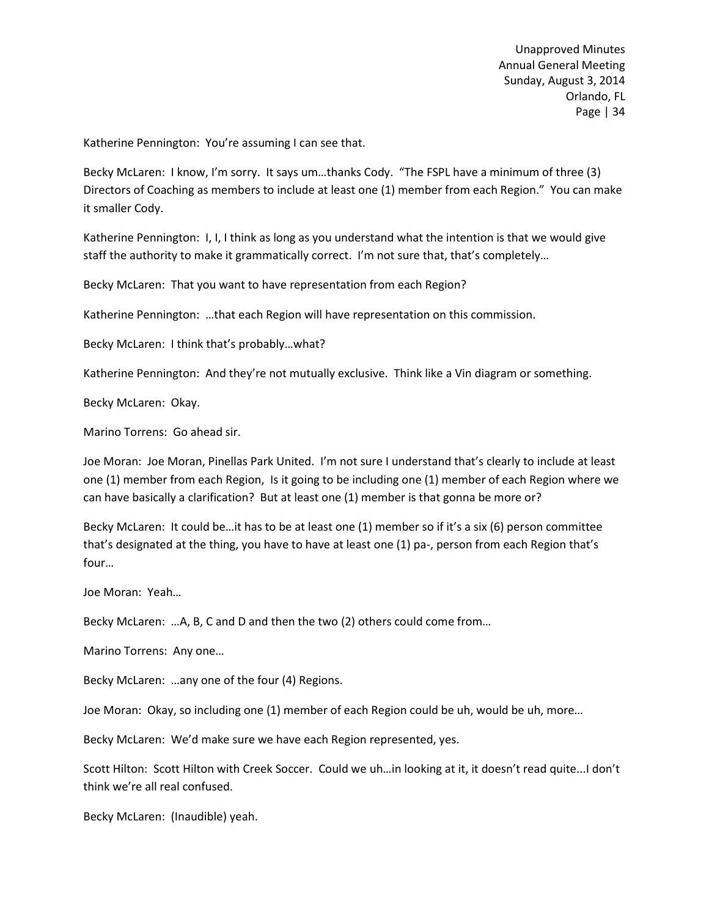Katherine Pennington: You're assuming I can see that.

Becky McLaren: I know, I'm sorry. It says um…thanks Cody. "The FSPL have a minimum of three (3) Directors of Coaching as members to include at least one (1) member from each Region." You can make it smaller Cody.

Katherine Pennington: I, I, I think as long as you understand what the intention is that we would give staff the authority to make it grammatically correct. I'm not sure that, that's completely…

Becky McLaren: That you want to have representation from each Region?

Katherine Pennington: …that each Region will have representation on this commission.

Becky McLaren: I think that's probably…what?

Katherine Pennington: And they're not mutually exclusive. Think like a Vin diagram or something.

Becky McLaren: Okay.

Marino Torrens: Go ahead sir.

Joe Moran: Joe Moran, Pinellas Park United. I'm not sure I understand that's clearly to include at least one (1) member from each Region, Is it going to be including one (1) member of each Region where we can have basically a clarification? But at least one (1) member is that gonna be more or?

Becky McLaren: It could be…it has to be at least one (1) member so if it's a six (6) person committee that's designated at the thing, you have to have at least one (1) pa-, person from each Region that's four…

Joe Moran: Yeah…

Becky McLaren: …A, B, C and D and then the two (2) others could come from…

Marino Torrens: Any one…

Becky McLaren: …any one of the four (4) Regions.

Joe Moran: Okay, so including one (1) member of each Region could be uh, would be uh, more…

Becky McLaren: We'd make sure we have each Region represented, yes.

Scott Hilton: Scott Hilton with Creek Soccer. Could we uh…in looking at it, it doesn't read quite...I don't think we're all real confused.

Becky McLaren: (Inaudible) yeah.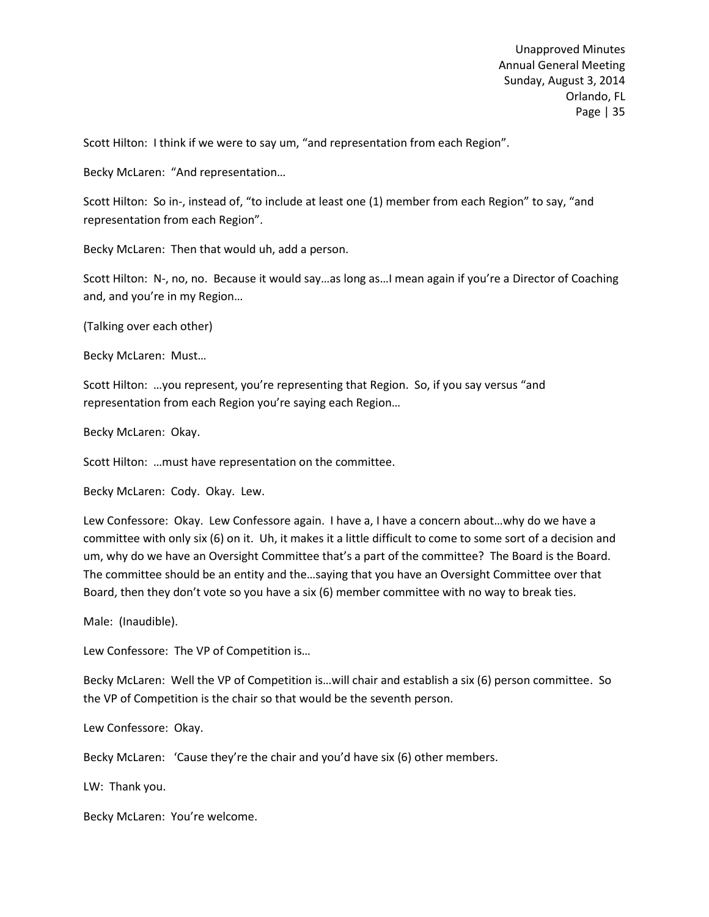Scott Hilton: I think if we were to say um, "and representation from each Region".

Becky McLaren: "And representation…

Scott Hilton: So in-, instead of, "to include at least one (1) member from each Region" to say, "and representation from each Region".

Becky McLaren: Then that would uh, add a person.

Scott Hilton: N-, no, no. Because it would say…as long as…I mean again if you're a Director of Coaching and, and you're in my Region…

(Talking over each other)

Becky McLaren: Must…

Scott Hilton: …you represent, you're representing that Region. So, if you say versus "and representation from each Region you're saying each Region…

Becky McLaren: Okay.

Scott Hilton: …must have representation on the committee.

Becky McLaren: Cody. Okay. Lew.

Lew Confessore: Okay. Lew Confessore again. I have a, I have a concern about…why do we have a committee with only six (6) on it. Uh, it makes it a little difficult to come to some sort of a decision and um, why do we have an Oversight Committee that's a part of the committee? The Board is the Board. The committee should be an entity and the…saying that you have an Oversight Committee over that Board, then they don't vote so you have a six (6) member committee with no way to break ties.

Male: (Inaudible).

Lew Confessore: The VP of Competition is…

Becky McLaren: Well the VP of Competition is…will chair and establish a six (6) person committee. So the VP of Competition is the chair so that would be the seventh person.

Lew Confessore: Okay.

Becky McLaren: 'Cause they're the chair and you'd have six (6) other members.

LW: Thank you.

Becky McLaren: You're welcome.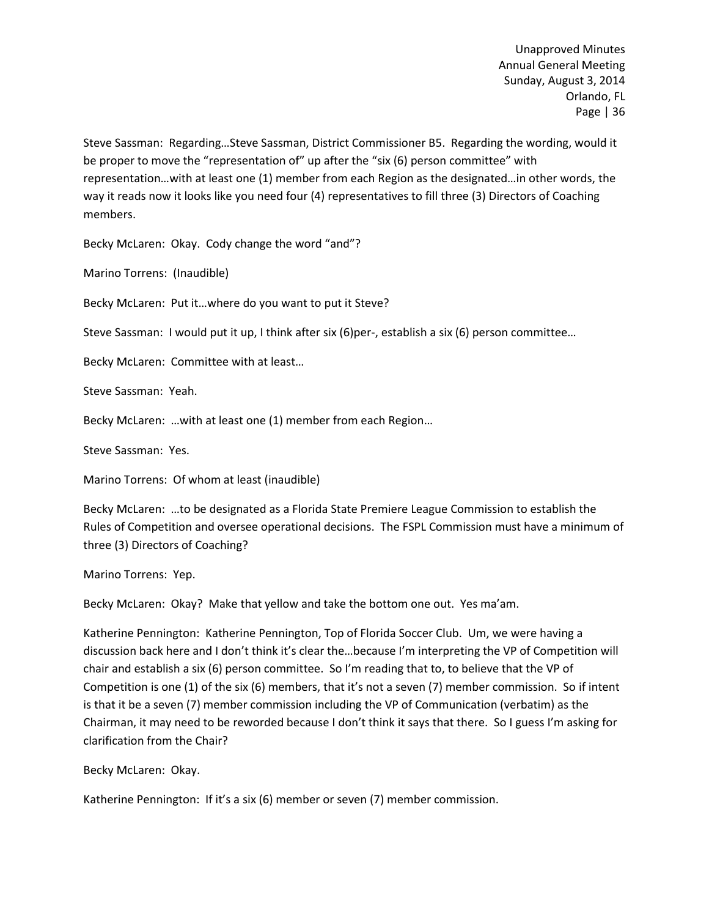Steve Sassman: Regarding…Steve Sassman, District Commissioner B5. Regarding the wording, would it be proper to move the "representation of" up after the "six (6) person committee" with representation…with at least one (1) member from each Region as the designated…in other words, the way it reads now it looks like you need four (4) representatives to fill three (3) Directors of Coaching members.

Becky McLaren: Okay. Cody change the word "and"?

Marino Torrens: (Inaudible)

Becky McLaren: Put it…where do you want to put it Steve?

Steve Sassman: I would put it up, I think after six (6)per-, establish a six (6) person committee...

Becky McLaren: Committee with at least…

Steve Sassman: Yeah.

Becky McLaren: …with at least one (1) member from each Region…

Steve Sassman: Yes.

Marino Torrens: Of whom at least (inaudible)

Becky McLaren: …to be designated as a Florida State Premiere League Commission to establish the Rules of Competition and oversee operational decisions. The FSPL Commission must have a minimum of three (3) Directors of Coaching?

Marino Torrens: Yep.

Becky McLaren: Okay? Make that yellow and take the bottom one out. Yes ma'am.

Katherine Pennington: Katherine Pennington, Top of Florida Soccer Club. Um, we were having a discussion back here and I don't think it's clear the…because I'm interpreting the VP of Competition will chair and establish a six (6) person committee. So I'm reading that to, to believe that the VP of Competition is one (1) of the six (6) members, that it's not a seven (7) member commission. So if intent is that it be a seven (7) member commission including the VP of Communication (verbatim) as the Chairman, it may need to be reworded because I don't think it says that there. So I guess I'm asking for clarification from the Chair?

Becky McLaren: Okay.

Katherine Pennington: If it's a six (6) member or seven (7) member commission.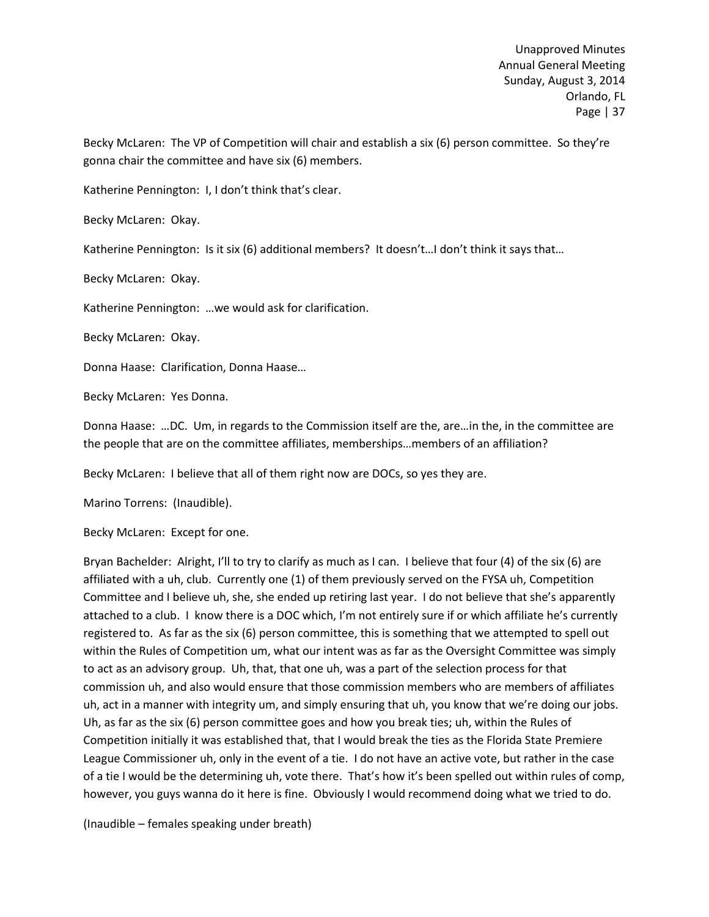Becky McLaren: The VP of Competition will chair and establish a six (6) person committee. So they're gonna chair the committee and have six (6) members.

Katherine Pennington: I, I don't think that's clear.

Becky McLaren: Okay.

Katherine Pennington: Is it six (6) additional members? It doesn't…I don't think it says that…

Becky McLaren: Okay.

Katherine Pennington: …we would ask for clarification.

Becky McLaren: Okay.

Donna Haase: Clarification, Donna Haase…

Becky McLaren: Yes Donna.

Donna Haase: …DC. Um, in regards to the Commission itself are the, are…in the, in the committee are the people that are on the committee affiliates, memberships…members of an affiliation?

Becky McLaren: I believe that all of them right now are DOCs, so yes they are.

Marino Torrens: (Inaudible).

Becky McLaren: Except for one.

Bryan Bachelder: Alright, I'll to try to clarify as much as I can. I believe that four (4) of the six (6) are affiliated with a uh, club. Currently one (1) of them previously served on the FYSA uh, Competition Committee and I believe uh, she, she ended up retiring last year. I do not believe that she's apparently attached to a club. I know there is a DOC which, I'm not entirely sure if or which affiliate he's currently registered to. As far as the six (6) person committee, this is something that we attempted to spell out within the Rules of Competition um, what our intent was as far as the Oversight Committee was simply to act as an advisory group. Uh, that, that one uh, was a part of the selection process for that commission uh, and also would ensure that those commission members who are members of affiliates uh, act in a manner with integrity um, and simply ensuring that uh, you know that we're doing our jobs. Uh, as far as the six (6) person committee goes and how you break ties; uh, within the Rules of Competition initially it was established that, that I would break the ties as the Florida State Premiere League Commissioner uh, only in the event of a tie. I do not have an active vote, but rather in the case of a tie I would be the determining uh, vote there. That's how it's been spelled out within rules of comp, however, you guys wanna do it here is fine. Obviously I would recommend doing what we tried to do.

(Inaudible – females speaking under breath)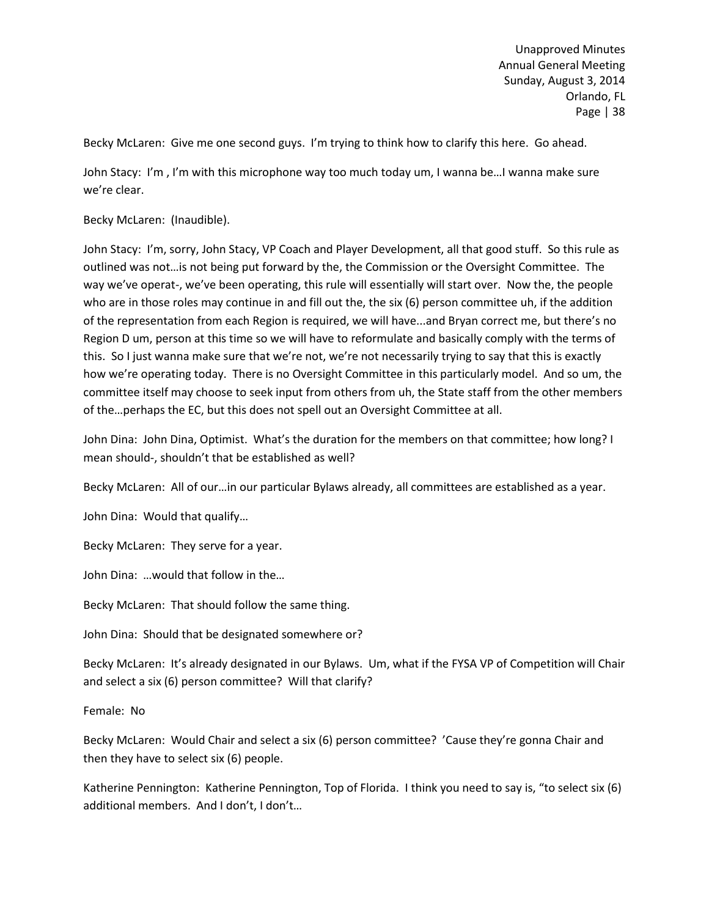Becky McLaren: Give me one second guys. I'm trying to think how to clarify this here. Go ahead.

John Stacy: I'm , I'm with this microphone way too much today um, I wanna be…I wanna make sure we're clear.

Becky McLaren: (Inaudible).

John Stacy: I'm, sorry, John Stacy, VP Coach and Player Development, all that good stuff. So this rule as outlined was not…is not being put forward by the, the Commission or the Oversight Committee. The way we've operat-, we've been operating, this rule will essentially will start over. Now the, the people who are in those roles may continue in and fill out the, the six (6) person committee uh, if the addition of the representation from each Region is required, we will have...and Bryan correct me, but there's no Region D um, person at this time so we will have to reformulate and basically comply with the terms of this. So I just wanna make sure that we're not, we're not necessarily trying to say that this is exactly how we're operating today. There is no Oversight Committee in this particularly model. And so um, the committee itself may choose to seek input from others from uh, the State staff from the other members of the…perhaps the EC, but this does not spell out an Oversight Committee at all.

John Dina: John Dina, Optimist. What's the duration for the members on that committee; how long? I mean should-, shouldn't that be established as well?

Becky McLaren: All of our…in our particular Bylaws already, all committees are established as a year.

John Dina: Would that qualify…

Becky McLaren: They serve for a year.

John Dina: …would that follow in the…

Becky McLaren: That should follow the same thing.

John Dina: Should that be designated somewhere or?

Becky McLaren: It's already designated in our Bylaws. Um, what if the FYSA VP of Competition will Chair and select a six (6) person committee? Will that clarify?

Female: No

Becky McLaren: Would Chair and select a six (6) person committee? 'Cause they're gonna Chair and then they have to select six (6) people.

Katherine Pennington: Katherine Pennington, Top of Florida. I think you need to say is, "to select six (6) additional members. And I don't, I don't…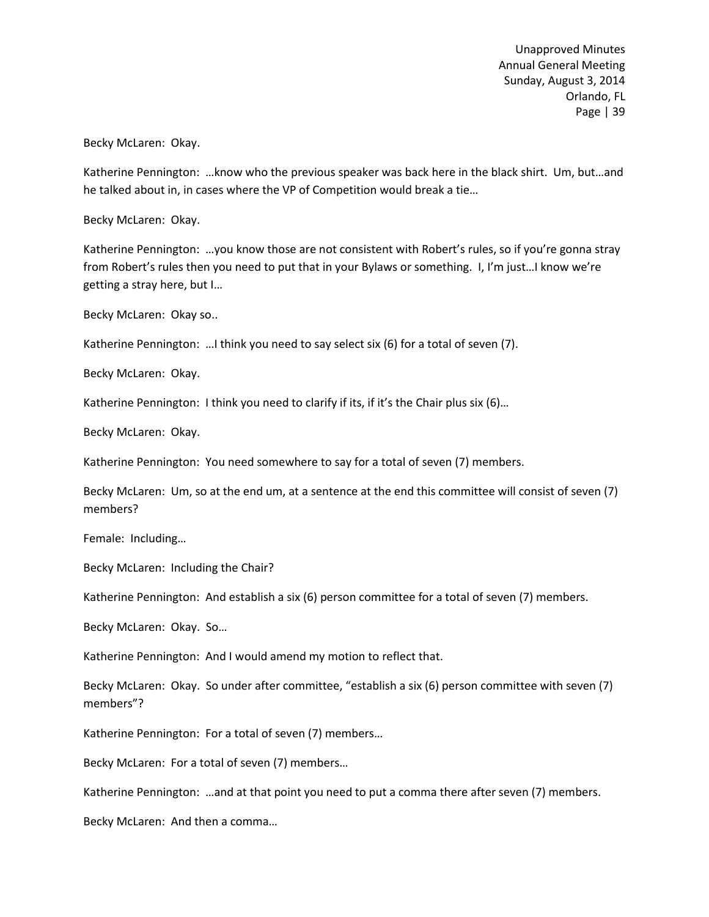Becky McLaren: Okay.

Katherine Pennington: …know who the previous speaker was back here in the black shirt. Um, but…and he talked about in, in cases where the VP of Competition would break a tie…

Becky McLaren: Okay.

Katherine Pennington: …you know those are not consistent with Robert's rules, so if you're gonna stray from Robert's rules then you need to put that in your Bylaws or something. I, I'm just…I know we're getting a stray here, but I…

Becky McLaren: Okay so..

Katherine Pennington: …I think you need to say select six (6) for a total of seven (7).

Becky McLaren: Okay.

Katherine Pennington: I think you need to clarify if its, if it's the Chair plus six (6)...

Becky McLaren: Okay.

Katherine Pennington: You need somewhere to say for a total of seven (7) members.

Becky McLaren: Um, so at the end um, at a sentence at the end this committee will consist of seven (7) members?

Female: Including…

Becky McLaren: Including the Chair?

Katherine Pennington: And establish a six (6) person committee for a total of seven (7) members.

Becky McLaren: Okay. So…

Katherine Pennington: And I would amend my motion to reflect that.

Becky McLaren: Okay. So under after committee, "establish a six (6) person committee with seven (7) members"?

Katherine Pennington: For a total of seven (7) members…

Becky McLaren: For a total of seven (7) members…

Katherine Pennington: …and at that point you need to put a comma there after seven (7) members.

Becky McLaren: And then a comma…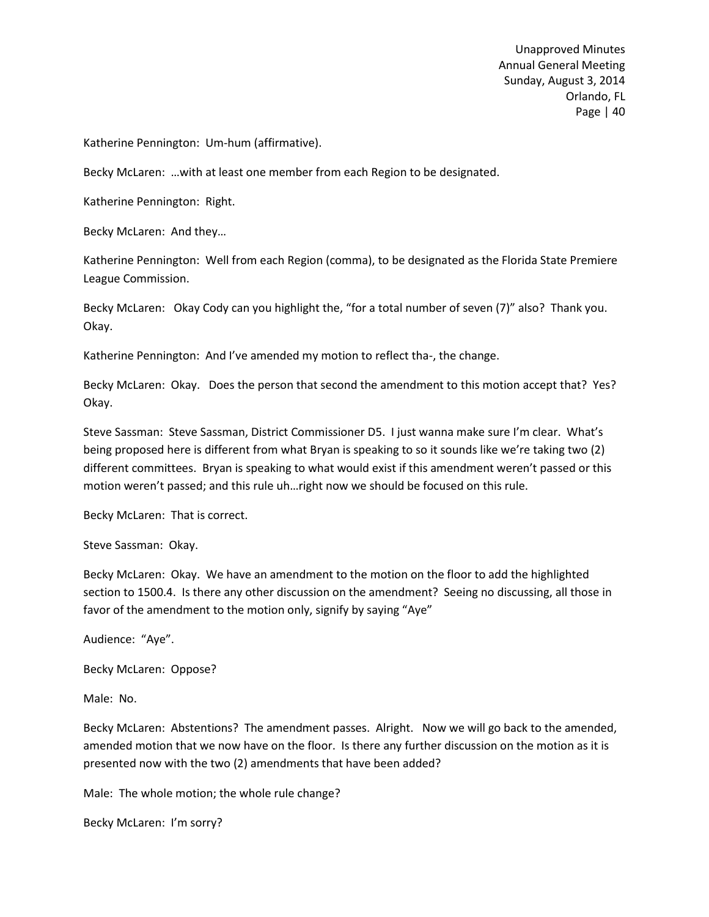Katherine Pennington: Um-hum (affirmative).

Becky McLaren: …with at least one member from each Region to be designated.

Katherine Pennington: Right.

Becky McLaren: And they…

Katherine Pennington: Well from each Region (comma), to be designated as the Florida State Premiere League Commission.

Becky McLaren: Okay Cody can you highlight the, "for a total number of seven (7)" also? Thank you. Okay.

Katherine Pennington: And I've amended my motion to reflect tha-, the change.

Becky McLaren: Okay. Does the person that second the amendment to this motion accept that? Yes? Okay.

Steve Sassman: Steve Sassman, District Commissioner D5. I just wanna make sure I'm clear. What's being proposed here is different from what Bryan is speaking to so it sounds like we're taking two (2) different committees. Bryan is speaking to what would exist if this amendment weren't passed or this motion weren't passed; and this rule uh…right now we should be focused on this rule.

Becky McLaren: That is correct.

Steve Sassman: Okay.

Becky McLaren: Okay. We have an amendment to the motion on the floor to add the highlighted section to 1500.4. Is there any other discussion on the amendment? Seeing no discussing, all those in favor of the amendment to the motion only, signify by saying "Aye"

Audience: "Aye".

Becky McLaren: Oppose?

Male: No.

Becky McLaren: Abstentions? The amendment passes. Alright. Now we will go back to the amended, amended motion that we now have on the floor. Is there any further discussion on the motion as it is presented now with the two (2) amendments that have been added?

Male: The whole motion; the whole rule change?

Becky McLaren: I'm sorry?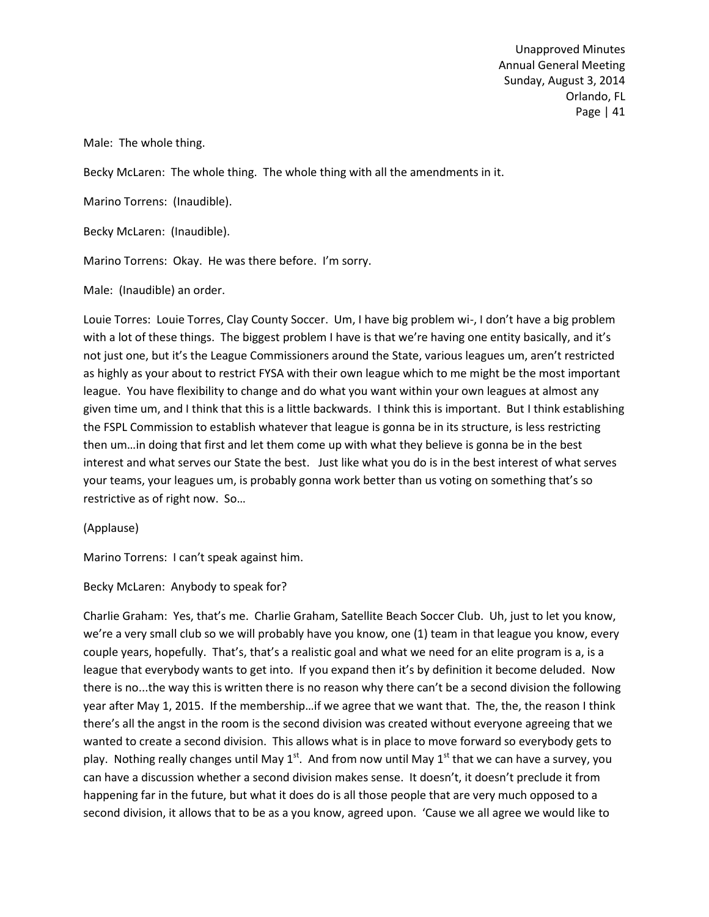Male: The whole thing.

Becky McLaren: The whole thing. The whole thing with all the amendments in it.

Marino Torrens: (Inaudible).

Becky McLaren: (Inaudible).

Marino Torrens: Okay. He was there before. I'm sorry.

Male: (Inaudible) an order.

Louie Torres: Louie Torres, Clay County Soccer. Um, I have big problem wi-, I don't have a big problem with a lot of these things. The biggest problem I have is that we're having one entity basically, and it's not just one, but it's the League Commissioners around the State, various leagues um, aren't restricted as highly as your about to restrict FYSA with their own league which to me might be the most important league. You have flexibility to change and do what you want within your own leagues at almost any given time um, and I think that this is a little backwards. I think this is important. But I think establishing the FSPL Commission to establish whatever that league is gonna be in its structure, is less restricting then um…in doing that first and let them come up with what they believe is gonna be in the best interest and what serves our State the best. Just like what you do is in the best interest of what serves your teams, your leagues um, is probably gonna work better than us voting on something that's so restrictive as of right now. So…

(Applause)

Marino Torrens: I can't speak against him.

Becky McLaren: Anybody to speak for?

Charlie Graham: Yes, that's me. Charlie Graham, Satellite Beach Soccer Club. Uh, just to let you know, we're a very small club so we will probably have you know, one (1) team in that league you know, every couple years, hopefully. That's, that's a realistic goal and what we need for an elite program is a, is a league that everybody wants to get into. If you expand then it's by definition it become deluded. Now there is no...the way this is written there is no reason why there can't be a second division the following year after May 1, 2015. If the membership…if we agree that we want that. The, the, the reason I think there's all the angst in the room is the second division was created without everyone agreeing that we wanted to create a second division. This allows what is in place to move forward so everybody gets to play. Nothing really changes until May  $1^{st}$ . And from now until May  $1^{st}$  that we can have a survey, you can have a discussion whether a second division makes sense. It doesn't, it doesn't preclude it from happening far in the future, but what it does do is all those people that are very much opposed to a second division, it allows that to be as a you know, agreed upon. 'Cause we all agree we would like to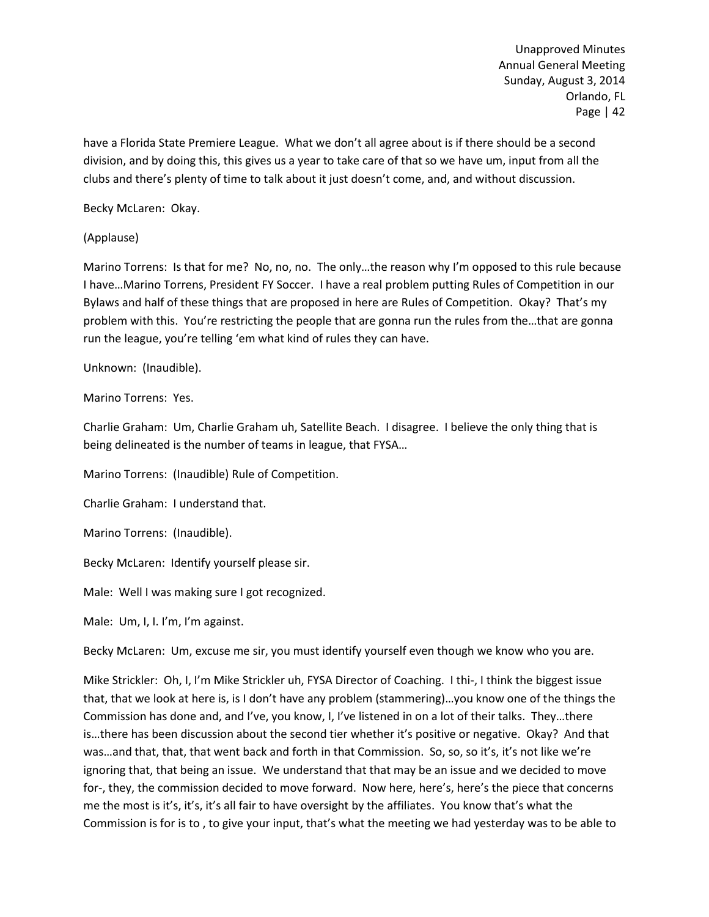have a Florida State Premiere League. What we don't all agree about is if there should be a second division, and by doing this, this gives us a year to take care of that so we have um, input from all the clubs and there's plenty of time to talk about it just doesn't come, and, and without discussion.

Becky McLaren: Okay.

(Applause)

Marino Torrens: Is that for me? No, no, no. The only…the reason why I'm opposed to this rule because I have…Marino Torrens, President FY Soccer. I have a real problem putting Rules of Competition in our Bylaws and half of these things that are proposed in here are Rules of Competition. Okay? That's my problem with this. You're restricting the people that are gonna run the rules from the…that are gonna run the league, you're telling 'em what kind of rules they can have.

Unknown: (Inaudible).

Marino Torrens: Yes.

Charlie Graham: Um, Charlie Graham uh, Satellite Beach. I disagree. I believe the only thing that is being delineated is the number of teams in league, that FYSA…

Marino Torrens: (Inaudible) Rule of Competition.

Charlie Graham: I understand that.

Marino Torrens: (Inaudible).

Becky McLaren: Identify yourself please sir.

Male: Well I was making sure I got recognized.

Male: Um, I, I. I'm, I'm against.

Becky McLaren: Um, excuse me sir, you must identify yourself even though we know who you are.

Mike Strickler: Oh, I, I'm Mike Strickler uh, FYSA Director of Coaching. I thi-, I think the biggest issue that, that we look at here is, is I don't have any problem (stammering)…you know one of the things the Commission has done and, and I've, you know, I, I've listened in on a lot of their talks. They…there is…there has been discussion about the second tier whether it's positive or negative. Okay? And that was…and that, that, that went back and forth in that Commission. So, so, so it's, it's not like we're ignoring that, that being an issue. We understand that that may be an issue and we decided to move for-, they, the commission decided to move forward. Now here, here's, here's the piece that concerns me the most is it's, it's, it's all fair to have oversight by the affiliates. You know that's what the Commission is for is to , to give your input, that's what the meeting we had yesterday was to be able to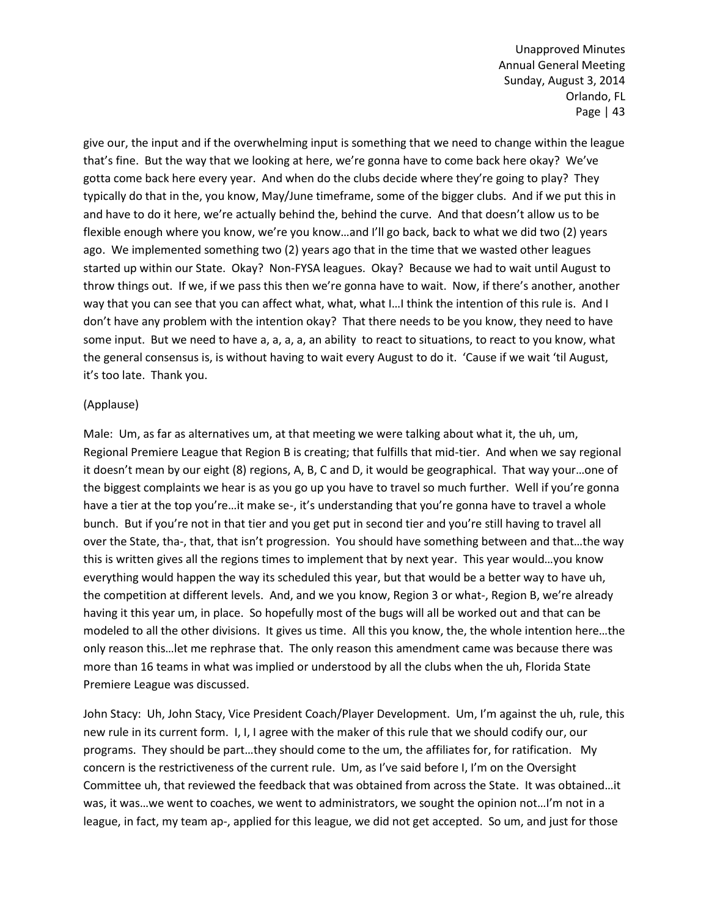give our, the input and if the overwhelming input is something that we need to change within the league that's fine. But the way that we looking at here, we're gonna have to come back here okay? We've gotta come back here every year. And when do the clubs decide where they're going to play? They typically do that in the, you know, May/June timeframe, some of the bigger clubs. And if we put this in and have to do it here, we're actually behind the, behind the curve. And that doesn't allow us to be flexible enough where you know, we're you know…and I'll go back, back to what we did two (2) years ago. We implemented something two (2) years ago that in the time that we wasted other leagues started up within our State. Okay? Non-FYSA leagues. Okay? Because we had to wait until August to throw things out. If we, if we pass this then we're gonna have to wait. Now, if there's another, another way that you can see that you can affect what, what, what I…I think the intention of this rule is. And I don't have any problem with the intention okay? That there needs to be you know, they need to have some input. But we need to have a, a, a, a, an ability to react to situations, to react to you know, what the general consensus is, is without having to wait every August to do it. 'Cause if we wait 'til August, it's too late. Thank you.

### (Applause)

Male: Um, as far as alternatives um, at that meeting we were talking about what it, the uh, um, Regional Premiere League that Region B is creating; that fulfills that mid-tier. And when we say regional it doesn't mean by our eight (8) regions, A, B, C and D, it would be geographical. That way your…one of the biggest complaints we hear is as you go up you have to travel so much further. Well if you're gonna have a tier at the top you're...it make se-, it's understanding that you're gonna have to travel a whole bunch. But if you're not in that tier and you get put in second tier and you're still having to travel all over the State, tha-, that, that isn't progression. You should have something between and that…the way this is written gives all the regions times to implement that by next year. This year would…you know everything would happen the way its scheduled this year, but that would be a better way to have uh, the competition at different levels. And, and we you know, Region 3 or what-, Region B, we're already having it this year um, in place. So hopefully most of the bugs will all be worked out and that can be modeled to all the other divisions. It gives us time. All this you know, the, the whole intention here…the only reason this…let me rephrase that. The only reason this amendment came was because there was more than 16 teams in what was implied or understood by all the clubs when the uh, Florida State Premiere League was discussed.

John Stacy: Uh, John Stacy, Vice President Coach/Player Development. Um, I'm against the uh, rule, this new rule in its current form. I, I, I agree with the maker of this rule that we should codify our, our programs. They should be part…they should come to the um, the affiliates for, for ratification. My concern is the restrictiveness of the current rule. Um, as I've said before I, I'm on the Oversight Committee uh, that reviewed the feedback that was obtained from across the State. It was obtained…it was, it was…we went to coaches, we went to administrators, we sought the opinion not…I'm not in a league, in fact, my team ap-, applied for this league, we did not get accepted. So um, and just for those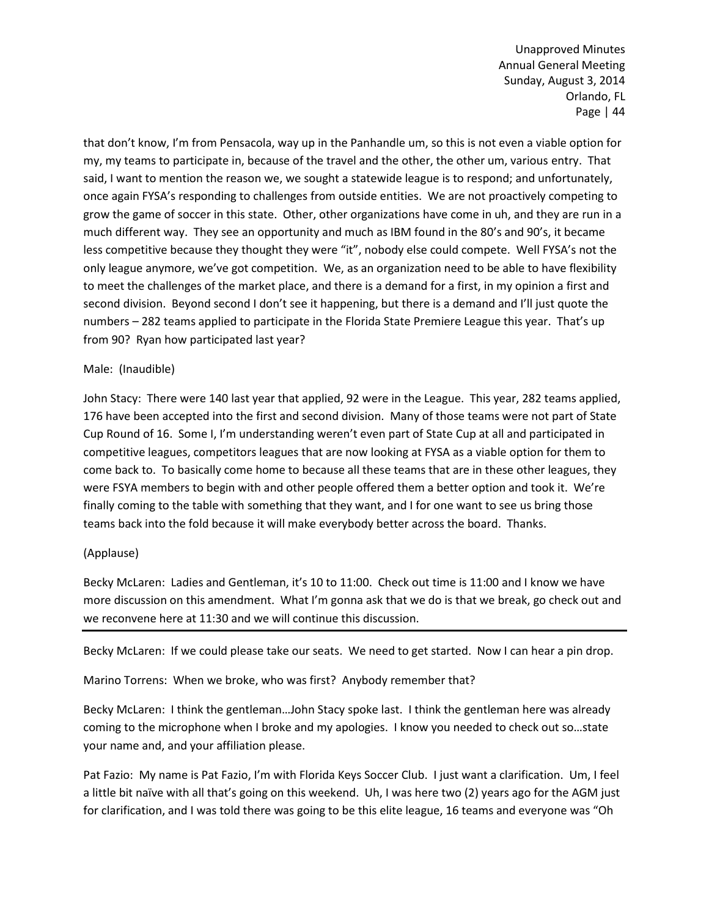that don't know, I'm from Pensacola, way up in the Panhandle um, so this is not even a viable option for my, my teams to participate in, because of the travel and the other, the other um, various entry. That said, I want to mention the reason we, we sought a statewide league is to respond; and unfortunately, once again FYSA's responding to challenges from outside entities. We are not proactively competing to grow the game of soccer in this state. Other, other organizations have come in uh, and they are run in a much different way. They see an opportunity and much as IBM found in the 80's and 90's, it became less competitive because they thought they were "it", nobody else could compete. Well FYSA's not the only league anymore, we've got competition. We, as an organization need to be able to have flexibility to meet the challenges of the market place, and there is a demand for a first, in my opinion a first and second division. Beyond second I don't see it happening, but there is a demand and I'll just quote the numbers – 282 teams applied to participate in the Florida State Premiere League this year. That's up from 90? Ryan how participated last year?

# Male: (Inaudible)

John Stacy: There were 140 last year that applied, 92 were in the League. This year, 282 teams applied, 176 have been accepted into the first and second division. Many of those teams were not part of State Cup Round of 16. Some I, I'm understanding weren't even part of State Cup at all and participated in competitive leagues, competitors leagues that are now looking at FYSA as a viable option for them to come back to. To basically come home to because all these teams that are in these other leagues, they were FSYA members to begin with and other people offered them a better option and took it. We're finally coming to the table with something that they want, and I for one want to see us bring those teams back into the fold because it will make everybody better across the board. Thanks.

# (Applause)

Becky McLaren: Ladies and Gentleman, it's 10 to 11:00. Check out time is 11:00 and I know we have more discussion on this amendment. What I'm gonna ask that we do is that we break, go check out and we reconvene here at 11:30 and we will continue this discussion.

Becky McLaren: If we could please take our seats. We need to get started. Now I can hear a pin drop.

Marino Torrens: When we broke, who was first? Anybody remember that?

Becky McLaren: I think the gentleman…John Stacy spoke last. I think the gentleman here was already coming to the microphone when I broke and my apologies. I know you needed to check out so…state your name and, and your affiliation please.

Pat Fazio: My name is Pat Fazio, I'm with Florida Keys Soccer Club. I just want a clarification. Um, I feel a little bit naïve with all that's going on this weekend. Uh, I was here two (2) years ago for the AGM just for clarification, and I was told there was going to be this elite league, 16 teams and everyone was "Oh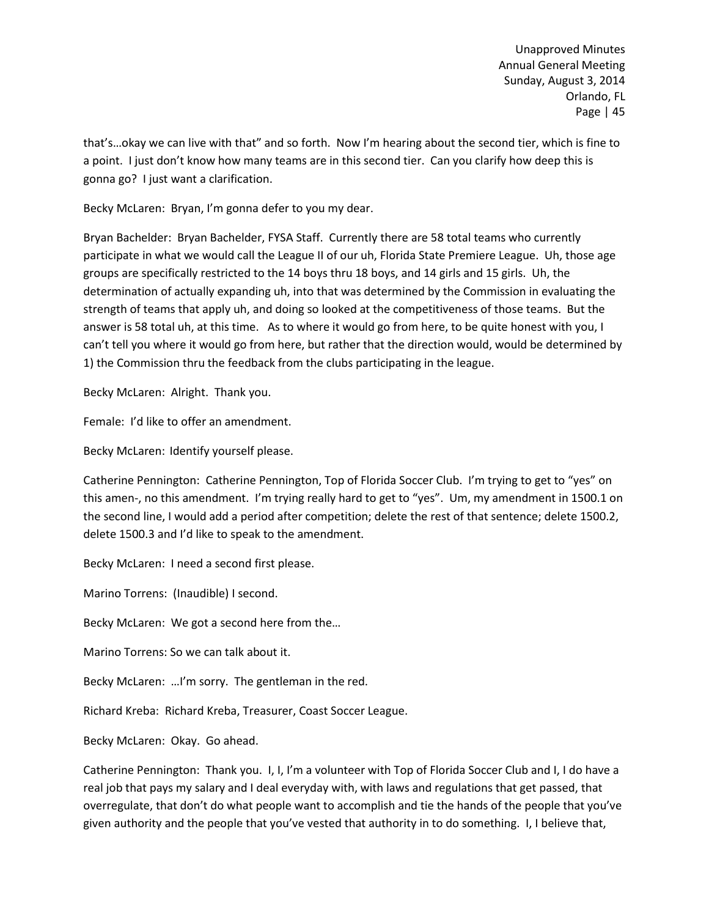that's…okay we can live with that" and so forth. Now I'm hearing about the second tier, which is fine to a point. I just don't know how many teams are in this second tier. Can you clarify how deep this is gonna go? I just want a clarification.

Becky McLaren: Bryan, I'm gonna defer to you my dear.

Bryan Bachelder: Bryan Bachelder, FYSA Staff. Currently there are 58 total teams who currently participate in what we would call the League II of our uh, Florida State Premiere League. Uh, those age groups are specifically restricted to the 14 boys thru 18 boys, and 14 girls and 15 girls. Uh, the determination of actually expanding uh, into that was determined by the Commission in evaluating the strength of teams that apply uh, and doing so looked at the competitiveness of those teams. But the answer is 58 total uh, at this time. As to where it would go from here, to be quite honest with you, I can't tell you where it would go from here, but rather that the direction would, would be determined by 1) the Commission thru the feedback from the clubs participating in the league.

Becky McLaren: Alright. Thank you.

Female: I'd like to offer an amendment.

Becky McLaren: Identify yourself please.

Catherine Pennington: Catherine Pennington, Top of Florida Soccer Club. I'm trying to get to "yes" on this amen-, no this amendment. I'm trying really hard to get to "yes". Um, my amendment in 1500.1 on the second line, I would add a period after competition; delete the rest of that sentence; delete 1500.2, delete 1500.3 and I'd like to speak to the amendment.

Becky McLaren: I need a second first please.

Marino Torrens: (Inaudible) I second.

Becky McLaren: We got a second here from the…

Marino Torrens: So we can talk about it.

Becky McLaren: …I'm sorry. The gentleman in the red.

Richard Kreba: Richard Kreba, Treasurer, Coast Soccer League.

Becky McLaren: Okay. Go ahead.

Catherine Pennington: Thank you. I, I, I'm a volunteer with Top of Florida Soccer Club and I, I do have a real job that pays my salary and I deal everyday with, with laws and regulations that get passed, that overregulate, that don't do what people want to accomplish and tie the hands of the people that you've given authority and the people that you've vested that authority in to do something. I, I believe that,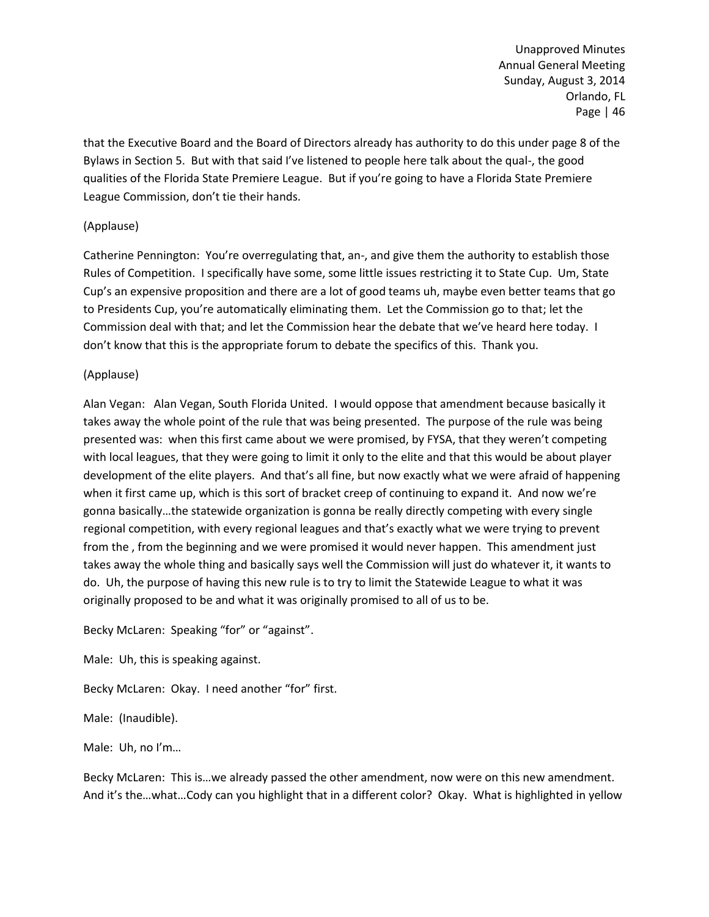that the Executive Board and the Board of Directors already has authority to do this under page 8 of the Bylaws in Section 5. But with that said I've listened to people here talk about the qual-, the good qualities of the Florida State Premiere League. But if you're going to have a Florida State Premiere League Commission, don't tie their hands.

# (Applause)

Catherine Pennington: You're overregulating that, an-, and give them the authority to establish those Rules of Competition. I specifically have some, some little issues restricting it to State Cup. Um, State Cup's an expensive proposition and there are a lot of good teams uh, maybe even better teams that go to Presidents Cup, you're automatically eliminating them. Let the Commission go to that; let the Commission deal with that; and let the Commission hear the debate that we've heard here today. I don't know that this is the appropriate forum to debate the specifics of this. Thank you.

# (Applause)

Alan Vegan: Alan Vegan, South Florida United. I would oppose that amendment because basically it takes away the whole point of the rule that was being presented. The purpose of the rule was being presented was: when this first came about we were promised, by FYSA, that they weren't competing with local leagues, that they were going to limit it only to the elite and that this would be about player development of the elite players. And that's all fine, but now exactly what we were afraid of happening when it first came up, which is this sort of bracket creep of continuing to expand it. And now we're gonna basically…the statewide organization is gonna be really directly competing with every single regional competition, with every regional leagues and that's exactly what we were trying to prevent from the , from the beginning and we were promised it would never happen. This amendment just takes away the whole thing and basically says well the Commission will just do whatever it, it wants to do. Uh, the purpose of having this new rule is to try to limit the Statewide League to what it was originally proposed to be and what it was originally promised to all of us to be.

Becky McLaren: Speaking "for" or "against".

Male: Uh, this is speaking against.

Becky McLaren: Okay. I need another "for" first.

Male: (Inaudible).

Male: Uh, no I'm…

Becky McLaren: This is…we already passed the other amendment, now were on this new amendment. And it's the…what…Cody can you highlight that in a different color? Okay. What is highlighted in yellow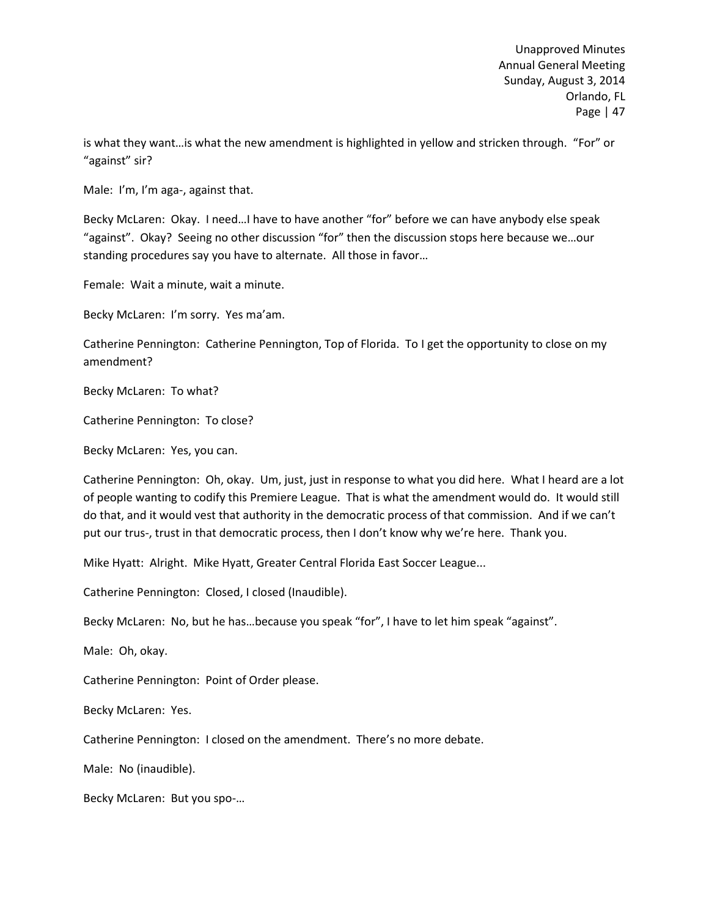is what they want…is what the new amendment is highlighted in yellow and stricken through. "For" or "against" sir?

Male: I'm, I'm aga-, against that.

Becky McLaren: Okay. I need…I have to have another "for" before we can have anybody else speak "against". Okay? Seeing no other discussion "for" then the discussion stops here because we…our standing procedures say you have to alternate. All those in favor…

Female: Wait a minute, wait a minute.

Becky McLaren: I'm sorry. Yes ma'am.

Catherine Pennington: Catherine Pennington, Top of Florida. To I get the opportunity to close on my amendment?

Becky McLaren: To what?

Catherine Pennington: To close?

Becky McLaren: Yes, you can.

Catherine Pennington: Oh, okay. Um, just, just in response to what you did here. What I heard are a lot of people wanting to codify this Premiere League. That is what the amendment would do. It would still do that, and it would vest that authority in the democratic process of that commission. And if we can't put our trus-, trust in that democratic process, then I don't know why we're here. Thank you.

Mike Hyatt: Alright. Mike Hyatt, Greater Central Florida East Soccer League...

Catherine Pennington: Closed, I closed (Inaudible).

Becky McLaren: No, but he has…because you speak "for", I have to let him speak "against".

Male: Oh, okay.

Catherine Pennington: Point of Order please.

Becky McLaren: Yes.

Catherine Pennington: I closed on the amendment. There's no more debate.

Male: No (inaudible).

Becky McLaren: But you spo-…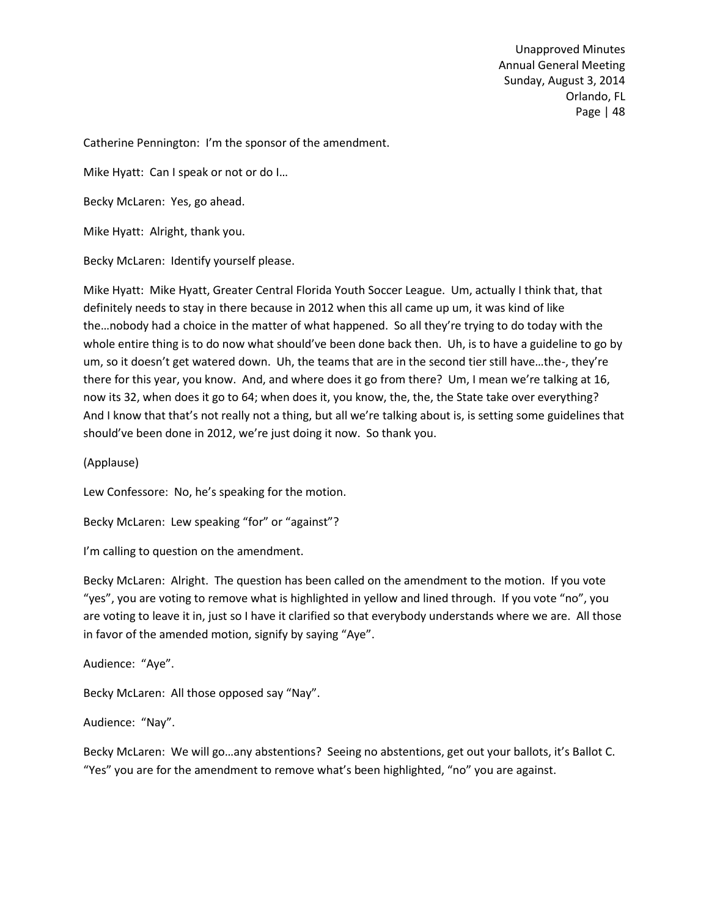Catherine Pennington: I'm the sponsor of the amendment.

Mike Hyatt: Can I speak or not or do I…

Becky McLaren: Yes, go ahead.

Mike Hyatt: Alright, thank you.

Becky McLaren: Identify yourself please.

Mike Hyatt: Mike Hyatt, Greater Central Florida Youth Soccer League. Um, actually I think that, that definitely needs to stay in there because in 2012 when this all came up um, it was kind of like the…nobody had a choice in the matter of what happened. So all they're trying to do today with the whole entire thing is to do now what should've been done back then. Uh, is to have a guideline to go by um, so it doesn't get watered down. Uh, the teams that are in the second tier still have…the-, they're there for this year, you know. And, and where does it go from there? Um, I mean we're talking at 16, now its 32, when does it go to 64; when does it, you know, the, the, the State take over everything? And I know that that's not really not a thing, but all we're talking about is, is setting some guidelines that should've been done in 2012, we're just doing it now. So thank you.

(Applause)

Lew Confessore: No, he's speaking for the motion.

Becky McLaren: Lew speaking "for" or "against"?

I'm calling to question on the amendment.

Becky McLaren: Alright. The question has been called on the amendment to the motion. If you vote "yes", you are voting to remove what is highlighted in yellow and lined through. If you vote "no", you are voting to leave it in, just so I have it clarified so that everybody understands where we are. All those in favor of the amended motion, signify by saying "Aye".

Audience: "Aye".

Becky McLaren: All those opposed say "Nay".

Audience: "Nay".

Becky McLaren: We will go…any abstentions? Seeing no abstentions, get out your ballots, it's Ballot C. "Yes" you are for the amendment to remove what's been highlighted, "no" you are against.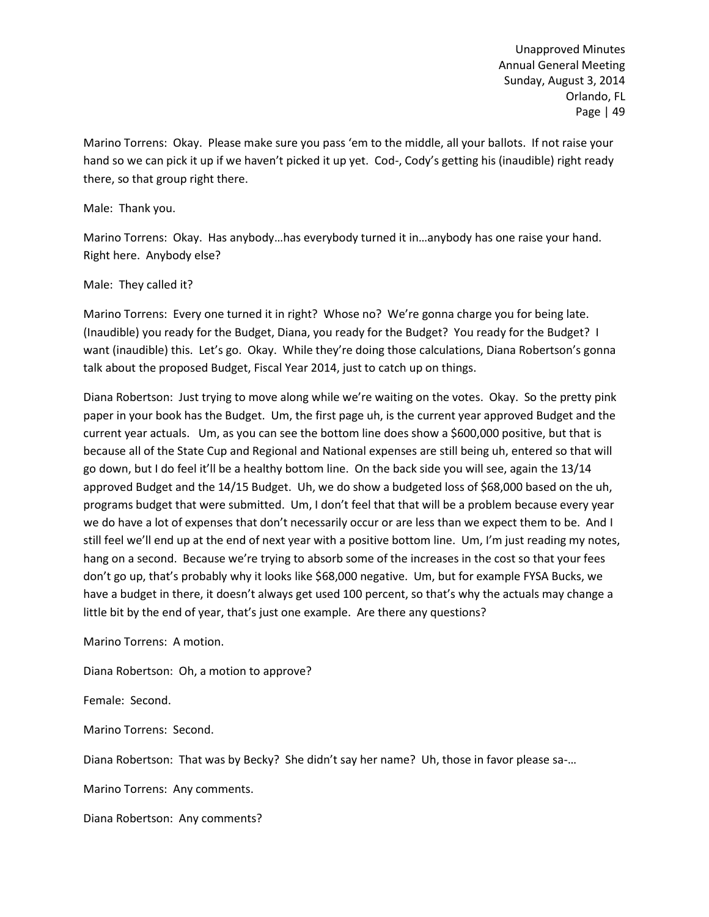Marino Torrens: Okay. Please make sure you pass 'em to the middle, all your ballots. If not raise your hand so we can pick it up if we haven't picked it up yet. Cod-, Cody's getting his (inaudible) right ready there, so that group right there.

### Male: Thank you.

Marino Torrens: Okay. Has anybody…has everybody turned it in…anybody has one raise your hand. Right here. Anybody else?

## Male: They called it?

Marino Torrens: Every one turned it in right? Whose no? We're gonna charge you for being late. (Inaudible) you ready for the Budget, Diana, you ready for the Budget? You ready for the Budget? I want (inaudible) this. Let's go. Okay. While they're doing those calculations, Diana Robertson's gonna talk about the proposed Budget, Fiscal Year 2014, just to catch up on things.

Diana Robertson: Just trying to move along while we're waiting on the votes. Okay. So the pretty pink paper in your book has the Budget. Um, the first page uh, is the current year approved Budget and the current year actuals. Um, as you can see the bottom line does show a \$600,000 positive, but that is because all of the State Cup and Regional and National expenses are still being uh, entered so that will go down, but I do feel it'll be a healthy bottom line. On the back side you will see, again the 13/14 approved Budget and the 14/15 Budget. Uh, we do show a budgeted loss of \$68,000 based on the uh, programs budget that were submitted. Um, I don't feel that that will be a problem because every year we do have a lot of expenses that don't necessarily occur or are less than we expect them to be. And I still feel we'll end up at the end of next year with a positive bottom line. Um, I'm just reading my notes, hang on a second. Because we're trying to absorb some of the increases in the cost so that your fees don't go up, that's probably why it looks like \$68,000 negative. Um, but for example FYSA Bucks, we have a budget in there, it doesn't always get used 100 percent, so that's why the actuals may change a little bit by the end of year, that's just one example. Are there any questions?

Marino Torrens: A motion.

Diana Robertson: Oh, a motion to approve?

Female: Second.

Marino Torrens: Second.

Diana Robertson: That was by Becky? She didn't say her name? Uh, those in favor please sa-…

Marino Torrens: Any comments.

Diana Robertson: Any comments?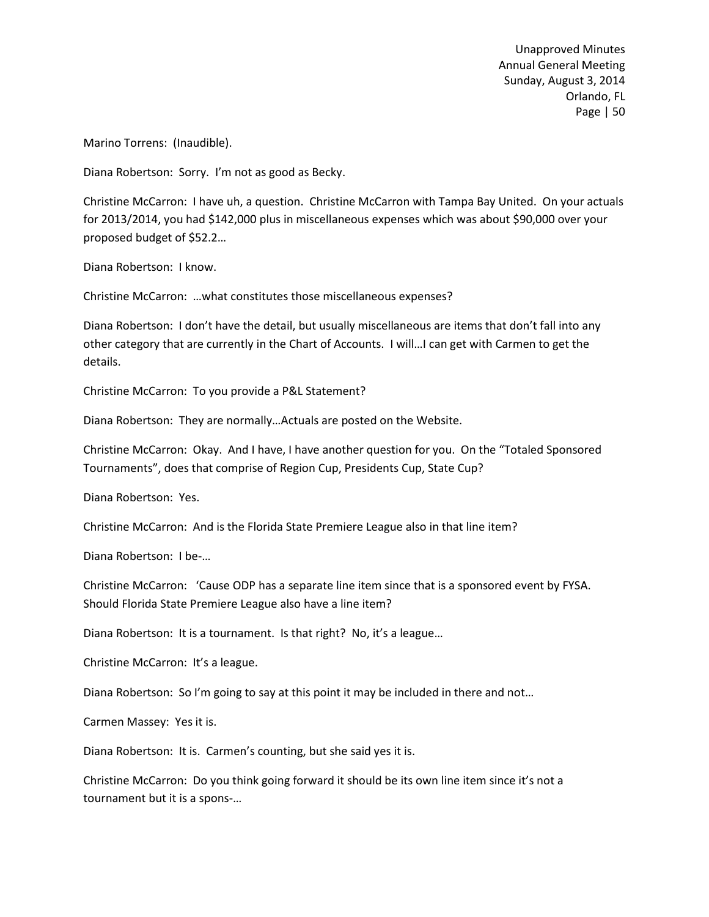Marino Torrens: (Inaudible).

Diana Robertson: Sorry. I'm not as good as Becky.

Christine McCarron: I have uh, a question. Christine McCarron with Tampa Bay United. On your actuals for 2013/2014, you had \$142,000 plus in miscellaneous expenses which was about \$90,000 over your proposed budget of \$52.2…

Diana Robertson: I know.

Christine McCarron: …what constitutes those miscellaneous expenses?

Diana Robertson: I don't have the detail, but usually miscellaneous are items that don't fall into any other category that are currently in the Chart of Accounts. I will…I can get with Carmen to get the details.

Christine McCarron: To you provide a P&L Statement?

Diana Robertson: They are normally…Actuals are posted on the Website.

Christine McCarron: Okay. And I have, I have another question for you. On the "Totaled Sponsored Tournaments", does that comprise of Region Cup, Presidents Cup, State Cup?

Diana Robertson: Yes.

Christine McCarron: And is the Florida State Premiere League also in that line item?

Diana Robertson: I be-…

Christine McCarron: 'Cause ODP has a separate line item since that is a sponsored event by FYSA. Should Florida State Premiere League also have a line item?

Diana Robertson: It is a tournament. Is that right? No, it's a league…

Christine McCarron: It's a league.

Diana Robertson: So I'm going to say at this point it may be included in there and not…

Carmen Massey: Yes it is.

Diana Robertson: It is. Carmen's counting, but she said yes it is.

Christine McCarron: Do you think going forward it should be its own line item since it's not a tournament but it is a spons-…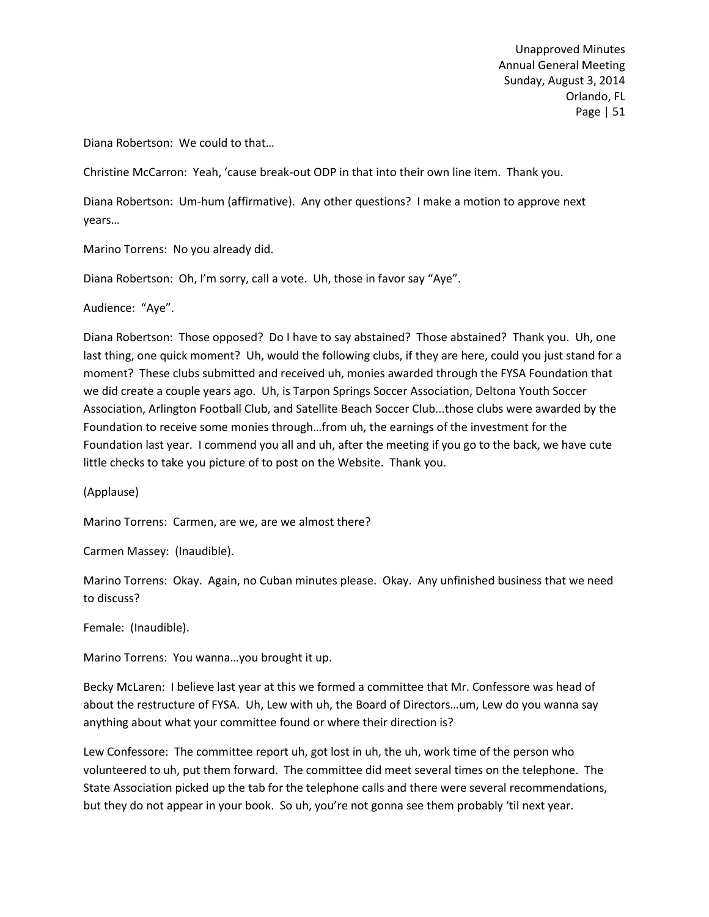Diana Robertson: We could to that…

Christine McCarron: Yeah, 'cause break-out ODP in that into their own line item. Thank you.

Diana Robertson: Um-hum (affirmative). Any other questions? I make a motion to approve next years…

Marino Torrens: No you already did.

Diana Robertson: Oh, I'm sorry, call a vote. Uh, those in favor say "Aye".

Audience: "Aye".

Diana Robertson: Those opposed? Do I have to say abstained? Those abstained? Thank you. Uh, one last thing, one quick moment? Uh, would the following clubs, if they are here, could you just stand for a moment? These clubs submitted and received uh, monies awarded through the FYSA Foundation that we did create a couple years ago. Uh, is Tarpon Springs Soccer Association, Deltona Youth Soccer Association, Arlington Football Club, and Satellite Beach Soccer Club...those clubs were awarded by the Foundation to receive some monies through…from uh, the earnings of the investment for the Foundation last year. I commend you all and uh, after the meeting if you go to the back, we have cute little checks to take you picture of to post on the Website. Thank you.

(Applause)

Marino Torrens: Carmen, are we, are we almost there?

Carmen Massey: (Inaudible).

Marino Torrens: Okay. Again, no Cuban minutes please. Okay. Any unfinished business that we need to discuss?

Female: (Inaudible).

Marino Torrens: You wanna…you brought it up.

Becky McLaren: I believe last year at this we formed a committee that Mr. Confessore was head of about the restructure of FYSA. Uh, Lew with uh, the Board of Directors…um, Lew do you wanna say anything about what your committee found or where their direction is?

Lew Confessore: The committee report uh, got lost in uh, the uh, work time of the person who volunteered to uh, put them forward. The committee did meet several times on the telephone. The State Association picked up the tab for the telephone calls and there were several recommendations, but they do not appear in your book. So uh, you're not gonna see them probably 'til next year.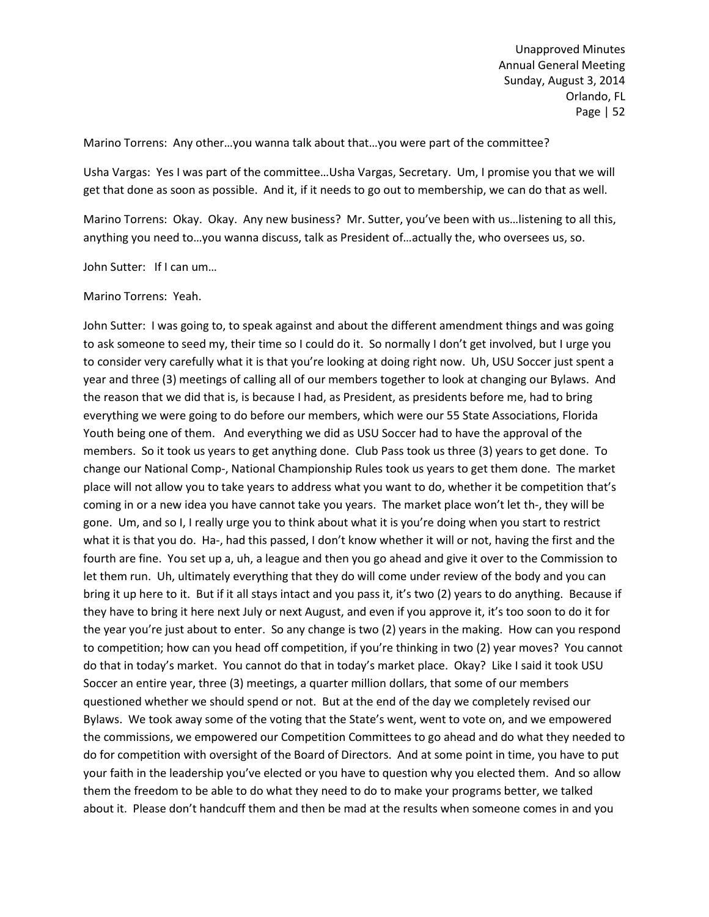Marino Torrens: Any other…you wanna talk about that…you were part of the committee?

Usha Vargas: Yes I was part of the committee…Usha Vargas, Secretary. Um, I promise you that we will get that done as soon as possible. And it, if it needs to go out to membership, we can do that as well.

Marino Torrens: Okay. Okay. Any new business? Mr. Sutter, you've been with us…listening to all this, anything you need to…you wanna discuss, talk as President of…actually the, who oversees us, so.

John Sutter: If I can um…

Marino Torrens: Yeah.

John Sutter: I was going to, to speak against and about the different amendment things and was going to ask someone to seed my, their time so I could do it. So normally I don't get involved, but I urge you to consider very carefully what it is that you're looking at doing right now. Uh, USU Soccer just spent a year and three (3) meetings of calling all of our members together to look at changing our Bylaws. And the reason that we did that is, is because I had, as President, as presidents before me, had to bring everything we were going to do before our members, which were our 55 State Associations, Florida Youth being one of them. And everything we did as USU Soccer had to have the approval of the members. So it took us years to get anything done. Club Pass took us three (3) years to get done. To change our National Comp-, National Championship Rules took us years to get them done. The market place will not allow you to take years to address what you want to do, whether it be competition that's coming in or a new idea you have cannot take you years. The market place won't let th-, they will be gone. Um, and so I, I really urge you to think about what it is you're doing when you start to restrict what it is that you do. Ha-, had this passed, I don't know whether it will or not, having the first and the fourth are fine. You set up a, uh, a league and then you go ahead and give it over to the Commission to let them run. Uh, ultimately everything that they do will come under review of the body and you can bring it up here to it. But if it all stays intact and you pass it, it's two (2) years to do anything. Because if they have to bring it here next July or next August, and even if you approve it, it's too soon to do it for the year you're just about to enter. So any change is two (2) years in the making. How can you respond to competition; how can you head off competition, if you're thinking in two (2) year moves? You cannot do that in today's market. You cannot do that in today's market place. Okay? Like I said it took USU Soccer an entire year, three (3) meetings, a quarter million dollars, that some of our members questioned whether we should spend or not. But at the end of the day we completely revised our Bylaws. We took away some of the voting that the State's went, went to vote on, and we empowered the commissions, we empowered our Competition Committees to go ahead and do what they needed to do for competition with oversight of the Board of Directors. And at some point in time, you have to put your faith in the leadership you've elected or you have to question why you elected them. And so allow them the freedom to be able to do what they need to do to make your programs better, we talked about it. Please don't handcuff them and then be mad at the results when someone comes in and you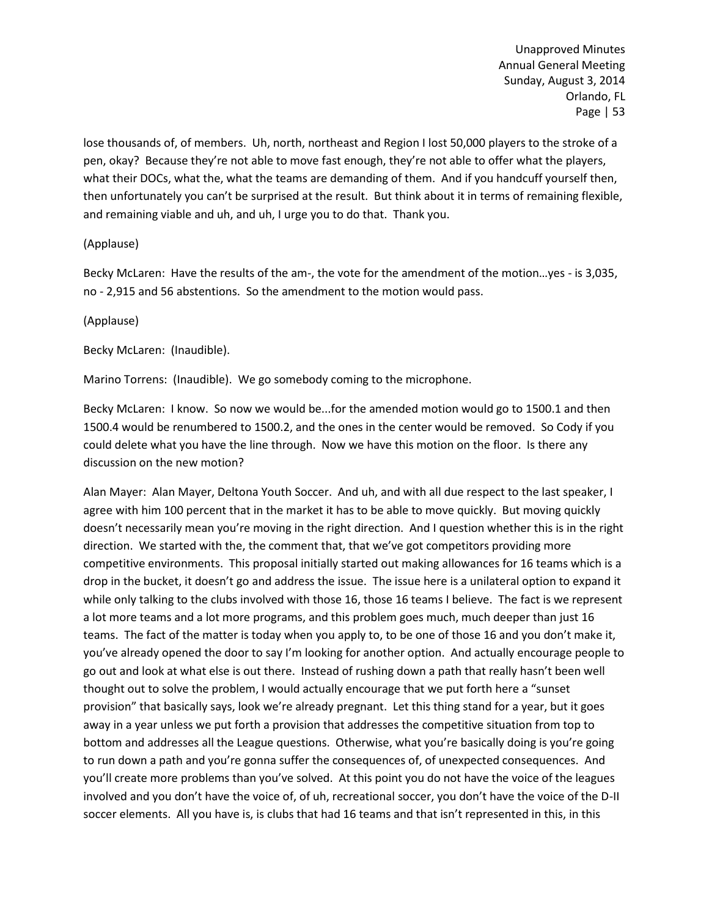lose thousands of, of members. Uh, north, northeast and Region I lost 50,000 players to the stroke of a pen, okay? Because they're not able to move fast enough, they're not able to offer what the players, what their DOCs, what the, what the teams are demanding of them. And if you handcuff yourself then, then unfortunately you can't be surprised at the result. But think about it in terms of remaining flexible, and remaining viable and uh, and uh, I urge you to do that. Thank you.

## (Applause)

Becky McLaren: Have the results of the am-, the vote for the amendment of the motion…yes - is 3,035, no - 2,915 and 56 abstentions. So the amendment to the motion would pass.

## (Applause)

Becky McLaren: (Inaudible).

Marino Torrens: (Inaudible). We go somebody coming to the microphone.

Becky McLaren: I know. So now we would be...for the amended motion would go to 1500.1 and then 1500.4 would be renumbered to 1500.2, and the ones in the center would be removed. So Cody if you could delete what you have the line through. Now we have this motion on the floor. Is there any discussion on the new motion?

Alan Mayer: Alan Mayer, Deltona Youth Soccer. And uh, and with all due respect to the last speaker, I agree with him 100 percent that in the market it has to be able to move quickly. But moving quickly doesn't necessarily mean you're moving in the right direction. And I question whether this is in the right direction. We started with the, the comment that, that we've got competitors providing more competitive environments. This proposal initially started out making allowances for 16 teams which is a drop in the bucket, it doesn't go and address the issue. The issue here is a unilateral option to expand it while only talking to the clubs involved with those 16, those 16 teams I believe. The fact is we represent a lot more teams and a lot more programs, and this problem goes much, much deeper than just 16 teams. The fact of the matter is today when you apply to, to be one of those 16 and you don't make it, you've already opened the door to say I'm looking for another option. And actually encourage people to go out and look at what else is out there. Instead of rushing down a path that really hasn't been well thought out to solve the problem, I would actually encourage that we put forth here a "sunset provision" that basically says, look we're already pregnant. Let this thing stand for a year, but it goes away in a year unless we put forth a provision that addresses the competitive situation from top to bottom and addresses all the League questions. Otherwise, what you're basically doing is you're going to run down a path and you're gonna suffer the consequences of, of unexpected consequences. And you'll create more problems than you've solved. At this point you do not have the voice of the leagues involved and you don't have the voice of, of uh, recreational soccer, you don't have the voice of the D-II soccer elements. All you have is, is clubs that had 16 teams and that isn't represented in this, in this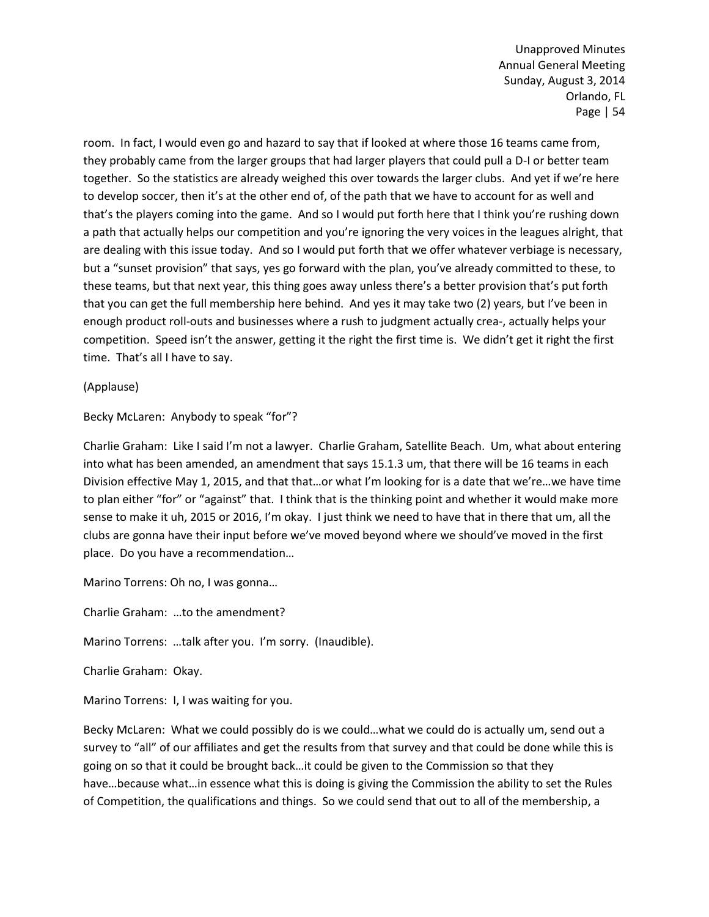room. In fact, I would even go and hazard to say that if looked at where those 16 teams came from, they probably came from the larger groups that had larger players that could pull a D-I or better team together. So the statistics are already weighed this over towards the larger clubs. And yet if we're here to develop soccer, then it's at the other end of, of the path that we have to account for as well and that's the players coming into the game. And so I would put forth here that I think you're rushing down a path that actually helps our competition and you're ignoring the very voices in the leagues alright, that are dealing with this issue today. And so I would put forth that we offer whatever verbiage is necessary, but a "sunset provision" that says, yes go forward with the plan, you've already committed to these, to these teams, but that next year, this thing goes away unless there's a better provision that's put forth that you can get the full membership here behind. And yes it may take two (2) years, but I've been in enough product roll-outs and businesses where a rush to judgment actually crea-, actually helps your competition. Speed isn't the answer, getting it the right the first time is. We didn't get it right the first time. That's all I have to say.

(Applause)

Becky McLaren: Anybody to speak "for"?

Charlie Graham: Like I said I'm not a lawyer. Charlie Graham, Satellite Beach. Um, what about entering into what has been amended, an amendment that says 15.1.3 um, that there will be 16 teams in each Division effective May 1, 2015, and that that…or what I'm looking for is a date that we're…we have time to plan either "for" or "against" that. I think that is the thinking point and whether it would make more sense to make it uh, 2015 or 2016, I'm okay. I just think we need to have that in there that um, all the clubs are gonna have their input before we've moved beyond where we should've moved in the first place. Do you have a recommendation…

Marino Torrens: Oh no, I was gonna…

Charlie Graham: …to the amendment?

Marino Torrens: …talk after you. I'm sorry. (Inaudible).

Charlie Graham: Okay.

Marino Torrens: I, I was waiting for you.

Becky McLaren: What we could possibly do is we could…what we could do is actually um, send out a survey to "all" of our affiliates and get the results from that survey and that could be done while this is going on so that it could be brought back…it could be given to the Commission so that they have…because what…in essence what this is doing is giving the Commission the ability to set the Rules of Competition, the qualifications and things. So we could send that out to all of the membership, a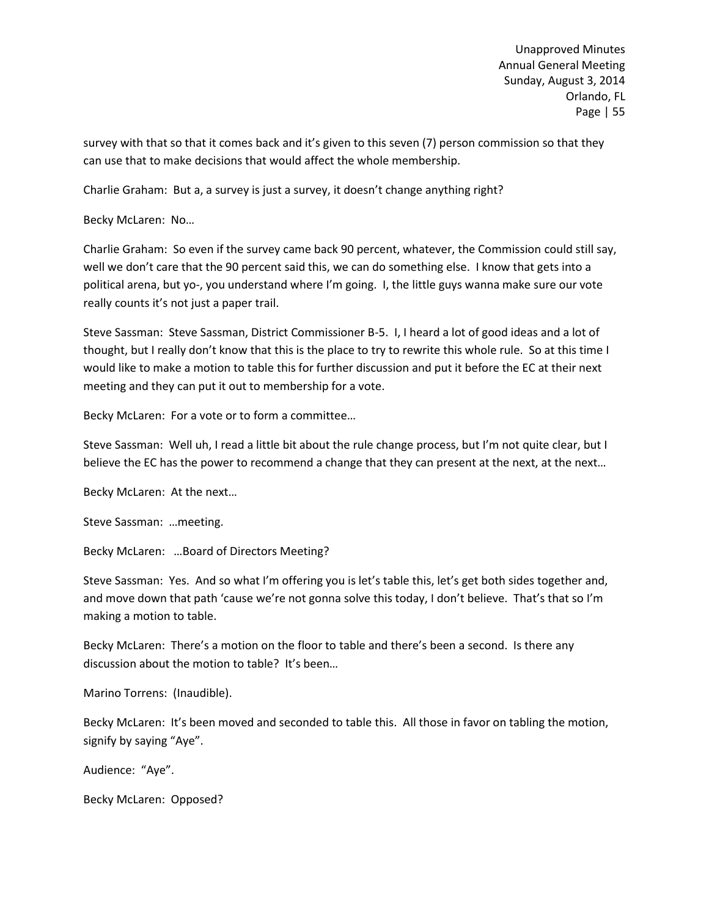survey with that so that it comes back and it's given to this seven (7) person commission so that they can use that to make decisions that would affect the whole membership.

Charlie Graham: But a, a survey is just a survey, it doesn't change anything right?

Becky McLaren: No…

Charlie Graham: So even if the survey came back 90 percent, whatever, the Commission could still say, well we don't care that the 90 percent said this, we can do something else. I know that gets into a political arena, but yo-, you understand where I'm going. I, the little guys wanna make sure our vote really counts it's not just a paper trail.

Steve Sassman: Steve Sassman, District Commissioner B-5. I, I heard a lot of good ideas and a lot of thought, but I really don't know that this is the place to try to rewrite this whole rule. So at this time I would like to make a motion to table this for further discussion and put it before the EC at their next meeting and they can put it out to membership for a vote.

Becky McLaren: For a vote or to form a committee…

Steve Sassman: Well uh, I read a little bit about the rule change process, but I'm not quite clear, but I believe the EC has the power to recommend a change that they can present at the next, at the next…

Becky McLaren: At the next…

Steve Sassman: …meeting.

Becky McLaren: …Board of Directors Meeting?

Steve Sassman: Yes. And so what I'm offering you is let's table this, let's get both sides together and, and move down that path 'cause we're not gonna solve this today, I don't believe. That's that so I'm making a motion to table.

Becky McLaren: There's a motion on the floor to table and there's been a second. Is there any discussion about the motion to table? It's been…

Marino Torrens: (Inaudible).

Becky McLaren: It's been moved and seconded to table this. All those in favor on tabling the motion, signify by saying "Aye".

Audience: "Aye".

Becky McLaren: Opposed?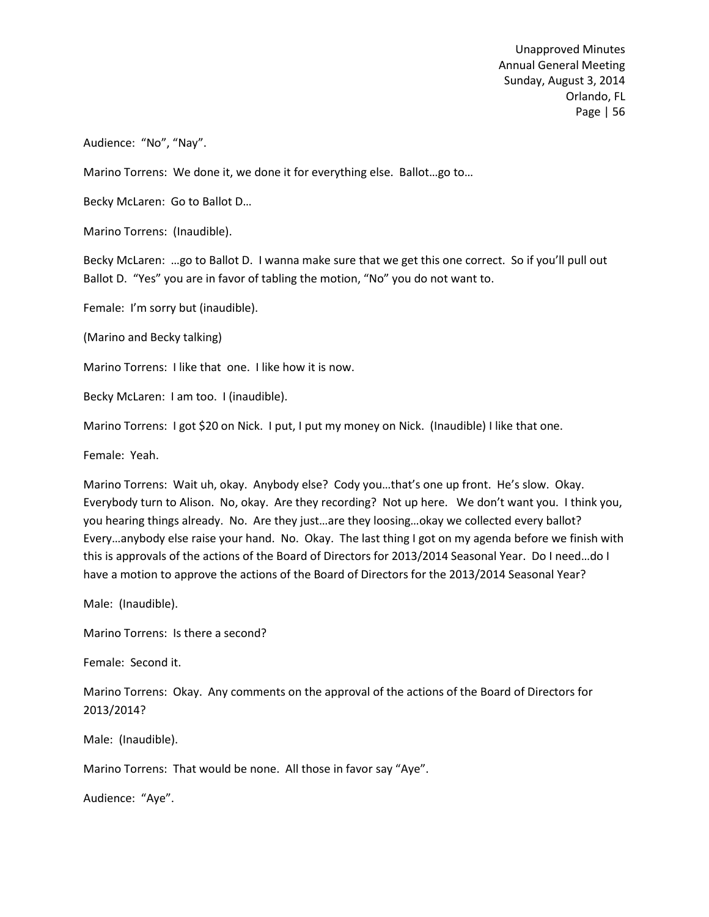Audience: "No", "Nay".

Marino Torrens: We done it, we done it for everything else. Ballot…go to…

Becky McLaren: Go to Ballot D…

Marino Torrens: (Inaudible).

Becky McLaren: …go to Ballot D. I wanna make sure that we get this one correct. So if you'll pull out Ballot D. "Yes" you are in favor of tabling the motion, "No" you do not want to.

Female: I'm sorry but (inaudible).

(Marino and Becky talking)

Marino Torrens: I like that one. I like how it is now.

Becky McLaren: I am too. I (inaudible).

Marino Torrens: I got \$20 on Nick. I put, I put my money on Nick. (Inaudible) I like that one.

Female: Yeah.

Marino Torrens: Wait uh, okay. Anybody else? Cody you…that's one up front. He's slow. Okay. Everybody turn to Alison. No, okay. Are they recording? Not up here. We don't want you. I think you, you hearing things already. No. Are they just…are they loosing…okay we collected every ballot? Every…anybody else raise your hand. No. Okay. The last thing I got on my agenda before we finish with this is approvals of the actions of the Board of Directors for 2013/2014 Seasonal Year. Do I need…do I have a motion to approve the actions of the Board of Directors for the 2013/2014 Seasonal Year?

Male: (Inaudible).

Marino Torrens: Is there a second?

Female: Second it.

Marino Torrens: Okay. Any comments on the approval of the actions of the Board of Directors for 2013/2014?

Male: (Inaudible).

Marino Torrens: That would be none. All those in favor say "Aye".

Audience: "Aye".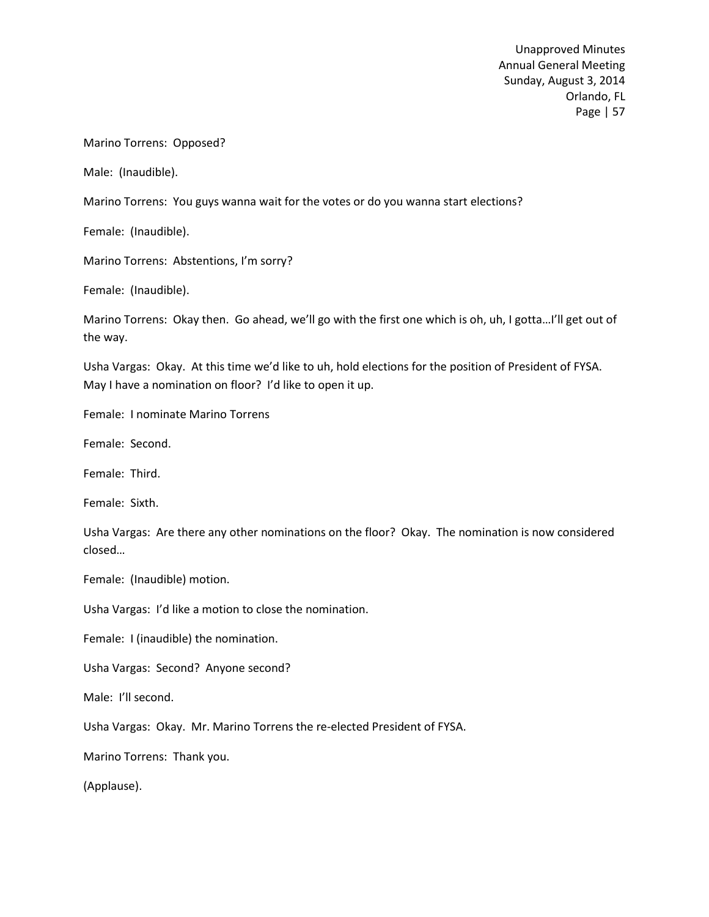Marino Torrens: Opposed?

Male: (Inaudible).

Marino Torrens: You guys wanna wait for the votes or do you wanna start elections?

Female: (Inaudible).

Marino Torrens: Abstentions, I'm sorry?

Female: (Inaudible).

Marino Torrens: Okay then. Go ahead, we'll go with the first one which is oh, uh, I gotta…I'll get out of the way.

Usha Vargas: Okay. At this time we'd like to uh, hold elections for the position of President of FYSA. May I have a nomination on floor? I'd like to open it up.

Female: I nominate Marino Torrens

Female: Second.

Female: Third.

Female: Sixth.

Usha Vargas: Are there any other nominations on the floor? Okay. The nomination is now considered closed…

Female: (Inaudible) motion.

Usha Vargas: I'd like a motion to close the nomination.

Female: I (inaudible) the nomination.

Usha Vargas: Second? Anyone second?

Male: I'll second.

Usha Vargas: Okay. Mr. Marino Torrens the re-elected President of FYSA.

Marino Torrens: Thank you.

(Applause).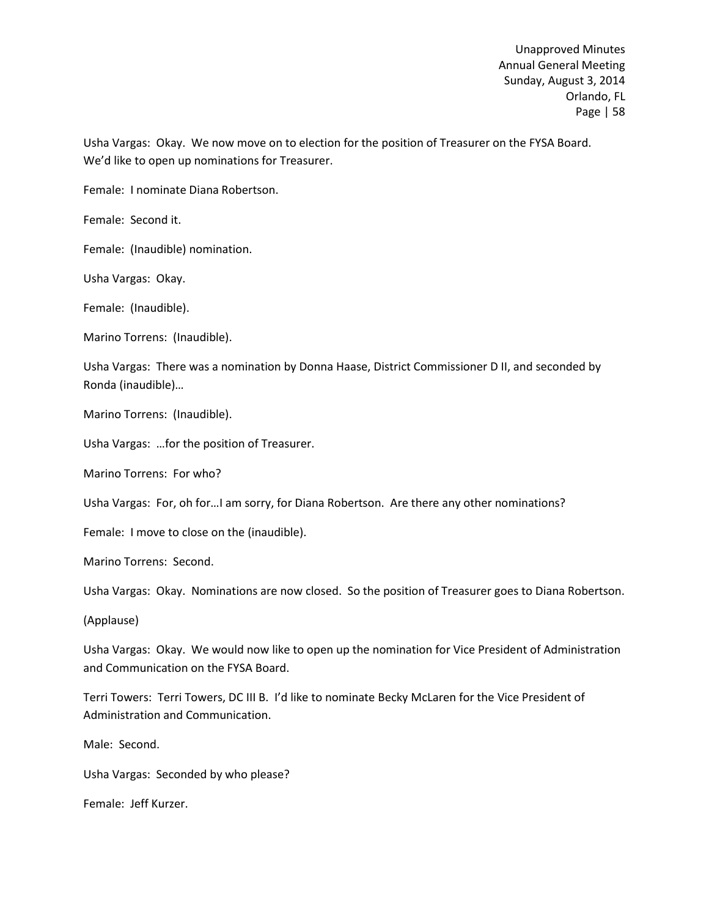Usha Vargas: Okay. We now move on to election for the position of Treasurer on the FYSA Board. We'd like to open up nominations for Treasurer.

Female: I nominate Diana Robertson.

Female: Second it.

Female: (Inaudible) nomination.

Usha Vargas: Okay.

Female: (Inaudible).

Marino Torrens: (Inaudible).

Usha Vargas: There was a nomination by Donna Haase, District Commissioner D II, and seconded by Ronda (inaudible)…

Marino Torrens: (Inaudible).

Usha Vargas: …for the position of Treasurer.

Marino Torrens: For who?

Usha Vargas: For, oh for…I am sorry, for Diana Robertson. Are there any other nominations?

Female: I move to close on the (inaudible).

Marino Torrens: Second.

Usha Vargas: Okay. Nominations are now closed. So the position of Treasurer goes to Diana Robertson.

(Applause)

Usha Vargas: Okay. We would now like to open up the nomination for Vice President of Administration and Communication on the FYSA Board.

Terri Towers: Terri Towers, DC III B. I'd like to nominate Becky McLaren for the Vice President of Administration and Communication.

Male: Second.

Usha Vargas: Seconded by who please?

Female: Jeff Kurzer.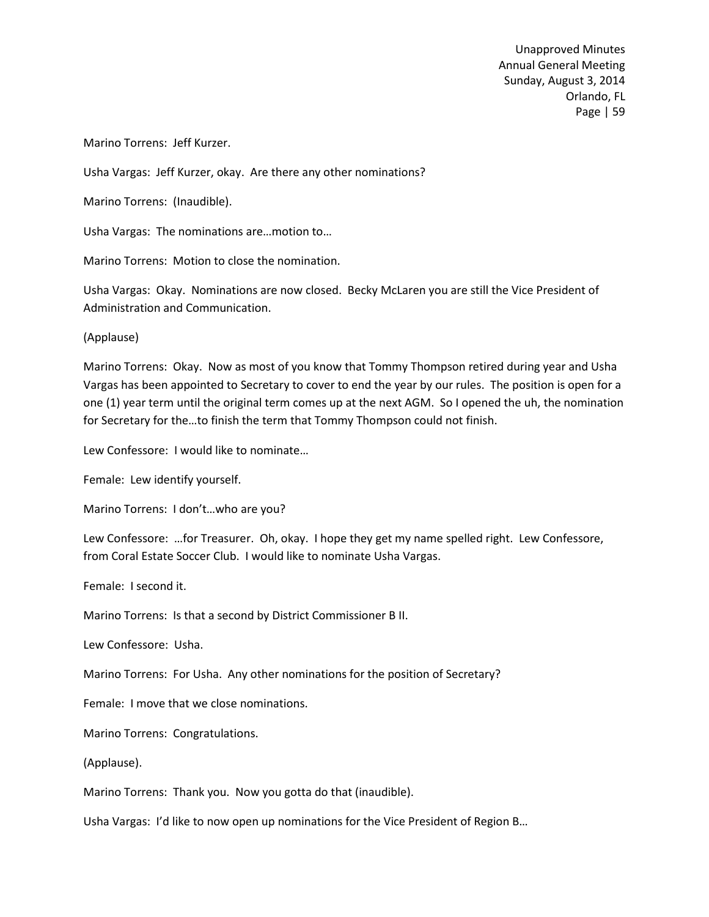Marino Torrens: Jeff Kurzer.

Usha Vargas: Jeff Kurzer, okay. Are there any other nominations?

Marino Torrens: (Inaudible).

Usha Vargas: The nominations are…motion to…

Marino Torrens: Motion to close the nomination.

Usha Vargas: Okay. Nominations are now closed. Becky McLaren you are still the Vice President of Administration and Communication.

(Applause)

Marino Torrens: Okay. Now as most of you know that Tommy Thompson retired during year and Usha Vargas has been appointed to Secretary to cover to end the year by our rules. The position is open for a one (1) year term until the original term comes up at the next AGM. So I opened the uh, the nomination for Secretary for the…to finish the term that Tommy Thompson could not finish.

Lew Confessore: I would like to nominate…

Female: Lew identify yourself.

Marino Torrens: I don't…who are you?

Lew Confessore: …for Treasurer. Oh, okay. I hope they get my name spelled right. Lew Confessore, from Coral Estate Soccer Club. I would like to nominate Usha Vargas.

Female: I second it.

Marino Torrens: Is that a second by District Commissioner B II.

Lew Confessore: Usha.

Marino Torrens: For Usha. Any other nominations for the position of Secretary?

Female: I move that we close nominations.

Marino Torrens: Congratulations.

(Applause).

Marino Torrens: Thank you. Now you gotta do that (inaudible).

Usha Vargas: I'd like to now open up nominations for the Vice President of Region B…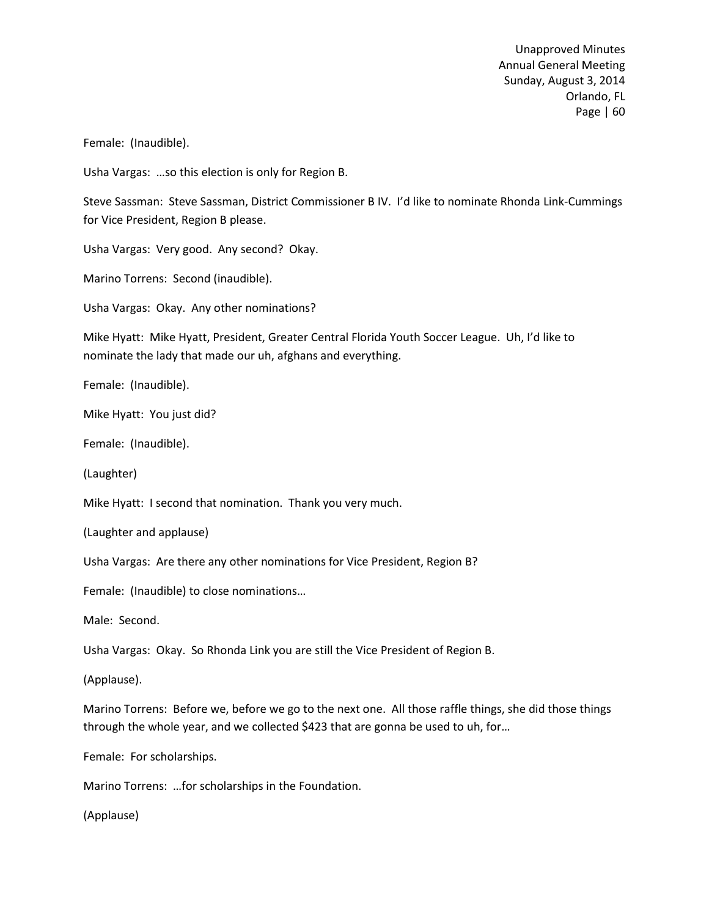Female: (Inaudible).

Usha Vargas: …so this election is only for Region B.

Steve Sassman: Steve Sassman, District Commissioner B IV. I'd like to nominate Rhonda Link-Cummings for Vice President, Region B please.

Usha Vargas: Very good. Any second? Okay.

Marino Torrens: Second (inaudible).

Usha Vargas: Okay. Any other nominations?

Mike Hyatt: Mike Hyatt, President, Greater Central Florida Youth Soccer League. Uh, I'd like to nominate the lady that made our uh, afghans and everything.

Female: (Inaudible).

Mike Hyatt: You just did?

Female: (Inaudible).

(Laughter)

Mike Hyatt: I second that nomination. Thank you very much.

(Laughter and applause)

Usha Vargas: Are there any other nominations for Vice President, Region B?

Female: (Inaudible) to close nominations…

Male: Second.

Usha Vargas: Okay. So Rhonda Link you are still the Vice President of Region B.

(Applause).

Marino Torrens: Before we, before we go to the next one. All those raffle things, she did those things through the whole year, and we collected \$423 that are gonna be used to uh, for…

Female: For scholarships.

Marino Torrens: …for scholarships in the Foundation.

(Applause)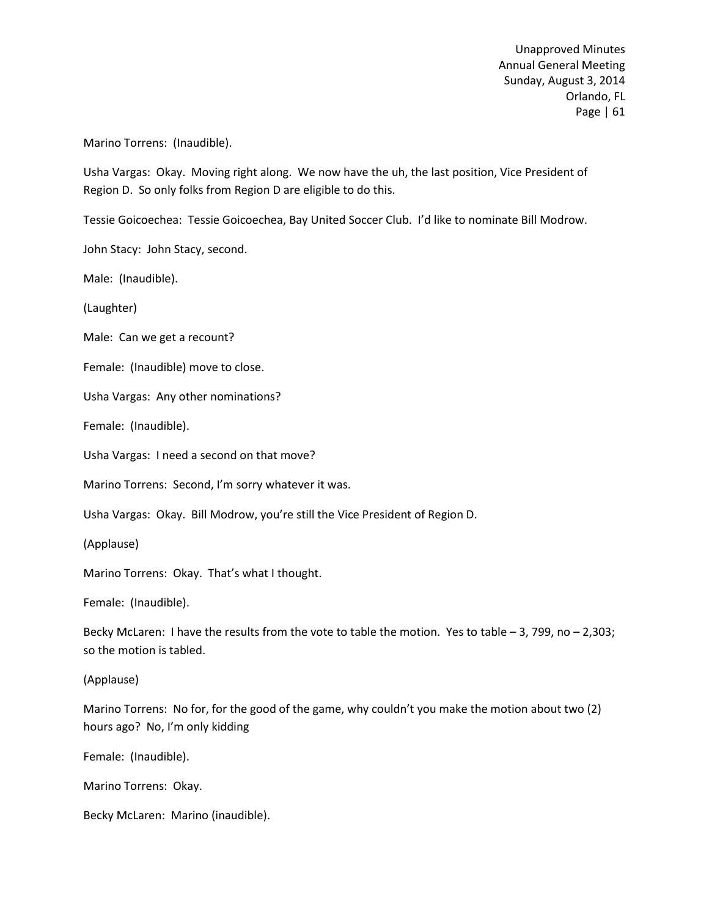Marino Torrens: (Inaudible).

Usha Vargas: Okay. Moving right along. We now have the uh, the last position, Vice President of Region D. So only folks from Region D are eligible to do this.

Tessie Goicoechea: Tessie Goicoechea, Bay United Soccer Club. I'd like to nominate Bill Modrow.

John Stacy: John Stacy, second.

Male: (Inaudible).

(Laughter)

Male: Can we get a recount?

Female: (Inaudible) move to close.

Usha Vargas: Any other nominations?

Female: (Inaudible).

Usha Vargas: I need a second on that move?

Marino Torrens: Second, I'm sorry whatever it was.

Usha Vargas: Okay. Bill Modrow, you're still the Vice President of Region D.

(Applause)

Marino Torrens: Okay. That's what I thought.

Female: (Inaudible).

Becky McLaren: I have the results from the vote to table the motion. Yes to table – 3, 799, no – 2,303; so the motion is tabled.

(Applause)

Marino Torrens: No for, for the good of the game, why couldn't you make the motion about two (2) hours ago? No, I'm only kidding

Female: (Inaudible).

Marino Torrens: Okay.

Becky McLaren: Marino (inaudible).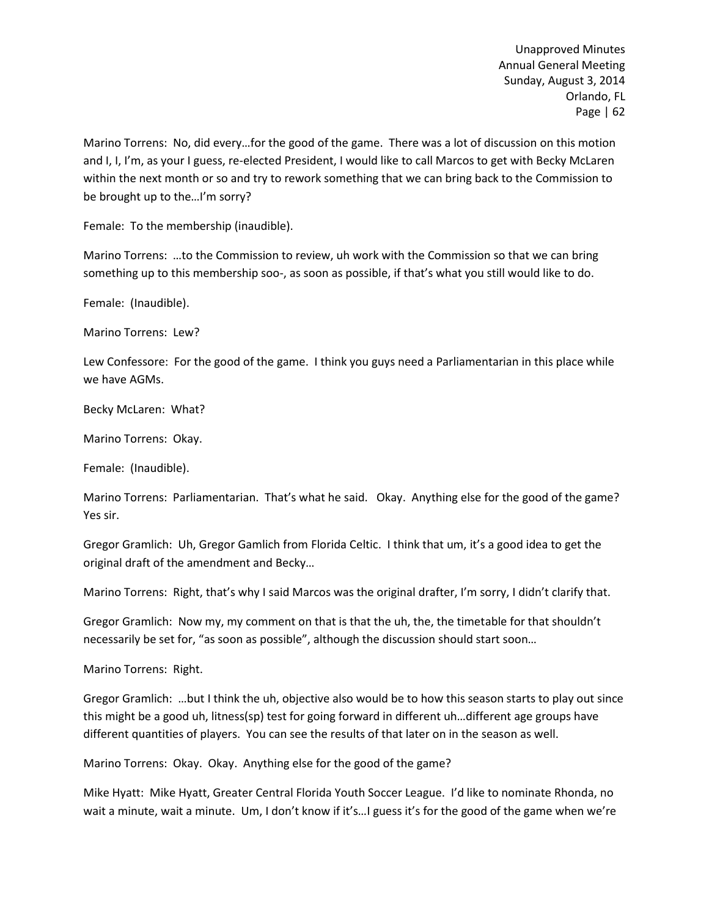Marino Torrens: No, did every…for the good of the game. There was a lot of discussion on this motion and I, I, I'm, as your I guess, re-elected President, I would like to call Marcos to get with Becky McLaren within the next month or so and try to rework something that we can bring back to the Commission to be brought up to the…I'm sorry?

Female: To the membership (inaudible).

Marino Torrens: …to the Commission to review, uh work with the Commission so that we can bring something up to this membership soo-, as soon as possible, if that's what you still would like to do.

Female: (Inaudible).

Marino Torrens: Lew?

Lew Confessore: For the good of the game. I think you guys need a Parliamentarian in this place while we have AGMs.

Becky McLaren: What?

Marino Torrens: Okay.

Female: (Inaudible).

Marino Torrens: Parliamentarian. That's what he said. Okay. Anything else for the good of the game? Yes sir.

Gregor Gramlich: Uh, Gregor Gamlich from Florida Celtic. I think that um, it's a good idea to get the original draft of the amendment and Becky…

Marino Torrens: Right, that's why I said Marcos was the original drafter, I'm sorry, I didn't clarify that.

Gregor Gramlich: Now my, my comment on that is that the uh, the, the timetable for that shouldn't necessarily be set for, "as soon as possible", although the discussion should start soon…

Marino Torrens: Right.

Gregor Gramlich: …but I think the uh, objective also would be to how this season starts to play out since this might be a good uh, litness(sp) test for going forward in different uh…different age groups have different quantities of players. You can see the results of that later on in the season as well.

Marino Torrens: Okay. Okay. Anything else for the good of the game?

Mike Hyatt: Mike Hyatt, Greater Central Florida Youth Soccer League. I'd like to nominate Rhonda, no wait a minute, wait a minute. Um, I don't know if it's...I guess it's for the good of the game when we're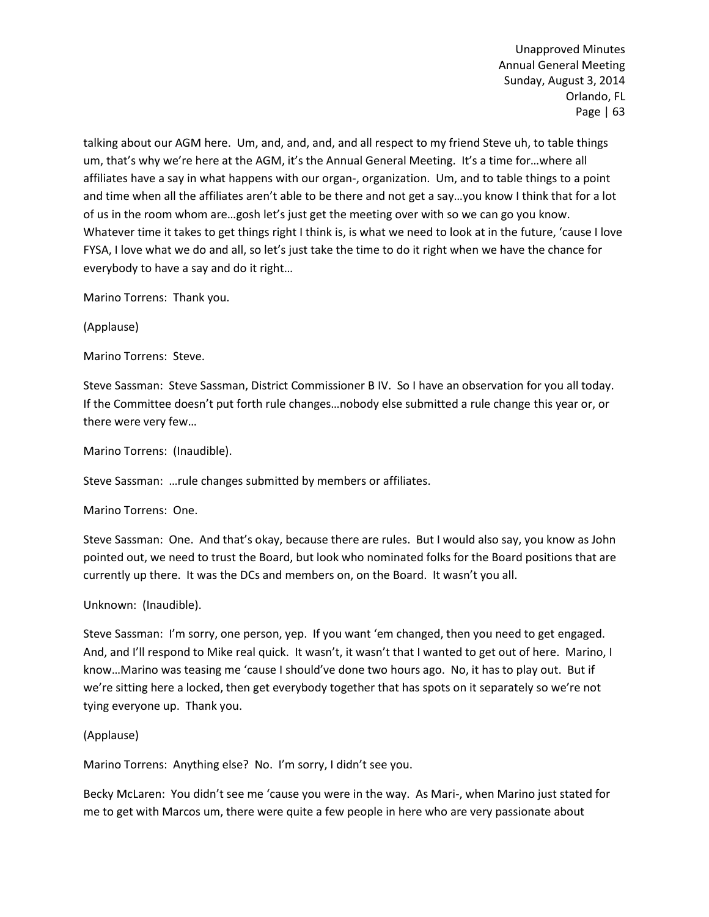talking about our AGM here. Um, and, and, and, and all respect to my friend Steve uh, to table things um, that's why we're here at the AGM, it's the Annual General Meeting. It's a time for…where all affiliates have a say in what happens with our organ-, organization. Um, and to table things to a point and time when all the affiliates aren't able to be there and not get a say…you know I think that for a lot of us in the room whom are…gosh let's just get the meeting over with so we can go you know. Whatever time it takes to get things right I think is, is what we need to look at in the future, 'cause I love FYSA, I love what we do and all, so let's just take the time to do it right when we have the chance for everybody to have a say and do it right…

Marino Torrens: Thank you.

(Applause)

Marino Torrens: Steve.

Steve Sassman: Steve Sassman, District Commissioner B IV. So I have an observation for you all today. If the Committee doesn't put forth rule changes…nobody else submitted a rule change this year or, or there were very few…

Marino Torrens: (Inaudible).

Steve Sassman: …rule changes submitted by members or affiliates.

### Marino Torrens: One.

Steve Sassman: One. And that's okay, because there are rules. But I would also say, you know as John pointed out, we need to trust the Board, but look who nominated folks for the Board positions that are currently up there. It was the DCs and members on, on the Board. It wasn't you all.

# Unknown: (Inaudible).

Steve Sassman: I'm sorry, one person, yep. If you want 'em changed, then you need to get engaged. And, and I'll respond to Mike real quick. It wasn't, it wasn't that I wanted to get out of here. Marino, I know…Marino was teasing me 'cause I should've done two hours ago. No, it has to play out. But if we're sitting here a locked, then get everybody together that has spots on it separately so we're not tying everyone up. Thank you.

# (Applause)

Marino Torrens: Anything else? No. I'm sorry, I didn't see you.

Becky McLaren: You didn't see me 'cause you were in the way. As Mari-, when Marino just stated for me to get with Marcos um, there were quite a few people in here who are very passionate about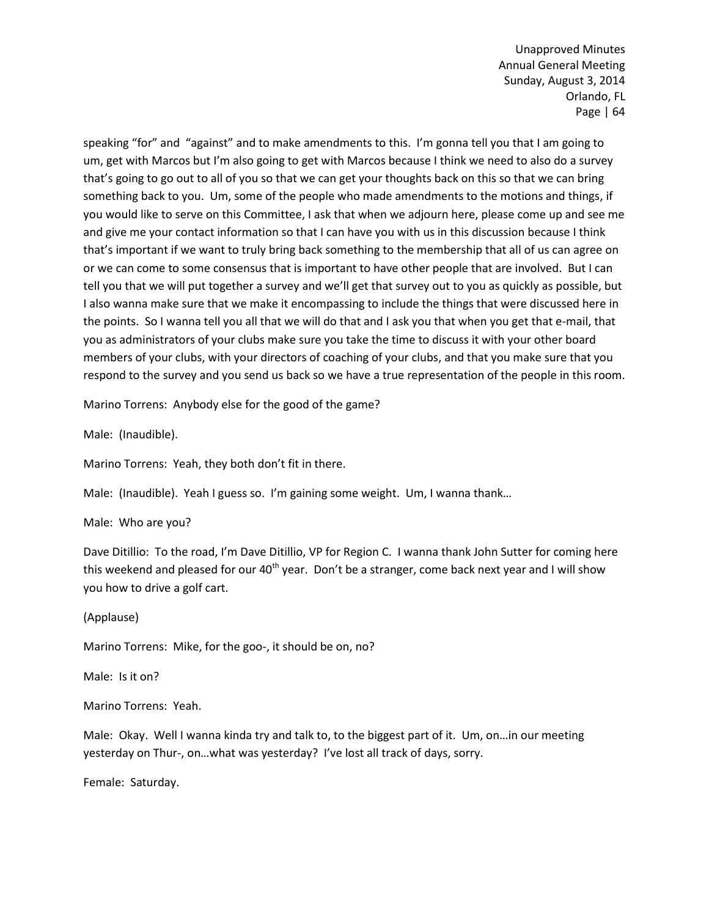speaking "for" and "against" and to make amendments to this. I'm gonna tell you that I am going to um, get with Marcos but I'm also going to get with Marcos because I think we need to also do a survey that's going to go out to all of you so that we can get your thoughts back on this so that we can bring something back to you. Um, some of the people who made amendments to the motions and things, if you would like to serve on this Committee, I ask that when we adjourn here, please come up and see me and give me your contact information so that I can have you with us in this discussion because I think that's important if we want to truly bring back something to the membership that all of us can agree on or we can come to some consensus that is important to have other people that are involved. But I can tell you that we will put together a survey and we'll get that survey out to you as quickly as possible, but I also wanna make sure that we make it encompassing to include the things that were discussed here in the points. So I wanna tell you all that we will do that and I ask you that when you get that e-mail, that you as administrators of your clubs make sure you take the time to discuss it with your other board members of your clubs, with your directors of coaching of your clubs, and that you make sure that you respond to the survey and you send us back so we have a true representation of the people in this room.

Marino Torrens: Anybody else for the good of the game?

Male: (Inaudible).

Marino Torrens: Yeah, they both don't fit in there.

Male: (Inaudible). Yeah I guess so. I'm gaining some weight. Um, I wanna thank…

Male: Who are you?

Dave Ditillio: To the road, I'm Dave Ditillio, VP for Region C. I wanna thank John Sutter for coming here this weekend and pleased for our  $40<sup>th</sup>$  year. Don't be a stranger, come back next year and I will show you how to drive a golf cart.

(Applause)

Marino Torrens: Mike, for the goo-, it should be on, no?

Male: Is it on?

Marino Torrens: Yeah.

Male: Okay. Well I wanna kinda try and talk to, to the biggest part of it. Um, on…in our meeting yesterday on Thur-, on…what was yesterday? I've lost all track of days, sorry.

Female: Saturday.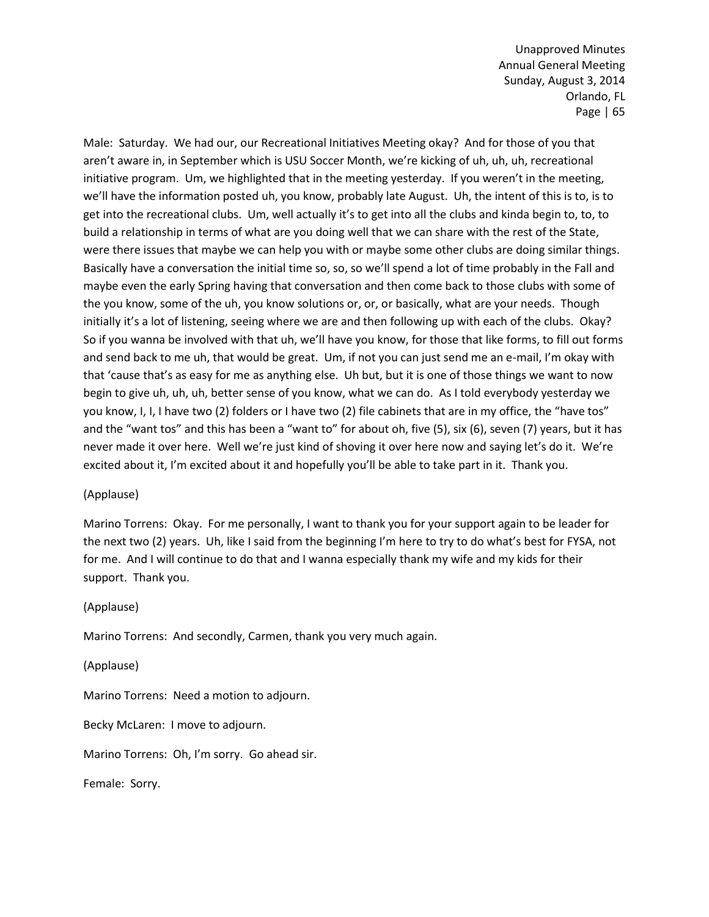Male: Saturday. We had our, our Recreational Initiatives Meeting okay? And for those of you that aren't aware in, in September which is USU Soccer Month, we're kicking of uh, uh, uh, recreational initiative program. Um, we highlighted that in the meeting yesterday. If you weren't in the meeting, we'll have the information posted uh, you know, probably late August. Uh, the intent of this is to, is to get into the recreational clubs. Um, well actually it's to get into all the clubs and kinda begin to, to, to build a relationship in terms of what are you doing well that we can share with the rest of the State, were there issues that maybe we can help you with or maybe some other clubs are doing similar things. Basically have a conversation the initial time so, so, so we'll spend a lot of time probably in the Fall and maybe even the early Spring having that conversation and then come back to those clubs with some of the you know, some of the uh, you know solutions or, or, or basically, what are your needs. Though initially it's a lot of listening, seeing where we are and then following up with each of the clubs. Okay? So if you wanna be involved with that uh, we'll have you know, for those that like forms, to fill out forms and send back to me uh, that would be great. Um, if not you can just send me an e-mail, I'm okay with that 'cause that's as easy for me as anything else. Uh but, but it is one of those things we want to now begin to give uh, uh, uh, better sense of you know, what we can do. As I told everybody yesterday we you know, I, I, I have two (2) folders or I have two (2) file cabinets that are in my office, the "have tos" and the "want tos" and this has been a "want to" for about oh, five (5), six (6), seven (7) years, but it has never made it over here. Well we're just kind of shoving it over here now and saying let's do it. We're excited about it, I'm excited about it and hopefully you'll be able to take part in it. Thank you.

### (Applause)

Marino Torrens: Okay. For me personally, I want to thank you for your support again to be leader for the next two (2) years. Uh, like I said from the beginning I'm here to try to do what's best for FYSA, not for me. And I will continue to do that and I wanna especially thank my wife and my kids for their support. Thank you.

### (Applause)

Marino Torrens: And secondly, Carmen, thank you very much again.

(Applause)

Marino Torrens: Need a motion to adjourn.

Becky McLaren: I move to adjourn.

Marino Torrens: Oh, I'm sorry. Go ahead sir.

Female: Sorry.